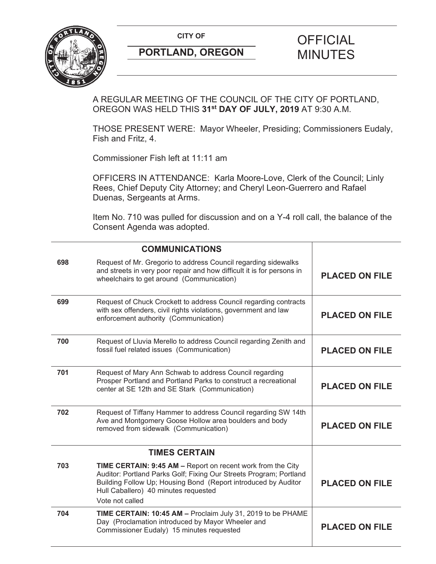**CITY OF CITY OF PICIAL** 



# **PORTLAND, OREGON MINUTES**

# A REGULAR MEETING OF THE COUNCIL OF THE CITY OF PORTLAND, OREGON WAS HELD THIS **31st DAY OF JULY, 2019** AT 9:30 A.M.

THOSE PRESENT WERE: Mayor Wheeler, Presiding; Commissioners Eudaly, Fish and Fritz, 4.

Commissioner Fish left at 11:11 am

OFFICERS IN ATTENDANCE: Karla Moore-Love, Clerk of the Council; Linly Rees, Chief Deputy City Attorney; and Cheryl Leon-Guerrero and Rafael Duenas, Sergeants at Arms.

Item No. 710 was pulled for discussion and on a Y-4 roll call, the balance of the Consent Agenda was adopted.

|     | <b>COMMUNICATIONS</b>                                                                                                                                                                                                                                                 |                       |
|-----|-----------------------------------------------------------------------------------------------------------------------------------------------------------------------------------------------------------------------------------------------------------------------|-----------------------|
| 698 | Request of Mr. Gregorio to address Council regarding sidewalks<br>and streets in very poor repair and how difficult it is for persons in<br>wheelchairs to get around (Communication)                                                                                 | <b>PLACED ON FILE</b> |
| 699 | Request of Chuck Crockett to address Council regarding contracts<br>with sex offenders, civil rights violations, government and law<br>enforcement authority (Communication)                                                                                          | <b>PLACED ON FILE</b> |
| 700 | Request of Lluvia Merello to address Council regarding Zenith and<br>fossil fuel related issues (Communication)                                                                                                                                                       | <b>PLACED ON FILE</b> |
| 701 | Request of Mary Ann Schwab to address Council regarding<br>Prosper Portland and Portland Parks to construct a recreational<br>center at SE 12th and SE Stark (Communication)                                                                                          | <b>PLACED ON FILE</b> |
| 702 | Request of Tiffany Hammer to address Council regarding SW 14th<br>Ave and Montgomery Goose Hollow area boulders and body<br>removed from sidewalk (Communication)                                                                                                     | <b>PLACED ON FILE</b> |
|     | <b>TIMES CERTAIN</b>                                                                                                                                                                                                                                                  |                       |
| 703 | <b>TIME CERTAIN: 9:45 AM - Report on recent work from the City</b><br>Auditor: Portland Parks Golf; Fixing Our Streets Program; Portland<br>Building Follow Up; Housing Bond (Report introduced by Auditor<br>Hull Caballero) 40 minutes requested<br>Vote not called | <b>PLACED ON FILE</b> |
| 704 | TIME CERTAIN: 10:45 AM - Proclaim July 31, 2019 to be PHAME<br>Day (Proclamation introduced by Mayor Wheeler and<br>Commissioner Eudaly) 15 minutes requested                                                                                                         | <b>PLACED ON FILE</b> |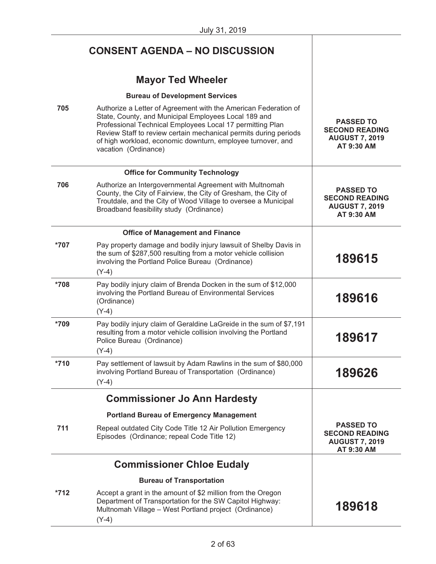|                                         | <b>CONSENT AGENDA - NO DISCUSSION</b>                                                                                                                                                                                                                                                                                                           |                                                                                  |
|-----------------------------------------|-------------------------------------------------------------------------------------------------------------------------------------------------------------------------------------------------------------------------------------------------------------------------------------------------------------------------------------------------|----------------------------------------------------------------------------------|
|                                         | <b>Mayor Ted Wheeler</b>                                                                                                                                                                                                                                                                                                                        |                                                                                  |
|                                         | <b>Bureau of Development Services</b>                                                                                                                                                                                                                                                                                                           |                                                                                  |
| 705                                     | Authorize a Letter of Agreement with the American Federation of<br>State, County, and Municipal Employees Local 189 and<br>Professional Technical Employees Local 17 permitting Plan<br>Review Staff to review certain mechanical permits during periods<br>of high workload, economic downturn, employee turnover, and<br>vacation (Ordinance) | <b>PASSED TO</b><br><b>SECOND READING</b><br><b>AUGUST 7, 2019</b><br>AT 9:30 AM |
| <b>Office for Community Technology</b>  |                                                                                                                                                                                                                                                                                                                                                 |                                                                                  |
| 706                                     | Authorize an Intergovernmental Agreement with Multnomah<br>County, the City of Fairview, the City of Gresham, the City of<br>Troutdale, and the City of Wood Village to oversee a Municipal<br>Broadband feasibility study (Ordinance)                                                                                                          | <b>PASSED TO</b><br><b>SECOND READING</b><br><b>AUGUST 7, 2019</b><br>AT 9:30 AM |
| <b>Office of Management and Finance</b> |                                                                                                                                                                                                                                                                                                                                                 |                                                                                  |
| *707                                    | Pay property damage and bodily injury lawsuit of Shelby Davis in<br>the sum of \$287,500 resulting from a motor vehicle collision<br>involving the Portland Police Bureau (Ordinance)<br>$(Y-4)$                                                                                                                                                | 189615                                                                           |
| *708                                    | Pay bodily injury claim of Brenda Docken in the sum of \$12,000<br>involving the Portland Bureau of Environmental Services<br>(Ordinance)<br>$(Y-4)$                                                                                                                                                                                            | 189616                                                                           |
| *709                                    | Pay bodily injury claim of Geraldine LaGreide in the sum of \$7,191<br>resulting from a motor vehicle collision involving the Portland<br>Police Bureau (Ordinance)<br>$(Y-4)$                                                                                                                                                                  | 189617                                                                           |
| $*710$                                  | Pay settlement of lawsuit by Adam Rawlins in the sum of \$80,000<br>involving Portland Bureau of Transportation (Ordinance)<br>$(Y-4)$                                                                                                                                                                                                          | 189626                                                                           |
|                                         | <b>Commissioner Jo Ann Hardesty</b>                                                                                                                                                                                                                                                                                                             |                                                                                  |
|                                         | <b>Portland Bureau of Emergency Management</b>                                                                                                                                                                                                                                                                                                  |                                                                                  |
| 711                                     | Repeal outdated City Code Title 12 Air Pollution Emergency<br>Episodes (Ordinance; repeal Code Title 12)                                                                                                                                                                                                                                        | <b>PASSED TO</b><br><b>SECOND READING</b><br><b>AUGUST 7, 2019</b><br>AT 9:30 AM |
|                                         | <b>Commissioner Chloe Eudaly</b>                                                                                                                                                                                                                                                                                                                |                                                                                  |
|                                         | <b>Bureau of Transportation</b>                                                                                                                                                                                                                                                                                                                 |                                                                                  |
| $*712$                                  | Accept a grant in the amount of \$2 million from the Oregon<br>Department of Transportation for the SW Capitol Highway:<br>Multnomah Village - West Portland project (Ordinance)<br>$(Y-4)$                                                                                                                                                     | 189618                                                                           |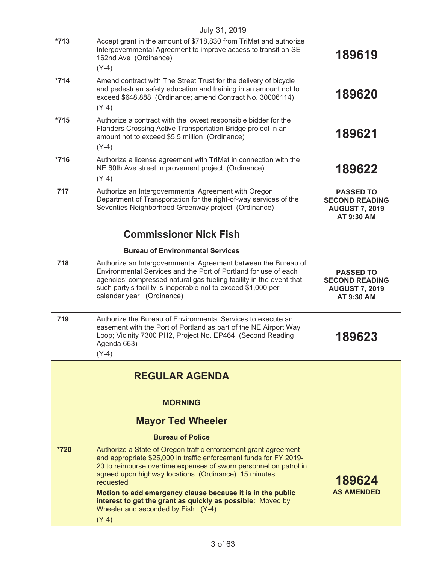|        | July 31, 2019                                                                                                                                                                                                                                                                                                                                 |                                                                                  |
|--------|-----------------------------------------------------------------------------------------------------------------------------------------------------------------------------------------------------------------------------------------------------------------------------------------------------------------------------------------------|----------------------------------------------------------------------------------|
| $*713$ | Accept grant in the amount of \$718,830 from TriMet and authorize<br>Intergovernmental Agreement to improve access to transit on SE<br>162nd Ave (Ordinance)                                                                                                                                                                                  | 189619                                                                           |
|        | $(Y-4)$                                                                                                                                                                                                                                                                                                                                       |                                                                                  |
| $*714$ | Amend contract with The Street Trust for the delivery of bicycle<br>and pedestrian safety education and training in an amount not to<br>exceed \$648,888 (Ordinance; amend Contract No. 30006114)                                                                                                                                             | 189620                                                                           |
|        | $(Y-4)$                                                                                                                                                                                                                                                                                                                                       |                                                                                  |
| $*715$ | Authorize a contract with the lowest responsible bidder for the<br>Flanders Crossing Active Transportation Bridge project in an<br>amount not to exceed \$5.5 million (Ordinance)<br>$(Y-4)$                                                                                                                                                  | 189621                                                                           |
| *716   | Authorize a license agreement with TriMet in connection with the<br>NE 60th Ave street improvement project (Ordinance)<br>$(Y-4)$                                                                                                                                                                                                             | 189622                                                                           |
| 717    | Authorize an Intergovernmental Agreement with Oregon<br>Department of Transportation for the right-of-way services of the<br>Seventies Neighborhood Greenway project (Ordinance)                                                                                                                                                              | <b>PASSED TO</b><br><b>SECOND READING</b><br><b>AUGUST 7, 2019</b><br>AT 9:30 AM |
|        | <b>Commissioner Nick Fish</b>                                                                                                                                                                                                                                                                                                                 |                                                                                  |
|        | <b>Bureau of Environmental Services</b>                                                                                                                                                                                                                                                                                                       |                                                                                  |
| 718    | Authorize an Intergovernmental Agreement between the Bureau of<br>Environmental Services and the Port of Portland for use of each<br>agencies' compressed natural gas fueling facility in the event that<br>such party's facility is inoperable not to exceed \$1,000 per<br>calendar year (Ordinance)                                        | <b>PASSED TO</b><br><b>SECOND READING</b><br><b>AUGUST 7, 2019</b><br>AT 9:30 AM |
| 719    | Authorize the Bureau of Environmental Services to execute an<br>easement with the Port of Portland as part of the NE Airport Way<br>Loop; Vicinity 7300 PH2, Project No. EP464 (Second Reading<br>Agenda 663)<br>$(Y-4)$                                                                                                                      | 189623                                                                           |
|        | <b>REGULAR AGENDA</b>                                                                                                                                                                                                                                                                                                                         |                                                                                  |
|        | <b>MORNING</b>                                                                                                                                                                                                                                                                                                                                |                                                                                  |
|        | <b>Mayor Ted Wheeler</b>                                                                                                                                                                                                                                                                                                                      |                                                                                  |
|        | <b>Bureau of Police</b>                                                                                                                                                                                                                                                                                                                       |                                                                                  |
| *720   | Authorize a State of Oregon traffic enforcement grant agreement<br>and appropriate \$25,000 in traffic enforcement funds for FY 2019-<br>20 to reimburse overtime expenses of sworn personnel on patrol in<br>agreed upon highway locations (Ordinance) 15 minutes<br>requested<br>Motion to add emergency clause because it is in the public | 189624<br><b>AS AMENDED</b>                                                      |
|        | interest to get the grant as quickly as possible: Moved by<br>Wheeler and seconded by Fish. (Y-4)                                                                                                                                                                                                                                             |                                                                                  |
|        | $(Y-4)$                                                                                                                                                                                                                                                                                                                                       |                                                                                  |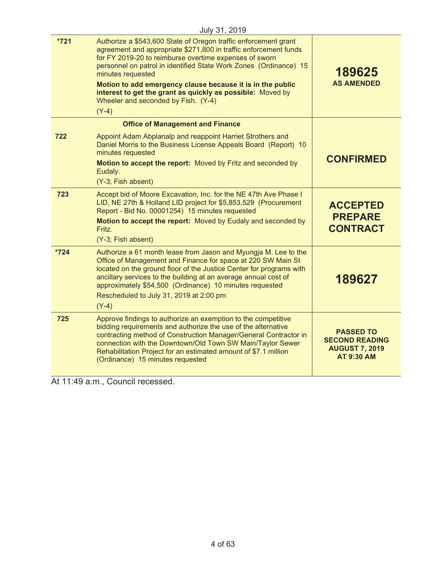|        | July 31, 2019                                                                                                                                                                                                                                                                                                                                                                                                                                                         |                                                                                         |
|--------|-----------------------------------------------------------------------------------------------------------------------------------------------------------------------------------------------------------------------------------------------------------------------------------------------------------------------------------------------------------------------------------------------------------------------------------------------------------------------|-----------------------------------------------------------------------------------------|
| $*721$ | Authorize a \$543,600 State of Oregon traffic enforcement grant<br>agreement and appropriate \$271,800 in traffic enforcement funds<br>for FY 2019-20 to reimburse overtime expenses of sworn<br>personnel on patrol in identified State Work Zones (Ordinance) 15<br>minutes requested<br>Motion to add emergency clause because it is in the public<br>interest to get the grant as quickly as possible: Moved by<br>Wheeler and seconded by Fish. (Y-4)<br>$(Y-4)$ | 189625<br><b>AS AMENDED</b>                                                             |
|        | <b>Office of Management and Finance</b>                                                                                                                                                                                                                                                                                                                                                                                                                               |                                                                                         |
| 722    | Appoint Adam Abplanalp and reappoint Harriet Strothers and<br>Daniel Morris to the Business License Appeals Board (Report) 10<br>minutes requested<br>Motion to accept the report: Moved by Fritz and seconded by<br>Eudaly.<br>(Y-3; Fish absent)                                                                                                                                                                                                                    | <b>CONFIRMED</b>                                                                        |
| 723    | Accept bid of Moore Excavation, Inc. for the NE 47th Ave Phase I<br>LID, NE 27th & Holland LID project for \$5,853,529 (Procurement<br>Report - Bid No. 00001254) 15 minutes requested<br>Motion to accept the report: Moved by Eudaly and seconded by<br>Fritz.<br>(Y-3; Fish absent)                                                                                                                                                                                | <b>ACCEPTED</b><br><b>PREPARE</b><br><b>CONTRACT</b>                                    |
| $*724$ | Authorize a 61 month lease from Jason and Myungja M. Lee to the<br>Office of Management and Finance for space at 220 SW Main St<br>located on the ground floor of the Justice Center for programs with<br>ancillary services to the building at an average annual cost of<br>approximately \$54,500 (Ordinance) 10 minutes requested<br>Rescheduled to July 31, 2019 at 2:00 pm<br>$(Y-4)$                                                                            | 189627                                                                                  |
| 725    | Approve findings to authorize an exemption to the competitive<br>bidding requirements and authorize the use of the alternative<br>contracting method of Construction Manager/General Contractor in<br>connection with the Downtown/Old Town SW Main/Taylor Sewer<br>Rehabilitation Project for an estimated amount of \$7.1 million<br>(Ordinance) 15 minutes requested                                                                                               | <b>PASSED TO</b><br><b>SECOND READING</b><br><b>AUGUST 7, 2019</b><br><b>AT 9:30 AM</b> |

At 11:49 a.m., Council recessed.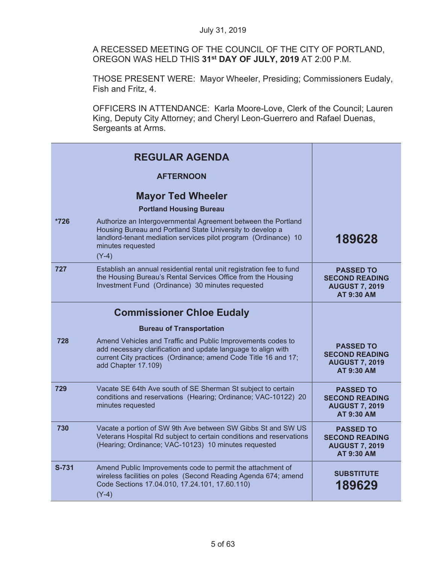A RECESSED MEETING OF THE COUNCIL OF THE CITY OF PORTLAND, OREGON WAS HELD THIS **31st DAY OF JULY, 2019** AT 2:00 P.M.

THOSE PRESENT WERE: Mayor Wheeler, Presiding; Commissioners Eudaly, Fish and Fritz, 4.

OFFICERS IN ATTENDANCE: Karla Moore-Love, Clerk of the Council; Lauren King, Deputy City Attorney; and Cheryl Leon-Guerrero and Rafael Duenas, Sergeants at Arms.

|        | <b>REGULAR AGENDA</b><br><b>AFTERNOON</b>                                                                                                                                                                                     |                                                                                         |
|--------|-------------------------------------------------------------------------------------------------------------------------------------------------------------------------------------------------------------------------------|-----------------------------------------------------------------------------------------|
|        | <b>Mayor Ted Wheeler</b><br><b>Portland Housing Bureau</b>                                                                                                                                                                    |                                                                                         |
| $*726$ | Authorize an Intergovernmental Agreement between the Portland<br>Housing Bureau and Portland State University to develop a<br>landlord-tenant mediation services pilot program (Ordinance) 10<br>minutes requested<br>$(Y-4)$ | 189628                                                                                  |
| 727    | Establish an annual residential rental unit registration fee to fund<br>the Housing Bureau's Rental Services Office from the Housing<br>Investment Fund (Ordinance) 30 minutes requested                                      | <b>PASSED TO</b><br><b>SECOND READING</b><br><b>AUGUST 7, 2019</b><br><b>AT 9:30 AM</b> |
|        | <b>Commissioner Chloe Eudaly</b>                                                                                                                                                                                              |                                                                                         |
|        | <b>Bureau of Transportation</b>                                                                                                                                                                                               |                                                                                         |
| 728    | Amend Vehicles and Traffic and Public Improvements codes to<br>add necessary clarification and update language to align with<br>current City practices (Ordinance; amend Code Title 16 and 17;<br>add Chapter 17.109)         | <b>PASSED TO</b><br><b>SECOND READING</b><br><b>AUGUST 7, 2019</b><br><b>AT 9:30 AM</b> |
| 729    | Vacate SE 64th Ave south of SE Sherman St subject to certain<br>conditions and reservations (Hearing; Ordinance; VAC-10122) 20<br>minutes requested                                                                           | <b>PASSED TO</b><br><b>SECOND READING</b><br><b>AUGUST 7, 2019</b><br>AT 9:30 AM        |
| 730    | Vacate a portion of SW 9th Ave between SW Gibbs St and SW US<br>Veterans Hospital Rd subject to certain conditions and reservations<br>(Hearing; Ordinance; VAC-10123) 10 minutes requested                                   | <b>PASSED TO</b><br><b>SECOND READING</b><br><b>AUGUST 7, 2019</b><br>AT 9:30 AM        |
| S-731  | Amend Public Improvements code to permit the attachment of<br>wireless facilities on poles (Second Reading Agenda 674; amend<br>Code Sections 17.04.010, 17.24.101, 17.60.110)<br>$(Y-4)$                                     | <b>SUBSTITUTE</b><br>189629                                                             |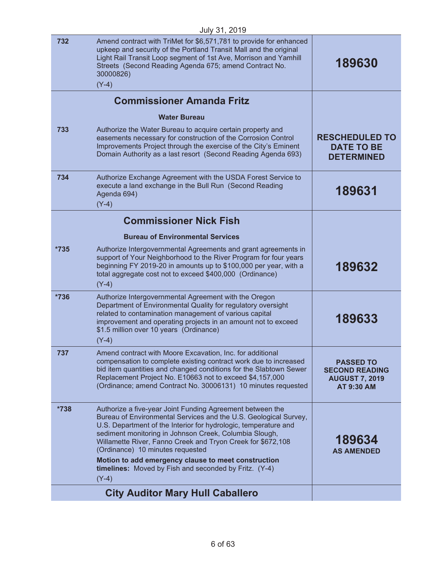|        | July 31, 2019                                                                                                                                                                                                                                                                                                                                                                                                        |                                                                                  |
|--------|----------------------------------------------------------------------------------------------------------------------------------------------------------------------------------------------------------------------------------------------------------------------------------------------------------------------------------------------------------------------------------------------------------------------|----------------------------------------------------------------------------------|
| 732    | Amend contract with TriMet for \$6,571,781 to provide for enhanced<br>upkeep and security of the Portland Transit Mall and the original<br>Light Rail Transit Loop segment of 1st Ave, Morrison and Yamhill<br>Streets (Second Reading Agenda 675; amend Contract No.<br>30000826)<br>$(Y-4)$                                                                                                                        | 189630                                                                           |
|        | <b>Commissioner Amanda Fritz</b>                                                                                                                                                                                                                                                                                                                                                                                     |                                                                                  |
|        | <b>Water Bureau</b>                                                                                                                                                                                                                                                                                                                                                                                                  |                                                                                  |
| 733    | Authorize the Water Bureau to acquire certain property and<br>easements necessary for construction of the Corrosion Control<br>Improvements Project through the exercise of the City's Eminent<br>Domain Authority as a last resort (Second Reading Agenda 693)                                                                                                                                                      | <b>RESCHEDULED TO</b><br><b>DATE TO BE</b><br><b>DETERMINED</b>                  |
| 734    | Authorize Exchange Agreement with the USDA Forest Service to<br>execute a land exchange in the Bull Run (Second Reading<br>Agenda 694)<br>$(Y-4)$                                                                                                                                                                                                                                                                    | 189631                                                                           |
|        | <b>Commissioner Nick Fish</b>                                                                                                                                                                                                                                                                                                                                                                                        |                                                                                  |
|        | <b>Bureau of Environmental Services</b>                                                                                                                                                                                                                                                                                                                                                                              |                                                                                  |
| $*735$ | Authorize Intergovernmental Agreements and grant agreements in<br>support of Your Neighborhood to the River Program for four years<br>beginning FY 2019-20 in amounts up to \$100,000 per year, with a<br>total aggregate cost not to exceed \$400,000 (Ordinance)<br>$(Y-4)$                                                                                                                                        | 189632                                                                           |
| *736   | Authorize Intergovernmental Agreement with the Oregon<br>Department of Environmental Quality for regulatory oversight<br>related to contamination management of various capital<br>improvement and operating projects in an amount not to exceed<br>\$1.5 million over 10 years (Ordinance)<br>$(Y-4)$                                                                                                               | 189633                                                                           |
| 737    | Amend contract with Moore Excavation, Inc. for additional<br>compensation to complete existing contract work due to increased<br>bid item quantities and changed conditions for the Slabtown Sewer<br>Replacement Project No. E10663 not to exceed \$4,157,000<br>(Ordinance; amend Contract No. 30006131) 10 minutes requested                                                                                      | <b>PASSED TO</b><br><b>SECOND READING</b><br><b>AUGUST 7, 2019</b><br>AT 9:30 AM |
| *738   | Authorize a five-year Joint Funding Agreement between the<br>Bureau of Environmental Services and the U.S. Geological Survey,<br>U.S. Department of the Interior for hydrologic, temperature and<br>sediment monitoring in Johnson Creek, Columbia Slough,<br>Willamette River, Fanno Creek and Tryon Creek for \$672,108<br>(Ordinance) 10 minutes requested<br>Motion to add emergency clause to meet construction | 189634<br><b>AS AMENDED</b>                                                      |
|        | timelines: Moved by Fish and seconded by Fritz. (Y-4)<br>$(Y-4)$                                                                                                                                                                                                                                                                                                                                                     |                                                                                  |
|        | <b>City Auditor Mary Hull Caballero</b>                                                                                                                                                                                                                                                                                                                                                                              |                                                                                  |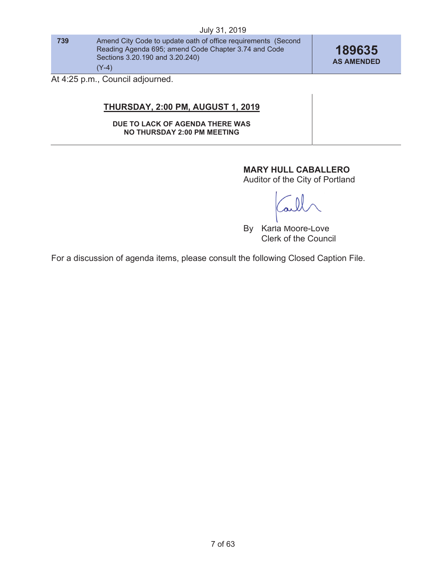|  | July 31, 2019 |
|--|---------------|
|  |               |

| 739 | Amend City Code to update oath of office requirements (Second |
|-----|---------------------------------------------------------------|
|     | Reading Agenda 695; amend Code Chapter 3.74 and Code          |
|     | Sections 3.20.190 and 3.20.240)                               |
|     | $(Y-4)$                                                       |

**189635 AS AMENDED** 

At 4:25 p.m., Council adjourned.

# **THURSDAY, 2:00 PM, AUGUST 1, 2019**

**DUE TO LACK OF AGENDA THERE WAS NO THURSDAY 2:00 PM MEETING** 

# **MARY HULL CABALLERO**

Auditor of the City of Portland

By Karla Moore-Love Clerk of the Council

For a discussion of agenda items, please consult the following Closed Caption File.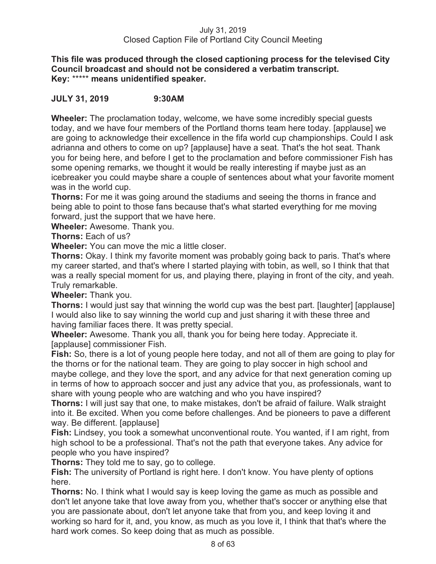# July 31, 2019 Closed Caption File of Portland City Council Meeting

**This file was produced through the closed captioning process for the televised City Council broadcast and should not be considered a verbatim transcript. Key:** \*\*\*\*\* **means unidentified speaker.** 

# **JULY 31, 2019 9:30AM**

**Wheeler:** The proclamation today, welcome, we have some incredibly special guests today, and we have four members of the Portland thorns team here today. [applause] we are going to acknowledge their excellence in the fifa world cup championships. Could I ask adrianna and others to come on up? [applause] have a seat. That's the hot seat. Thank you for being here, and before I get to the proclamation and before commissioner Fish has some opening remarks, we thought it would be really interesting if maybe just as an icebreaker you could maybe share a couple of sentences about what your favorite moment was in the world cup.

**Thorns:** For me it was going around the stadiums and seeing the thorns in france and being able to point to those fans because that's what started everything for me moving forward, just the support that we have here.

**Wheeler:** Awesome. Thank you.

**Thorns:** Each of us?

**Wheeler:** You can move the mic a little closer.

**Thorns:** Okay. I think my favorite moment was probably going back to paris. That's where my career started, and that's where I started playing with tobin, as well, so I think that that was a really special moment for us, and playing there, playing in front of the city, and yeah. Truly remarkable.

**Wheeler:** Thank you.

**Thorns:** I would just say that winning the world cup was the best part. [laughter] [applause] I would also like to say winning the world cup and just sharing it with these three and having familiar faces there. It was pretty special.

**Wheeler:** Awesome. Thank you all, thank you for being here today. Appreciate it. [applause] commissioner Fish.

**Fish:** So, there is a lot of young people here today, and not all of them are going to play for the thorns or for the national team. They are going to play soccer in high school and maybe college, and they love the sport, and any advice for that next generation coming up in terms of how to approach soccer and just any advice that you, as professionals, want to share with young people who are watching and who you have inspired?

**Thorns:** I will just say that one, to make mistakes, don't be afraid of failure. Walk straight into it. Be excited. When you come before challenges. And be pioneers to pave a different way. Be different. [applause]

**Fish:** Lindsey, you took a somewhat unconventional route. You wanted, if I am right, from high school to be a professional. That's not the path that everyone takes. Any advice for people who you have inspired?

**Thorns:** They told me to say, go to college.

**Fish:** The university of Portland is right here. I don't know. You have plenty of options here.

**Thorns:** No. I think what I would say is keep loving the game as much as possible and don't let anyone take that love away from you, whether that's soccer or anything else that you are passionate about, don't let anyone take that from you, and keep loving it and working so hard for it, and, you know, as much as you love it, I think that that's where the hard work comes. So keep doing that as much as possible.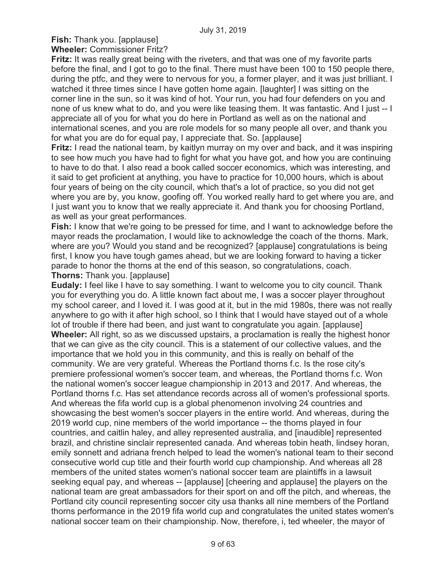**Fish:** Thank you. [applause]

**Wheeler:** Commissioner Fritz?

**Fritz:** It was really great being with the riveters, and that was one of my favorite parts before the final, and I got to go to the final. There must have been 100 to 150 people there, during the ptfc, and they were to nervous for you, a former player, and it was just brilliant. I watched it three times since I have gotten home again. [laughter] I was sitting on the corner line in the sun, so it was kind of hot. Your run, you had four defenders on you and none of us knew what to do, and you were like teasing them. It was fantastic. And I just -- I appreciate all of you for what you do here in Portland as well as on the national and international scenes, and you are role models for so many people all over, and thank you for what you are do for equal pay, I appreciate that. So. [applause]

**Fritz:** I read the national team, by kaitlyn murray on my over and back, and it was inspiring to see how much you have had to fight for what you have got, and how you are continuing to have to do that. I also read a book called soccer economics, which was interesting, and it said to get proficient at anything, you have to practice for 10,000 hours, which is about four years of being on the city council, which that's a lot of practice, so you did not get where you are by, you know, goofing off. You worked really hard to get where you are, and I just want you to know that we really appreciate it. And thank you for choosing Portland, as well as your great performances.

**Fish:** I know that we're going to be pressed for time, and I want to acknowledge before the mayor reads the proclamation, I would like to acknowledge the coach of the thorns. Mark, where are you? Would you stand and be recognized? [applause] congratulations is being first, I know you have tough games ahead, but we are looking forward to having a ticker parade to honor the thorns at the end of this season, so congratulations, coach. **Thorns:** Thank you. [applause]

**Eudaly:** I feel like I have to say something. I want to welcome you to city council. Thank you for everything you do. A little known fact about me, I was a soccer player throughout my school career, and I loved it. I was good at it, but in the mid 1980s, there was not really anywhere to go with it after high school, so I think that I would have stayed out of a whole lot of trouble if there had been, and just want to congratulate you again. [applause] **Wheeler:** All right, so as we discussed upstairs, a proclamation is really the highest honor that we can give as the city council. This is a statement of our collective values, and the importance that we hold you in this community, and this is really on behalf of the community. We are very grateful. Whereas the Portland thorns f.c. Is the rose city's premiere professional women's soccer team, and whereas, the Portland thorns f.c. Won the national women's soccer league championship in 2013 and 2017. And whereas, the Portland thorns f.c. Has set attendance records across all of women's professional sports. And whereas the fifa world cup is a global phenomenon involving 24 countries and showcasing the best women's soccer players in the entire world. And whereas, during the 2019 world cup, nine members of the world importance -- the thorns played in four countries, and caitlin haley, and alley represented australia, and [inaudible] represented brazil, and christine sinclair represented canada. And whereas tobin heath, lindsey horan, emily sonnett and adriana french helped to lead the women's national team to their second consecutive world cup title and their fourth world cup championship. And whereas all 28 members of the united states women's national soccer team are plaintiffs in a lawsuit seeking equal pay, and whereas -- [applause] [cheering and applause] the players on the national team are great ambassadors for their sport on and off the pitch, and whereas, the Portland city council representing soccer city usa thanks all nine members of the Portland thorns performance in the 2019 fifa world cup and congratulates the united states women's national soccer team on their championship. Now, therefore, i, ted wheeler, the mayor of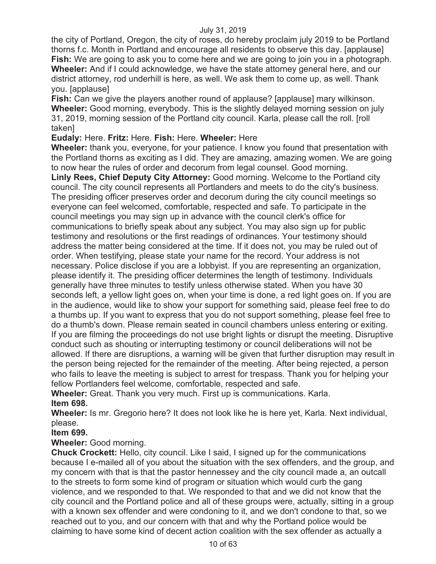the city of Portland, Oregon, the city of roses, do hereby proclaim july 2019 to be Portland thorns f.c. Month in Portland and encourage all residents to observe this day. [applause] **Fish:** We are going to ask you to come here and we are going to join you in a photograph. **Wheeler:** And if I could acknowledge, we have the state attorney general here, and our district attorney, rod underhill is here, as well. We ask them to come up, as well. Thank you. [applause]

**Fish:** Can we give the players another round of applause? [applause] mary wilkinson. **Wheeler:** Good morning, everybody. This is the slightly delayed morning session on july 31, 2019, morning session of the Portland city council. Karla, please call the roll. [roll taken]

# **Eudaly:** Here. **Fritz:** Here. **Fish:** Here. **Wheeler:** Here

**Wheeler:** thank you, everyone, for your patience. I know you found that presentation with the Portland thorns as exciting as I did. They are amazing, amazing women. We are going to now hear the rules of order and decorum from legal counsel. Good morning.

**Linly Rees, Chief Deputy City Attorney:** Good morning. Welcome to the Portland city council. The city council represents all Portlanders and meets to do the city's business. The presiding officer preserves order and decorum during the city council meetings so everyone can feel welcomed, comfortable, respected and safe. To participate in the council meetings you may sign up in advance with the council clerk's office for communications to briefly speak about any subject. You may also sign up for public testimony and resolutions or the first readings of ordinances. Your testimony should address the matter being considered at the time. If it does not, you may be ruled out of order. When testifying, please state your name for the record. Your address is not necessary. Police disclose if you are a lobbyist. If you are representing an organization, please identify it. The presiding officer determines the length of testimony. Individuals generally have three minutes to testify unless otherwise stated. When you have 30 seconds left, a yellow light goes on, when your time is done, a red light goes on. If you are in the audience, would like to show your support for something said, please feel free to do a thumbs up. If you want to express that you do not support something, please feel free to do a thumb's down. Please remain seated in council chambers unless entering or exiting. If you are filming the proceedings do not use bright lights or disrupt the meeting. Disruptive conduct such as shouting or interrupting testimony or council deliberations will not be allowed. If there are disruptions, a warning will be given that further disruption may result in the person being rejected for the remainder of the meeting. After being rejected, a person who fails to leave the meeting is subject to arrest for trespass. Thank you for helping your fellow Portlanders feel welcome, comfortable, respected and safe.

**Wheeler:** Great. Thank you very much. First up is communications. Karla. **Item 698.** 

**Wheeler:** Is mr. Gregorio here? It does not look like he is here yet, Karla. Next individual, please.

# **Item 699.**

**Wheeler:** Good morning.

**Chuck Crockett:** Hello, city council. Like I said, I signed up for the communications because I e-mailed all of you about the situation with the sex offenders, and the group, and my concern with that is that the pastor hennessey and the city council made a, an outcall to the streets to form some kind of program or situation which would curb the gang violence, and we responded to that. We responded to that and we did not know that the city council and the Portland police and all of these groups were, actually, sitting in a group with a known sex offender and were condoning to it, and we don't condone to that, so we reached out to you, and our concern with that and why the Portland police would be claiming to have some kind of decent action coalition with the sex offender as actually a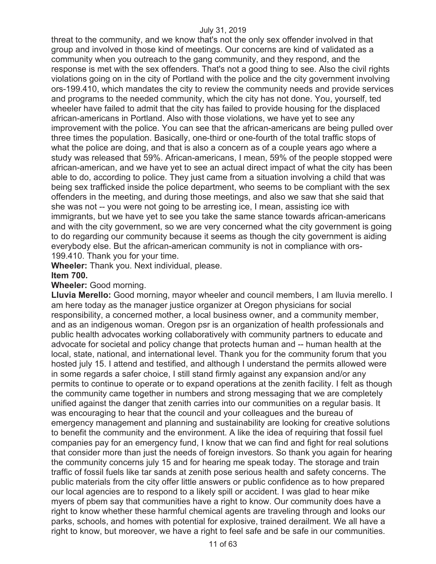threat to the community, and we know that's not the only sex offender involved in that group and involved in those kind of meetings. Our concerns are kind of validated as a community when you outreach to the gang community, and they respond, and the response is met with the sex offenders. That's not a good thing to see. Also the civil rights violations going on in the city of Portland with the police and the city government involving ors-199.410, which mandates the city to review the community needs and provide services and programs to the needed community, which the city has not done. You, yourself, ted wheeler have failed to admit that the city has failed to provide housing for the displaced african-americans in Portland. Also with those violations, we have yet to see any improvement with the police. You can see that the african-americans are being pulled over three times the population. Basically, one-third or one-fourth of the total traffic stops of what the police are doing, and that is also a concern as of a couple years ago where a study was released that 59%. African-americans, I mean, 59% of the people stopped were african-american, and we have yet to see an actual direct impact of what the city has been able to do, according to police. They just came from a situation involving a child that was being sex trafficked inside the police department, who seems to be compliant with the sex offenders in the meeting, and during those meetings, and also we saw that she said that she was not -- you were not going to be arresting ice, I mean, assisting ice with immigrants, but we have yet to see you take the same stance towards african-americans and with the city government, so we are very concerned what the city government is going to do regarding our community because it seems as though the city government is aiding everybody else. But the african-american community is not in compliance with ors-199.410. Thank you for your time.

**Wheeler:** Thank you. Next individual, please.

# **Item 700.**

# **Wheeler:** Good morning.

**Lluvia Merello:** Good morning, mayor wheeler and council members, I am lluvia merello. I am here today as the manager justice organizer at Oregon physicians for social responsibility, a concerned mother, a local business owner, and a community member, and as an indigenous woman. Oregon psr is an organization of health professionals and public health advocates working collaboratively with community partners to educate and advocate for societal and policy change that protects human and -- human health at the local, state, national, and international level. Thank you for the community forum that you hosted july 15. I attend and testified, and although I understand the permits allowed were in some regards a safer choice, I still stand firmly against any expansion and/or any permits to continue to operate or to expand operations at the zenith facility. I felt as though the community came together in numbers and strong messaging that we are completely unified against the danger that zenith carries into our communities on a regular basis. It was encouraging to hear that the council and your colleagues and the bureau of emergency management and planning and sustainability are looking for creative solutions to benefit the community and the environment. A like the idea of requiring that fossil fuel companies pay for an emergency fund, I know that we can find and fight for real solutions that consider more than just the needs of foreign investors. So thank you again for hearing the community concerns july 15 and for hearing me speak today. The storage and train traffic of fossil fuels like tar sands at zenith pose serious health and safety concerns. The public materials from the city offer little answers or public confidence as to how prepared our local agencies are to respond to a likely spill or accident. I was glad to hear mike myers of pbem say that communities have a right to know. Our community does have a right to know whether these harmful chemical agents are traveling through and looks our parks, schools, and homes with potential for explosive, trained derailment. We all have a right to know, but moreover, we have a right to feel safe and be safe in our communities.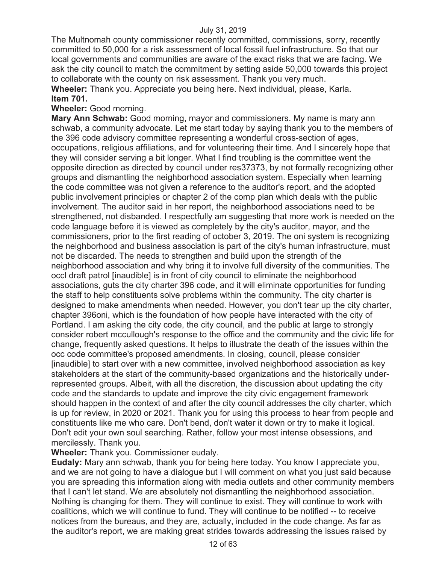The Multnomah county commissioner recently committed, commissions, sorry, recently committed to 50,000 for a risk assessment of local fossil fuel infrastructure. So that our local governments and communities are aware of the exact risks that we are facing. We ask the city council to match the commitment by setting aside 50,000 towards this project to collaborate with the county on risk assessment. Thank you very much.

**Wheeler:** Thank you. Appreciate you being here. Next individual, please, Karla. **Item 701.** 

# **Wheeler:** Good morning.

**Mary Ann Schwab:** Good morning, mayor and commissioners. My name is mary ann schwab, a community advocate. Let me start today by saying thank you to the members of the 396 code advisory committee representing a wonderful cross-section of ages, occupations, religious affiliations, and for volunteering their time. And I sincerely hope that they will consider serving a bit longer. What I find troubling is the committee went the opposite direction as directed by council under res37373, by not formally recognizing other groups and dismantling the neighborhood association system. Especially when learning the code committee was not given a reference to the auditor's report, and the adopted public involvement principles or chapter 2 of the comp plan which deals with the public involvement. The auditor said in her report, the neighborhood associations need to be strengthened, not disbanded. I respectfully am suggesting that more work is needed on the code language before it is viewed as completely by the city's auditor, mayor, and the commissioners, prior to the first reading of october 3, 2019. The oni system is recognizing the neighborhood and business association is part of the city's human infrastructure, must not be discarded. The needs to strengthen and build upon the strength of the neighborhood association and why bring it to involve full diversity of the communities. The occl draft patrol [inaudible] is in front of city council to eliminate the neighborhood associations, guts the city charter 396 code, and it will eliminate opportunities for funding the staff to help constituents solve problems within the community. The city charter is designed to make amendments when needed. However, you don't tear up the city charter, chapter 396oni, which is the foundation of how people have interacted with the city of Portland. I am asking the city code, the city council, and the public at large to strongly consider robert mccullough's response to the office and the community and the civic life for change, frequently asked questions. It helps to illustrate the death of the issues within the occ code committee's proposed amendments. In closing, council, please consider [inaudible] to start over with a new committee, involved neighborhood association as key stakeholders at the start of the community-based organizations and the historically underrepresented groups. Albeit, with all the discretion, the discussion about updating the city code and the standards to update and improve the city civic engagement framework should happen in the context of and after the city council addresses the city charter, which is up for review, in 2020 or 2021. Thank you for using this process to hear from people and constituents like me who care. Don't bend, don't water it down or try to make it logical. Don't edit your own soul searching. Rather, follow your most intense obsessions, and mercilessly. Thank you.

# **Wheeler:** Thank you. Commissioner eudaly.

**Eudaly:** Mary ann schwab, thank you for being here today. You know I appreciate you, and we are not going to have a dialogue but I will comment on what you just said because you are spreading this information along with media outlets and other community members that I can't let stand. We are absolutely not dismantling the neighborhood association. Nothing is changing for them. They will continue to exist. They will continue to work with coalitions, which we will continue to fund. They will continue to be notified -- to receive notices from the bureaus, and they are, actually, included in the code change. As far as the auditor's report, we are making great strides towards addressing the issues raised by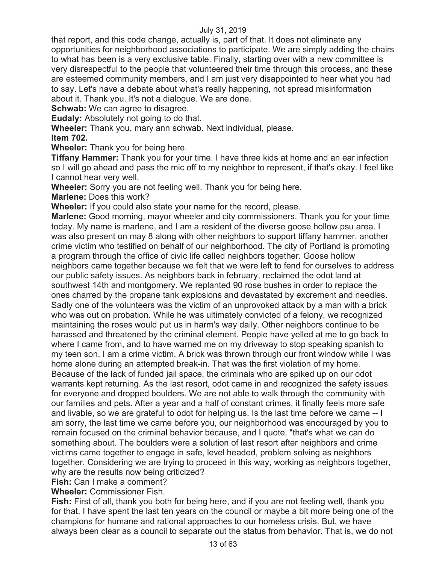that report, and this code change, actually is, part of that. It does not eliminate any opportunities for neighborhood associations to participate. We are simply adding the chairs to what has been is a very exclusive table. Finally, starting over with a new committee is very disrespectful to the people that volunteered their time through this process, and these are esteemed community members, and I am just very disappointed to hear what you had to say. Let's have a debate about what's really happening, not spread misinformation about it. Thank you. It's not a dialogue. We are done.

**Schwab:** We can agree to disagree.

**Eudaly:** Absolutely not going to do that.

**Wheeler:** Thank you, mary ann schwab. Next individual, please.

# **Item 702.**

**Wheeler:** Thank you for being here.

**Tiffany Hammer:** Thank you for your time. I have three kids at home and an ear infection so I will go ahead and pass the mic off to my neighbor to represent, if that's okay. I feel like I cannot hear very well.

**Wheeler:** Sorry you are not feeling well. Thank you for being here.

**Marlene:** Does this work?

**Wheeler:** If you could also state your name for the record, please.

**Marlene:** Good morning, mayor wheeler and city commissioners. Thank you for your time today. My name is marlene, and I am a resident of the diverse goose hollow psu area. I was also present on may 8 along with other neighbors to support tiffany hammer, another crime victim who testified on behalf of our neighborhood. The city of Portland is promoting a program through the office of civic life called neighbors together. Goose hollow neighbors came together because we felt that we were left to fend for ourselves to address our public safety issues. As neighbors back in february, reclaimed the odot land at southwest 14th and montgomery. We replanted 90 rose bushes in order to replace the ones charred by the propane tank explosions and devastated by excrement and needles. Sadly one of the volunteers was the victim of an unprovoked attack by a man with a brick who was out on probation. While he was ultimately convicted of a felony, we recognized maintaining the roses would put us in harm's way daily. Other neighbors continue to be harassed and threatened by the criminal element. People have yelled at me to go back to where I came from, and to have warned me on my driveway to stop speaking spanish to my teen son. I am a crime victim. A brick was thrown through our front window while I was home alone during an attempted break-in. That was the first violation of my home. Because of the lack of funded jail space, the criminals who are spiked up on our odot warrants kept returning. As the last resort, odot came in and recognized the safety issues for everyone and dropped boulders. We are not able to walk through the community with our families and pets. After a year and a half of constant crimes, it finally feels more safe and livable, so we are grateful to odot for helping us. Is the last time before we came -- I am sorry, the last time we came before you, our neighborhood was encouraged by you to remain focused on the criminal behavior because, and I quote, "that's what we can do something about. The boulders were a solution of last resort after neighbors and crime victims came together to engage in safe, level headed, problem solving as neighbors together. Considering we are trying to proceed in this way, working as neighbors together, why are the results now being criticized?

**Fish:** Can I make a comment?

**Wheeler:** Commissioner Fish.

**Fish:** First of all, thank you both for being here, and if you are not feeling well, thank you for that. I have spent the last ten years on the council or maybe a bit more being one of the champions for humane and rational approaches to our homeless crisis. But, we have always been clear as a council to separate out the status from behavior. That is, we do not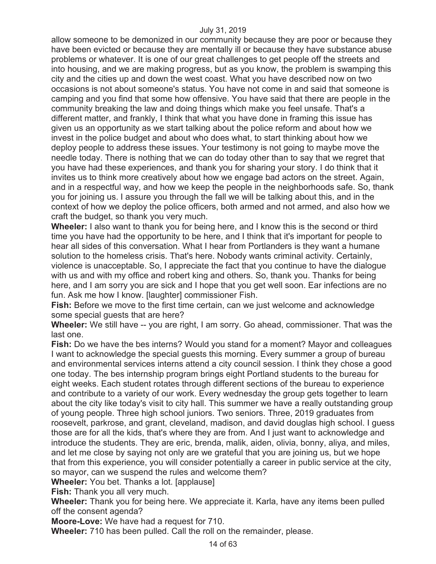allow someone to be demonized in our community because they are poor or because they have been evicted or because they are mentally ill or because they have substance abuse problems or whatever. It is one of our great challenges to get people off the streets and into housing, and we are making progress, but as you know, the problem is swamping this city and the cities up and down the west coast. What you have described now on two occasions is not about someone's status. You have not come in and said that someone is camping and you find that some how offensive. You have said that there are people in the community breaking the law and doing things which make you feel unsafe. That's a different matter, and frankly, I think that what you have done in framing this issue has given us an opportunity as we start talking about the police reform and about how we invest in the police budget and about who does what, to start thinking about how we deploy people to address these issues. Your testimony is not going to maybe move the needle today. There is nothing that we can do today other than to say that we regret that you have had these experiences, and thank you for sharing your story. I do think that it invites us to think more creatively about how we engage bad actors on the street. Again, and in a respectful way, and how we keep the people in the neighborhoods safe. So, thank you for joining us. I assure you through the fall we will be talking about this, and in the context of how we deploy the police officers, both armed and not armed, and also how we craft the budget, so thank you very much.

**Wheeler:** I also want to thank you for being here, and I know this is the second or third time you have had the opportunity to be here, and I think that it's important for people to hear all sides of this conversation. What I hear from Portlanders is they want a humane solution to the homeless crisis. That's here. Nobody wants criminal activity. Certainly, violence is unacceptable. So, I appreciate the fact that you continue to have the dialogue with us and with my office and robert king and others. So, thank you. Thanks for being here, and I am sorry you are sick and I hope that you get well soon. Ear infections are no fun. Ask me how I know. [laughter] commissioner Fish.

**Fish:** Before we move to the first time certain, can we just welcome and acknowledge some special guests that are here?

**Wheeler:** We still have -- you are right, I am sorry. Go ahead, commissioner. That was the last one.

**Fish:** Do we have the bes interns? Would you stand for a moment? Mayor and colleagues I want to acknowledge the special guests this morning. Every summer a group of bureau and environmental services interns attend a city council session. I think they chose a good one today. The bes internship program brings eight Portland students to the bureau for eight weeks. Each student rotates through different sections of the bureau to experience and contribute to a variety of our work. Every wednesday the group gets together to learn about the city like today's visit to city hall. This summer we have a really outstanding group of young people. Three high school juniors. Two seniors. Three, 2019 graduates from roosevelt, parkrose, and grant, cleveland, madison, and david douglas high school. I guess those are for all the kids, that's where they are from. And I just want to acknowledge and introduce the students. They are eric, brenda, malik, aiden, olivia, bonny, aliya, and miles, and let me close by saying not only are we grateful that you are joining us, but we hope that from this experience, you will consider potentially a career in public service at the city, so mayor, can we suspend the rules and welcome them?

**Wheeler:** You bet. Thanks a lot. [applause]

**Fish:** Thank you all very much.

**Wheeler:** Thank you for being here. We appreciate it. Karla, have any items been pulled off the consent agenda?

**Moore-Love:** We have had a request for 710.

**Wheeler:** 710 has been pulled. Call the roll on the remainder, please.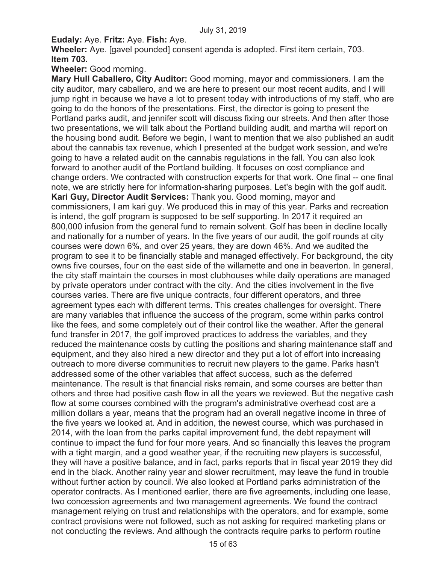# **Eudaly:** Aye. **Fritz:** Aye. **Fish:** Aye.

**Wheeler:** Aye. [gavel pounded] consent agenda is adopted. First item certain, 703. **Item 703.** 

**Wheeler:** Good morning.

**Mary Hull Caballero, City Auditor:** Good morning, mayor and commissioners. I am the city auditor, mary caballero, and we are here to present our most recent audits, and I will jump right in because we have a lot to present today with introductions of my staff, who are going to do the honors of the presentations. First, the director is going to present the Portland parks audit, and jennifer scott will discuss fixing our streets. And then after those two presentations, we will talk about the Portland building audit, and martha will report on the housing bond audit. Before we begin, I want to mention that we also published an audit about the cannabis tax revenue, which I presented at the budget work session, and we're going to have a related audit on the cannabis regulations in the fall. You can also look forward to another audit of the Portland building. It focuses on cost compliance and change orders. We contracted with construction experts for that work. One final -- one final note, we are strictly here for information-sharing purposes. Let's begin with the golf audit. **Kari Guy, Director Audit Services:** Thank you. Good morning, mayor and commissioners, I am kari guy. We produced this in may of this year. Parks and recreation is intend, the golf program is supposed to be self supporting. In 2017 it required an 800,000 infusion from the general fund to remain solvent. Golf has been in decline locally and nationally for a number of years. In the five years of our audit, the golf rounds at city courses were down 6%, and over 25 years, they are down 46%. And we audited the program to see it to be financially stable and managed effectively. For background, the city owns five courses, four on the east side of the willamette and one in beaverton. In general, the city staff maintain the courses in most clubhouses while daily operations are managed by private operators under contract with the city. And the cities involvement in the five courses varies. There are five unique contracts, four different operators, and three agreement types each with different terms. This creates challenges for oversight. There are many variables that influence the success of the program, some within parks control like the fees, and some completely out of their control like the weather. After the general fund transfer in 2017, the golf improved practices to address the variables, and they reduced the maintenance costs by cutting the positions and sharing maintenance staff and equipment, and they also hired a new director and they put a lot of effort into increasing outreach to more diverse communities to recruit new players to the game. Parks hasn't addressed some of the other variables that affect success, such as the deferred maintenance. The result is that financial risks remain, and some courses are better than others and three had positive cash flow in all the years we reviewed. But the negative cash flow at some courses combined with the program's administrative overhead cost are a million dollars a year, means that the program had an overall negative income in three of the five years we looked at. And in addition, the newest course, which was purchased in 2014, with the loan from the parks capital improvement fund, the debt repayment will continue to impact the fund for four more years. And so financially this leaves the program with a tight margin, and a good weather year, if the recruiting new players is successful, they will have a positive balance, and in fact, parks reports that in fiscal year 2019 they did end in the black. Another rainy year and slower recruitment, may leave the fund in trouble without further action by council. We also looked at Portland parks administration of the operator contracts. As I mentioned earlier, there are five agreements, including one lease, two concession agreements and two management agreements. We found the contract management relying on trust and relationships with the operators, and for example, some contract provisions were not followed, such as not asking for required marketing plans or not conducting the reviews. And although the contracts require parks to perform routine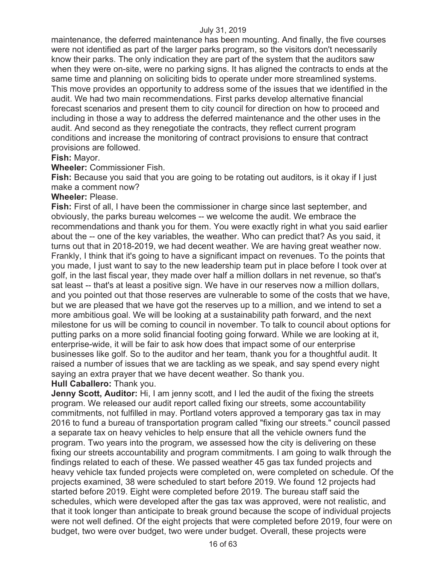maintenance, the deferred maintenance has been mounting. And finally, the five courses were not identified as part of the larger parks program, so the visitors don't necessarily know their parks. The only indication they are part of the system that the auditors saw when they were on-site, were no parking signs. It has aligned the contracts to ends at the same time and planning on soliciting bids to operate under more streamlined systems. This move provides an opportunity to address some of the issues that we identified in the audit. We had two main recommendations. First parks develop alternative financial forecast scenarios and present them to city council for direction on how to proceed and including in those a way to address the deferred maintenance and the other uses in the audit. And second as they renegotiate the contracts, they reflect current program conditions and increase the monitoring of contract provisions to ensure that contract provisions are followed.

# **Fish:** Mayor.

**Wheeler:** Commissioner Fish.

**Fish:** Because you said that you are going to be rotating out auditors, is it okay if I just make a comment now?

### **Wheeler:** Please.

**Fish:** First of all, I have been the commissioner in charge since last september, and obviously, the parks bureau welcomes -- we welcome the audit. We embrace the recommendations and thank you for them. You were exactly right in what you said earlier about the -- one of the key variables, the weather. Who can predict that? As you said, it turns out that in 2018-2019, we had decent weather. We are having great weather now. Frankly, I think that it's going to have a significant impact on revenues. To the points that you made, I just want to say to the new leadership team put in place before I took over at golf, in the last fiscal year, they made over half a million dollars in net revenue, so that's sat least -- that's at least a positive sign. We have in our reserves now a million dollars, and you pointed out that those reserves are vulnerable to some of the costs that we have, but we are pleased that we have got the reserves up to a million, and we intend to set a more ambitious goal. We will be looking at a sustainability path forward, and the next milestone for us will be coming to council in november. To talk to council about options for putting parks on a more solid financial footing going forward. While we are looking at it, enterprise-wide, it will be fair to ask how does that impact some of our enterprise businesses like golf. So to the auditor and her team, thank you for a thoughtful audit. It raised a number of issues that we are tackling as we speak, and say spend every night saying an extra prayer that we have decent weather. So thank you. **Hull Caballero:** Thank you.

**Jenny Scott, Auditor:** Hi, I am jenny scott, and I led the audit of the fixing the streets program. We released our audit report called fixing our streets, some accountability commitments, not fulfilled in may. Portland voters approved a temporary gas tax in may 2016 to fund a bureau of transportation program called "fixing our streets." council passed a separate tax on heavy vehicles to help ensure that all the vehicle owners fund the program. Two years into the program, we assessed how the city is delivering on these fixing our streets accountability and program commitments. I am going to walk through the findings related to each of these. We passed weather 45 gas tax funded projects and heavy vehicle tax funded projects were completed on, were completed on schedule. Of the projects examined, 38 were scheduled to start before 2019. We found 12 projects had started before 2019. Eight were completed before 2019. The bureau staff said the schedules, which were developed after the gas tax was approved, were not realistic, and that it took longer than anticipate to break ground because the scope of individual projects were not well defined. Of the eight projects that were completed before 2019, four were on budget, two were over budget, two were under budget. Overall, these projects were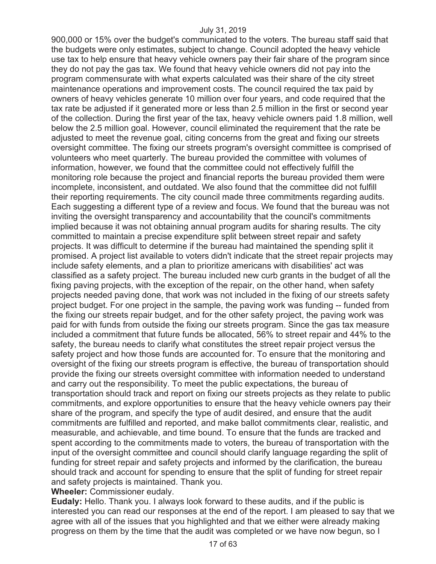900,000 or 15% over the budget's communicated to the voters. The bureau staff said that the budgets were only estimates, subject to change. Council adopted the heavy vehicle use tax to help ensure that heavy vehicle owners pay their fair share of the program since they do not pay the gas tax. We found that heavy vehicle owners did not pay into the program commensurate with what experts calculated was their share of the city street maintenance operations and improvement costs. The council required the tax paid by owners of heavy vehicles generate 10 million over four years, and code required that the tax rate be adjusted if it generated more or less than 2.5 million in the first or second year of the collection. During the first year of the tax, heavy vehicle owners paid 1.8 million, well below the 2.5 million goal. However, council eliminated the requirement that the rate be adjusted to meet the revenue goal, citing concerns from the great and fixing our streets oversight committee. The fixing our streets program's oversight committee is comprised of volunteers who meet quarterly. The bureau provided the committee with volumes of information, however, we found that the committee could not effectively fulfill the monitoring role because the project and financial reports the bureau provided them were incomplete, inconsistent, and outdated. We also found that the committee did not fulfill their reporting requirements. The city council made three commitments regarding audits. Each suggesting a different type of a review and focus. We found that the bureau was not inviting the oversight transparency and accountability that the council's commitments implied because it was not obtaining annual program audits for sharing results. The city committed to maintain a precise expenditure split between street repair and safety projects. It was difficult to determine if the bureau had maintained the spending split it promised. A project list available to voters didn't indicate that the street repair projects may include safety elements, and a plan to prioritize americans with disabilities' act was classified as a safety project. The bureau included new curb grants in the budget of all the fixing paving projects, with the exception of the repair, on the other hand, when safety projects needed paving done, that work was not included in the fixing of our streets safety project budget. For one project in the sample, the paving work was funding -- funded from the fixing our streets repair budget, and for the other safety project, the paving work was paid for with funds from outside the fixing our streets program. Since the gas tax measure included a commitment that future funds be allocated, 56% to street repair and 44% to the safety, the bureau needs to clarify what constitutes the street repair project versus the safety project and how those funds are accounted for. To ensure that the monitoring and oversight of the fixing our streets program is effective, the bureau of transportation should provide the fixing our streets oversight committee with information needed to understand and carry out the responsibility. To meet the public expectations, the bureau of transportation should track and report on fixing our streets projects as they relate to public commitments, and explore opportunities to ensure that the heavy vehicle owners pay their share of the program, and specify the type of audit desired, and ensure that the audit commitments are fulfilled and reported, and make ballot commitments clear, realistic, and measurable, and achievable, and time bound. To ensure that the funds are tracked and spent according to the commitments made to voters, the bureau of transportation with the input of the oversight committee and council should clarify language regarding the split of funding for street repair and safety projects and informed by the clarification, the bureau should track and account for spending to ensure that the split of funding for street repair and safety projects is maintained. Thank you.

**Wheeler:** Commissioner eudaly.

**Eudaly:** Hello. Thank you. I always look forward to these audits, and if the public is interested you can read our responses at the end of the report. I am pleased to say that we agree with all of the issues that you highlighted and that we either were already making progress on them by the time that the audit was completed or we have now begun, so I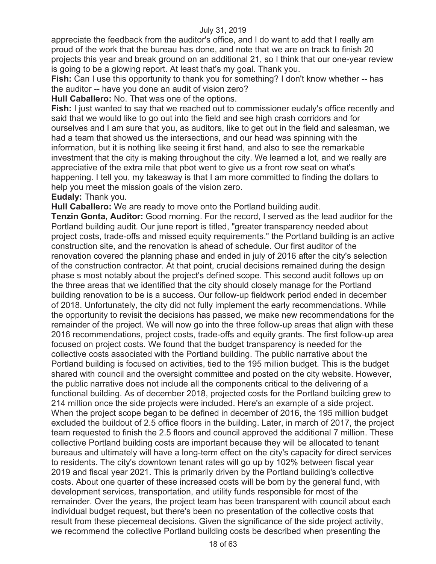appreciate the feedback from the auditor's office, and I do want to add that I really am proud of the work that the bureau has done, and note that we are on track to finish 20 projects this year and break ground on an additional 21, so I think that our one-year review is going to be a glowing report. At least that's my goal. Thank you.

**Fish:** Can I use this opportunity to thank you for something? I don't know whether -- has the auditor -- have you done an audit of vision zero?

**Hull Caballero:** No. That was one of the options.

**Fish:** I just wanted to say that we reached out to commissioner eudaly's office recently and said that we would like to go out into the field and see high crash corridors and for ourselves and I am sure that you, as auditors, like to get out in the field and salesman, we had a team that showed us the intersections, and our head was spinning with the information, but it is nothing like seeing it first hand, and also to see the remarkable investment that the city is making throughout the city. We learned a lot, and we really are appreciative of the extra mile that pbot went to give us a front row seat on what's happening. I tell you, my takeaway is that I am more committed to finding the dollars to help you meet the mission goals of the vision zero.

**Eudaly:** Thank you.

**Hull Caballero:** We are ready to move onto the Portland building audit.

**Tenzin Gonta, Auditor:** Good morning. For the record, I served as the lead auditor for the Portland building audit. Our june report is titled, "greater transparency needed about project costs, trade-offs and missed equity requirements." the Portland building is an active construction site, and the renovation is ahead of schedule. Our first auditor of the renovation covered the planning phase and ended in july of 2016 after the city's selection of the construction contractor. At that point, crucial decisions remained during the design phase s most notably about the project's defined scope. This second audit follows up on the three areas that we identified that the city should closely manage for the Portland building renovation to be is a success. Our follow-up fieldwork period ended in december of 2018. Unfortunately, the city did not fully implement the early recommendations. While the opportunity to revisit the decisions has passed, we make new recommendations for the remainder of the project. We will now go into the three follow-up areas that align with these 2016 recommendations, project costs, trade-offs and equity grants. The first follow-up area focused on project costs. We found that the budget transparency is needed for the collective costs associated with the Portland building. The public narrative about the Portland building is focused on activities, tied to the 195 million budget. This is the budget shared with council and the oversight committee and posted on the city website. However, the public narrative does not include all the components critical to the delivering of a functional building. As of december 2018, projected costs for the Portland building grew to 214 million once the side projects were included. Here's an example of a side project. When the project scope began to be defined in december of 2016, the 195 million budget excluded the buildout of 2.5 office floors in the building. Later, in march of 2017, the project team requested to finish the 2.5 floors and council approved the additional 7 million. These collective Portland building costs are important because they will be allocated to tenant bureaus and ultimately will have a long-term effect on the city's capacity for direct services to residents. The city's downtown tenant rates will go up by 102% between fiscal year 2019 and fiscal year 2021. This is primarily driven by the Portland building's collective costs. About one quarter of these increased costs will be born by the general fund, with development services, transportation, and utility funds responsible for most of the remainder. Over the years, the project team has been transparent with council about each individual budget request, but there's been no presentation of the collective costs that result from these piecemeal decisions. Given the significance of the side project activity, we recommend the collective Portland building costs be described when presenting the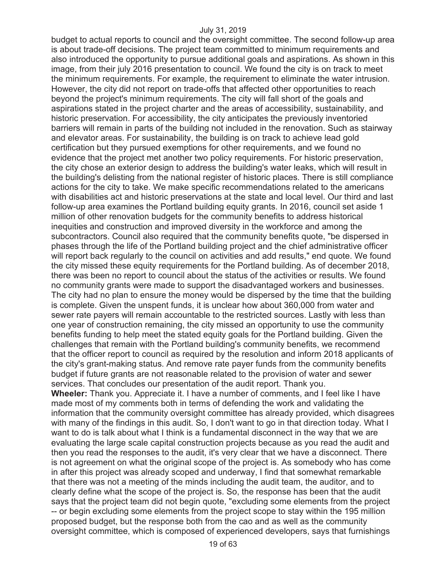budget to actual reports to council and the oversight committee. The second follow-up area is about trade-off decisions. The project team committed to minimum requirements and also introduced the opportunity to pursue additional goals and aspirations. As shown in this image, from their july 2016 presentation to council. We found the city is on track to meet the minimum requirements. For example, the requirement to eliminate the water intrusion. However, the city did not report on trade-offs that affected other opportunities to reach beyond the project's minimum requirements. The city will fall short of the goals and aspirations stated in the project charter and the areas of accessibility, sustainability, and historic preservation. For accessibility, the city anticipates the previously inventoried barriers will remain in parts of the building not included in the renovation. Such as stairway and elevator areas. For sustainability, the building is on track to achieve lead gold certification but they pursued exemptions for other requirements, and we found no evidence that the project met another two policy requirements. For historic preservation, the city chose an exterior design to address the building's water leaks, which will result in the building's delisting from the national register of historic places. There is still compliance actions for the city to take. We make specific recommendations related to the americans with disabilities act and historic preservations at the state and local level. Our third and last follow-up area examines the Portland building equity grants. In 2016, council set aside 1 million of other renovation budgets for the community benefits to address historical inequities and construction and improved diversity in the workforce and among the subcontractors. Council also required that the community benefits quote, "be dispersed in phases through the life of the Portland building project and the chief administrative officer will report back regularly to the council on activities and add results," end quote. We found the city missed these equity requirements for the Portland building. As of december 2018, there was been no report to council about the status of the activities or results. We found no community grants were made to support the disadvantaged workers and businesses. The city had no plan to ensure the money would be dispersed by the time that the building is complete. Given the unspent funds, it is unclear how about 360,000 from water and sewer rate payers will remain accountable to the restricted sources. Lastly with less than one year of construction remaining, the city missed an opportunity to use the community benefits funding to help meet the stated equity goals for the Portland building. Given the challenges that remain with the Portland building's community benefits, we recommend that the officer report to council as required by the resolution and inform 2018 applicants of the city's grant-making status. And remove rate payer funds from the community benefits budget if future grants are not reasonable related to the provision of water and sewer services. That concludes our presentation of the audit report. Thank you. **Wheeler:** Thank you. Appreciate it. I have a number of comments, and I feel like I have

made most of my comments both in terms of defending the work and validating the information that the community oversight committee has already provided, which disagrees with many of the findings in this audit. So, I don't want to go in that direction today. What I want to do is talk about what I think is a fundamental disconnect in the way that we are evaluating the large scale capital construction projects because as you read the audit and then you read the responses to the audit, it's very clear that we have a disconnect. There is not agreement on what the original scope of the project is. As somebody who has come in after this project was already scoped and underway, I find that somewhat remarkable that there was not a meeting of the minds including the audit team, the auditor, and to clearly define what the scope of the project is. So, the response has been that the audit says that the project team did not begin quote, "excluding some elements from the project -- or begin excluding some elements from the project scope to stay within the 195 million proposed budget, but the response both from the cao and as well as the community oversight committee, which is composed of experienced developers, says that furnishings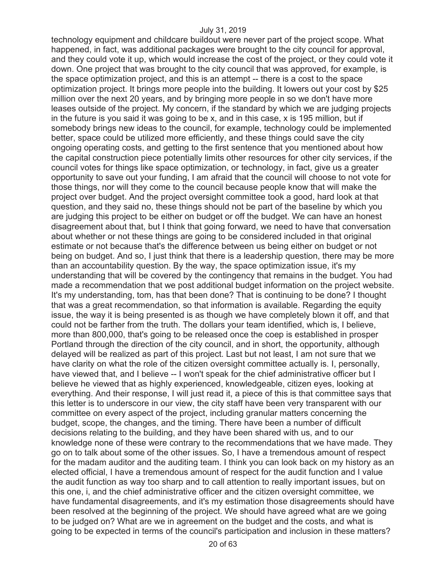technology equipment and childcare buildout were never part of the project scope. What happened, in fact, was additional packages were brought to the city council for approval, and they could vote it up, which would increase the cost of the project, or they could vote it down. One project that was brought to the city council that was approved, for example, is the space optimization project, and this is an attempt -- there is a cost to the space optimization project. It brings more people into the building. It lowers out your cost by \$25 million over the next 20 years, and by bringing more people in so we don't have more leases outside of the project. My concern, if the standard by which we are judging projects in the future is you said it was going to be x, and in this case, x is 195 million, but if somebody brings new ideas to the council, for example, technology could be implemented better, space could be utilized more efficiently, and these things could save the city ongoing operating costs, and getting to the first sentence that you mentioned about how the capital construction piece potentially limits other resources for other city services, if the council votes for things like space optimization, or technology, in fact, give us a greater opportunity to save out your funding, I am afraid that the council will choose to not vote for those things, nor will they come to the council because people know that will make the project over budget. And the project oversight committee took a good, hard look at that question, and they said no, these things should not be part of the baseline by which you are judging this project to be either on budget or off the budget. We can have an honest disagreement about that, but I think that going forward, we need to have that conversation about whether or not these things are going to be considered included in that original estimate or not because that's the difference between us being either on budget or not being on budget. And so, I just think that there is a leadership question, there may be more than an accountability question. By the way, the space optimization issue, it's my understanding that will be covered by the contingency that remains in the budget. You had made a recommendation that we post additional budget information on the project website. It's my understanding, tom, has that been done? That is continuing to be done? I thought that was a great recommendation, so that information is available. Regarding the equity issue, the way it is being presented is as though we have completely blown it off, and that could not be farther from the truth. The dollars your team identified, which is, I believe, more than 800,000, that's going to be released once the coep is established in prosper Portland through the direction of the city council, and in short, the opportunity, although delayed will be realized as part of this project. Last but not least, I am not sure that we have clarity on what the role of the citizen oversight committee actually is. I, personally, have viewed that, and I believe -- I won't speak for the chief administrative officer but I believe he viewed that as highly experienced, knowledgeable, citizen eyes, looking at everything. And their response, I will just read it, a piece of this is that committee says that this letter is to underscore in our view, the city staff have been very transparent with our committee on every aspect of the project, including granular matters concerning the budget, scope, the changes, and the timing. There have been a number of difficult decisions relating to the building, and they have been shared with us, and to our knowledge none of these were contrary to the recommendations that we have made. They go on to talk about some of the other issues. So, I have a tremendous amount of respect for the madam auditor and the auditing team. I think you can look back on my history as an elected official, I have a tremendous amount of respect for the audit function and I value the audit function as way too sharp and to call attention to really important issues, but on this one, i, and the chief administrative officer and the citizen oversight committee, we have fundamental disagreements, and it's my estimation those disagreements should have been resolved at the beginning of the project. We should have agreed what are we going to be judged on? What are we in agreement on the budget and the costs, and what is going to be expected in terms of the council's participation and inclusion in these matters?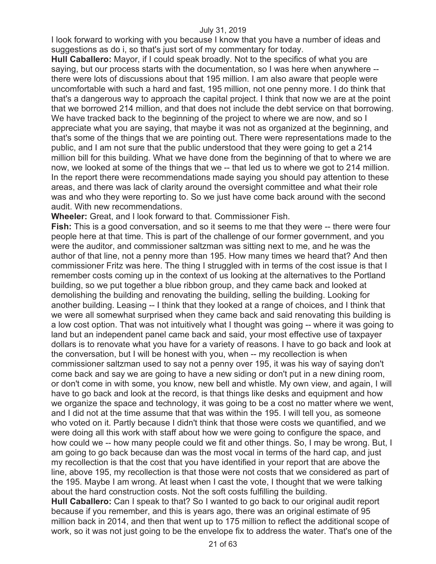I look forward to working with you because I know that you have a number of ideas and suggestions as do i, so that's just sort of my commentary for today.

**Hull Caballero:** Mayor, if I could speak broadly. Not to the specifics of what you are saying, but our process starts with the documentation, so I was here when anywhere - there were lots of discussions about that 195 million. I am also aware that people were uncomfortable with such a hard and fast, 195 million, not one penny more. I do think that that's a dangerous way to approach the capital project. I think that now we are at the point that we borrowed 214 million, and that does not include the debt service on that borrowing. We have tracked back to the beginning of the project to where we are now, and so I appreciate what you are saying, that maybe it was not as organized at the beginning, and that's some of the things that we are pointing out. There were representations made to the public, and I am not sure that the public understood that they were going to get a 214 million bill for this building. What we have done from the beginning of that to where we are now, we looked at some of the things that we -- that led us to where we got to 214 million. In the report there were recommendations made saying you should pay attention to these areas, and there was lack of clarity around the oversight committee and what their role was and who they were reporting to. So we just have come back around with the second audit. With new recommendations.

**Wheeler:** Great, and I look forward to that. Commissioner Fish.

**Fish:** This is a good conversation, and so it seems to me that they were -- there were four people here at that time. This is part of the challenge of our former government, and you were the auditor, and commissioner saltzman was sitting next to me, and he was the author of that line, not a penny more than 195. How many times we heard that? And then commissioner Fritz was here. The thing I struggled with in terms of the cost issue is that I remember costs coming up in the context of us looking at the alternatives to the Portland building, so we put together a blue ribbon group, and they came back and looked at demolishing the building and renovating the building, selling the building. Looking for another building. Leasing -- I think that they looked at a range of choices, and I think that we were all somewhat surprised when they came back and said renovating this building is a low cost option. That was not intuitively what I thought was going -- where it was going to land but an independent panel came back and said, your most effective use of taxpayer dollars is to renovate what you have for a variety of reasons. I have to go back and look at the conversation, but I will be honest with you, when -- my recollection is when commissioner saltzman used to say not a penny over 195, it was his way of saying don't come back and say we are going to have a new siding or don't put in a new dining room, or don't come in with some, you know, new bell and whistle. My own view, and again, I will have to go back and look at the record, is that things like desks and equipment and how we organize the space and technology, it was going to be a cost no matter where we went, and I did not at the time assume that that was within the 195. I will tell you, as someone who voted on it. Partly because I didn't think that those were costs we quantified, and we were doing all this work with staff about how we were going to configure the space, and how could we -- how many people could we fit and other things. So, I may be wrong. But, I am going to go back because dan was the most vocal in terms of the hard cap, and just my recollection is that the cost that you have identified in your report that are above the line, above 195, my recollection is that those were not costs that we considered as part of the 195. Maybe I am wrong. At least when I cast the vote, I thought that we were talking about the hard construction costs. Not the soft costs fulfilling the building. **Hull Caballero:** Can I speak to that? So I wanted to go back to our original audit report because if you remember, and this is years ago, there was an original estimate of 95 million back in 2014, and then that went up to 175 million to reflect the additional scope of work, so it was not just going to be the envelope fix to address the water. That's one of the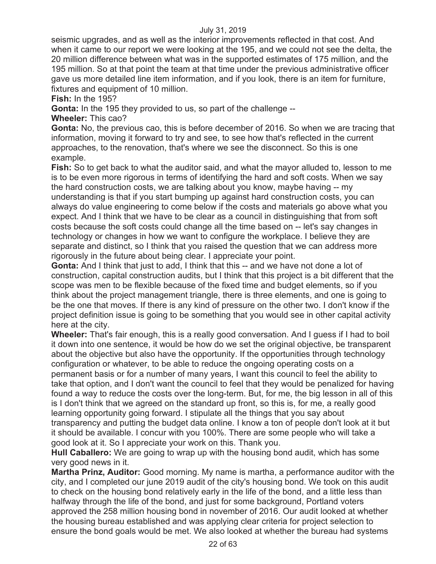seismic upgrades, and as well as the interior improvements reflected in that cost. And when it came to our report we were looking at the 195, and we could not see the delta, the 20 million difference between what was in the supported estimates of 175 million, and the 195 million. So at that point the team at that time under the previous administrative officer gave us more detailed line item information, and if you look, there is an item for furniture, fixtures and equipment of 10 million.

**Fish:** In the 195?

**Gonta:** In the 195 they provided to us, so part of the challenge --

**Wheeler:** This cao?

**Gonta:** No, the previous cao, this is before december of 2016. So when we are tracing that information, moving it forward to try and see, to see how that's reflected in the current approaches, to the renovation, that's where we see the disconnect. So this is one example.

**Fish:** So to get back to what the auditor said, and what the mayor alluded to, lesson to me is to be even more rigorous in terms of identifying the hard and soft costs. When we say the hard construction costs, we are talking about you know, maybe having -- my understanding is that if you start bumping up against hard construction costs, you can always do value engineering to come below if the costs and materials go above what you expect. And I think that we have to be clear as a council in distinguishing that from soft costs because the soft costs could change all the time based on -- let's say changes in technology or changes in how we want to configure the workplace. I believe they are separate and distinct, so I think that you raised the question that we can address more rigorously in the future about being clear. I appreciate your point.

**Gonta:** And I think that just to add, I think that this -- and we have not done a lot of construction, capital construction audits, but I think that this project is a bit different that the scope was men to be flexible because of the fixed time and budget elements, so if you think about the project management triangle, there is three elements, and one is going to be the one that moves. If there is any kind of pressure on the other two. I don't know if the project definition issue is going to be something that you would see in other capital activity here at the city.

**Wheeler:** That's fair enough, this is a really good conversation. And I guess if I had to boil it down into one sentence, it would be how do we set the original objective, be transparent about the objective but also have the opportunity. If the opportunities through technology configuration or whatever, to be able to reduce the ongoing operating costs on a permanent basis or for a number of many years, I want this council to feel the ability to take that option, and I don't want the council to feel that they would be penalized for having found a way to reduce the costs over the long-term. But, for me, the big lesson in all of this is I don't think that we agreed on the standard up front, so this is, for me, a really good learning opportunity going forward. I stipulate all the things that you say about transparency and putting the budget data online. I know a ton of people don't look at it but it should be available. I concur with you 100%. There are some people who will take a good look at it. So I appreciate your work on this. Thank you.

**Hull Caballero:** We are going to wrap up with the housing bond audit, which has some very good news in it.

**Martha Prinz, Auditor:** Good morning. My name is martha, a performance auditor with the city, and I completed our june 2019 audit of the city's housing bond. We took on this audit to check on the housing bond relatively early in the life of the bond, and a little less than halfway through the life of the bond, and just for some background, Portland voters approved the 258 million housing bond in november of 2016. Our audit looked at whether the housing bureau established and was applying clear criteria for project selection to ensure the bond goals would be met. We also looked at whether the bureau had systems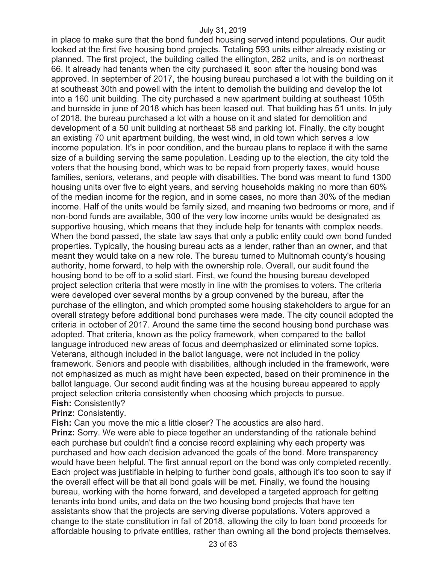in place to make sure that the bond funded housing served intend populations. Our audit looked at the first five housing bond projects. Totaling 593 units either already existing or planned. The first project, the building called the ellington, 262 units, and is on northeast 66. It already had tenants when the city purchased it, soon after the housing bond was approved. In september of 2017, the housing bureau purchased a lot with the building on it at southeast 30th and powell with the intent to demolish the building and develop the lot into a 160 unit building. The city purchased a new apartment building at southeast 105th and burnside in june of 2018 which has been leased out. That building has 51 units. In july of 2018, the bureau purchased a lot with a house on it and slated for demolition and development of a 50 unit building at northeast 58 and parking lot. Finally, the city bought an existing 70 unit apartment building, the west wind, in old town which serves a low income population. It's in poor condition, and the bureau plans to replace it with the same size of a building serving the same population. Leading up to the election, the city told the voters that the housing bond, which was to be repaid from property taxes, would house families, seniors, veterans, and people with disabilities. The bond was meant to fund 1300 housing units over five to eight years, and serving households making no more than 60% of the median income for the region, and in some cases, no more than 30% of the median income. Half of the units would be family sized, and meaning two bedrooms or more, and if non-bond funds are available, 300 of the very low income units would be designated as supportive housing, which means that they include help for tenants with complex needs. When the bond passed, the state law says that only a public entity could own bond funded properties. Typically, the housing bureau acts as a lender, rather than an owner, and that meant they would take on a new role. The bureau turned to Multnomah county's housing authority, home forward, to help with the ownership role. Overall, our audit found the housing bond to be off to a solid start. First, we found the housing bureau developed project selection criteria that were mostly in line with the promises to voters. The criteria were developed over several months by a group convened by the bureau, after the purchase of the ellington, and which prompted some housing stakeholders to argue for an overall strategy before additional bond purchases were made. The city council adopted the criteria in october of 2017. Around the same time the second housing bond purchase was adopted. That criteria, known as the policy framework, when compared to the ballot language introduced new areas of focus and deemphasized or eliminated some topics. Veterans, although included in the ballot language, were not included in the policy framework. Seniors and people with disabilities, although included in the framework, were not emphasized as much as might have been expected, based on their prominence in the ballot language. Our second audit finding was at the housing bureau appeared to apply project selection criteria consistently when choosing which projects to pursue. **Fish:** Consistently?

# **Prinz:** Consistently.

**Fish:** Can you move the mic a little closer? The acoustics are also hard.

**Prinz:** Sorry. We were able to piece together an understanding of the rationale behind each purchase but couldn't find a concise record explaining why each property was purchased and how each decision advanced the goals of the bond. More transparency would have been helpful. The first annual report on the bond was only completed recently. Each project was justifiable in helping to further bond goals, although it's too soon to say if the overall effect will be that all bond goals will be met. Finally, we found the housing bureau, working with the home forward, and developed a targeted approach for getting tenants into bond units, and data on the two housing bond projects that have ten assistants show that the projects are serving diverse populations. Voters approved a change to the state constitution in fall of 2018, allowing the city to loan bond proceeds for affordable housing to private entities, rather than owning all the bond projects themselves.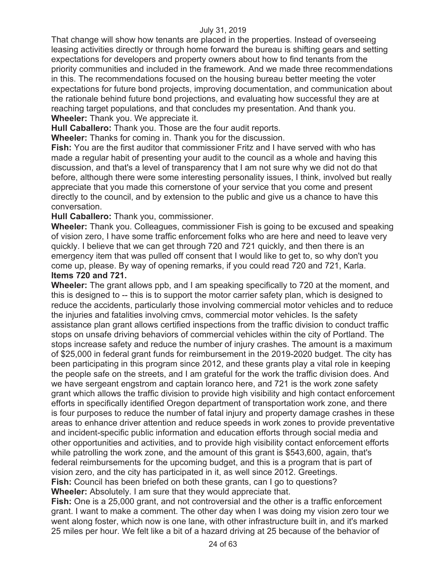That change will show how tenants are placed in the properties. Instead of overseeing leasing activities directly or through home forward the bureau is shifting gears and setting expectations for developers and property owners about how to find tenants from the priority communities and included in the framework. And we made three recommendations in this. The recommendations focused on the housing bureau better meeting the voter expectations for future bond projects, improving documentation, and communication about the rationale behind future bond projections, and evaluating how successful they are at reaching target populations, and that concludes my presentation. And thank you. **Wheeler:** Thank you. We appreciate it.

**Hull Caballero:** Thank you. Those are the four audit reports.

**Wheeler:** Thanks for coming in. Thank you for the discussion.

**Fish:** You are the first auditor that commissioner Fritz and I have served with who has made a regular habit of presenting your audit to the council as a whole and having this discussion, and that's a level of transparency that I am not sure why we did not do that before, although there were some interesting personality issues, I think, involved but really appreciate that you made this cornerstone of your service that you come and present directly to the council, and by extension to the public and give us a chance to have this conversation.

**Hull Caballero:** Thank you, commissioner.

**Wheeler:** Thank you. Colleagues, commissioner Fish is going to be excused and speaking of vision zero, I have some traffic enforcement folks who are here and need to leave very quickly. I believe that we can get through 720 and 721 quickly, and then there is an emergency item that was pulled off consent that I would like to get to, so why don't you come up, please. By way of opening remarks, if you could read 720 and 721, Karla. **Items 720 and 721.** 

**Wheeler:** The grant allows ppb, and I am speaking specifically to 720 at the moment, and this is designed to -- this is to support the motor carrier safety plan, which is designed to reduce the accidents, particularly those involving commercial motor vehicles and to reduce the injuries and fatalities involving cmvs, commercial motor vehicles. Is the safety assistance plan grant allows certified inspections from the traffic division to conduct traffic stops on unsafe driving behaviors of commercial vehicles within the city of Portland. The stops increase safety and reduce the number of injury crashes. The amount is a maximum of \$25,000 in federal grant funds for reimbursement in the 2019-2020 budget. The city has been participating in this program since 2012, and these grants play a vital role in keeping the people safe on the streets, and I am grateful for the work the traffic division does. And we have sergeant engstrom and captain loranco here, and 721 is the work zone safety grant which allows the traffic division to provide high visibility and high contact enforcement efforts in specifically identified Oregon department of transportation work zone, and there is four purposes to reduce the number of fatal injury and property damage crashes in these areas to enhance driver attention and reduce speeds in work zones to provide preventative and incident-specific public information and education efforts through social media and other opportunities and activities, and to provide high visibility contact enforcement efforts while patrolling the work zone, and the amount of this grant is \$543,600, again, that's federal reimbursements for the upcoming budget, and this is a program that is part of vision zero, and the city has participated in it, as well since 2012. Greetings. **Fish:** Council has been briefed on both these grants, can I go to questions?

**Wheeler:** Absolutely. I am sure that they would appreciate that.

**Fish:** One is a 25,000 grant, and not controversial and the other is a traffic enforcement grant. I want to make a comment. The other day when I was doing my vision zero tour we went along foster, which now is one lane, with other infrastructure built in, and it's marked 25 miles per hour. We felt like a bit of a hazard driving at 25 because of the behavior of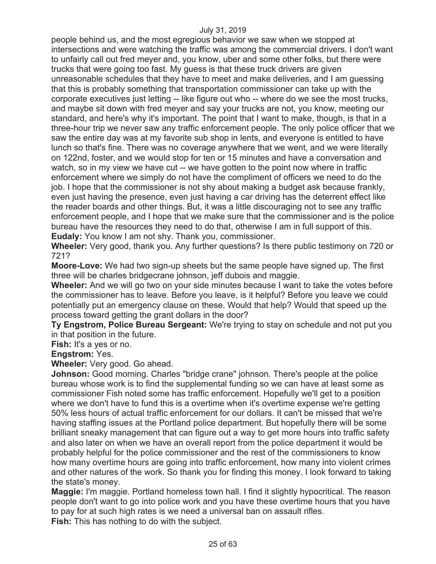people behind us, and the most egregious behavior we saw when we stopped at intersections and were watching the traffic was among the commercial drivers. I don't want to unfairly call out fred meyer and, you know, uber and some other folks, but there were trucks that were going too fast. My guess is that these truck drivers are given unreasonable schedules that they have to meet and make deliveries, and I am guessing that this is probably something that transportation commissioner can take up with the corporate executives just letting -- like figure out who -- where do we see the most trucks, and maybe sit down with fred meyer and say your trucks are not, you know, meeting our standard, and here's why it's important. The point that I want to make, though, is that in a three-hour trip we never saw any traffic enforcement people. The only police officer that we saw the entire day was at my favorite sub shop in lents, and everyone is entitled to have lunch so that's fine. There was no coverage anywhere that we went, and we were literally on 122nd, foster, and we would stop for ten or 15 minutes and have a conversation and watch, so in my view we have cut -- we have gotten to the point now where in traffic enforcement where we simply do not have the compliment of officers we need to do the job. I hope that the commissioner is not shy about making a budget ask because frankly, even just having the presence, even just having a car driving has the deterrent effect like the reader boards and other things. But, it was a little discouraging not to see any traffic enforcement people, and I hope that we make sure that the commissioner and is the police bureau have the resources they need to do that, otherwise I am in full support of this. **Eudaly:** You know I am not shy. Thank you, commissioner.

**Wheeler:** Very good, thank you. Any further questions? Is there public testimony on 720 or 721?

**Moore-Love:** We had two sign-up sheets but the same people have signed up. The first three will be charles bridgecrane johnson, jeff dubois and maggie.

**Wheeler:** And we will go two on your side minutes because I want to take the votes before the commissioner has to leave. Before you leave, is it helpful? Before you leave we could potentially put an emergency clause on these. Would that help? Would that speed up the process toward getting the grant dollars in the door?

**Ty Engstrom, Police Bureau Sergeant:** We're trying to stay on schedule and not put you in that position in the future.

**Fish:** It's a yes or no.

**Engstrom:** Yes.

**Wheeler:** Very good. Go ahead.

**Johnson:** Good morning. Charles "bridge crane" johnson. There's people at the police bureau whose work is to find the supplemental funding so we can have at least some as commissioner Fish noted some has traffic enforcement. Hopefully we'll get to a position where we don't have to fund this is a overtime when it's overtime expense we're getting 50% less hours of actual traffic enforcement for our dollars. It can't be missed that we're having staffing issues at the Portland police department. But hopefully there will be some brilliant sneaky management that can figure out a way to get more hours into traffic safety and also later on when we have an overall report from the police department it would be probably helpful for the police commissioner and the rest of the commissioners to know how many overtime hours are going into traffic enforcement, how many into violent crimes and other natures of the work. So thank you for finding this money. I look forward to taking the state's money.

**Maggie:** I'm maggie. Portland homeless town hall. I find it slightly hypocritical. The reason people don't want to go into police work and you have these overtime hours that you have to pay for at such high rates is we need a universal ban on assault rifles.

**Fish:** This has nothing to do with the subject.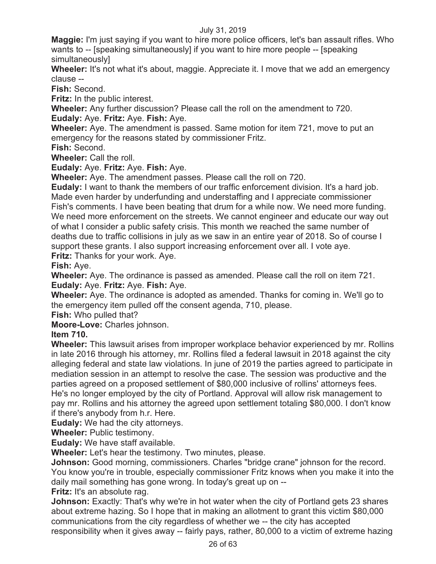**Maggie:** I'm just saying if you want to hire more police officers, let's ban assault rifles. Who wants to -- [speaking simultaneously] if you want to hire more people -- [speaking simultaneously]

**Wheeler:** It's not what it's about, maggie. Appreciate it. I move that we add an emergency clause --

**Fish:** Second.

**Fritz:** In the public interest.

**Wheeler:** Any further discussion? Please call the roll on the amendment to 720. **Eudaly:** Aye. **Fritz:** Aye. **Fish:** Aye.

**Wheeler:** Aye. The amendment is passed. Same motion for item 721, move to put an emergency for the reasons stated by commissioner Fritz.

**Fish:** Second.

**Wheeler:** Call the roll.

**Eudaly:** Aye. **Fritz:** Aye. **Fish:** Aye.

**Wheeler:** Aye. The amendment passes. Please call the roll on 720.

**Eudaly:** I want to thank the members of our traffic enforcement division. It's a hard job. Made even harder by underfunding and understaffing and I appreciate commissioner Fish's comments. I have been beating that drum for a while now. We need more funding. We need more enforcement on the streets. We cannot engineer and educate our way out of what I consider a public safety crisis. This month we reached the same number of deaths due to traffic collisions in july as we saw in an entire year of 2018. So of course I support these grants. I also support increasing enforcement over all. I vote aye. **Fritz:** Thanks for your work. Aye.

**Fish:** Aye.

**Wheeler:** Aye. The ordinance is passed as amended. Please call the roll on item 721. **Eudaly:** Aye. **Fritz:** Aye. **Fish:** Aye.

**Wheeler:** Aye. The ordinance is adopted as amended. Thanks for coming in. We'll go to the emergency item pulled off the consent agenda, 710, please.

**Fish:** Who pulled that?

**Moore-Love:** Charles johnson.

**Item 710.** 

**Wheeler:** This lawsuit arises from improper workplace behavior experienced by mr. Rollins in late 2016 through his attorney, mr. Rollins filed a federal lawsuit in 2018 against the city alleging federal and state law violations. In june of 2019 the parties agreed to participate in mediation session in an attempt to resolve the case. The session was productive and the parties agreed on a proposed settlement of \$80,000 inclusive of rollins' attorneys fees. He's no longer employed by the city of Portland. Approval will allow risk management to pay mr. Rollins and his attorney the agreed upon settlement totaling \$80,000. I don't know if there's anybody from h.r. Here.

**Eudaly:** We had the city attorneys.

**Wheeler:** Public testimony.

**Eudaly:** We have staff available.

**Wheeler:** Let's hear the testimony. Two minutes, please.

**Johnson:** Good morning, commissioners. Charles "bridge crane" johnson for the record. You know you're in trouble, especially commissioner Fritz knows when you make it into the daily mail something has gone wrong. In today's great up on --

**Fritz:** It's an absolute rag.

**Johnson:** Exactly: That's why we're in hot water when the city of Portland gets 23 shares about extreme hazing. So I hope that in making an allotment to grant this victim \$80,000 communications from the city regardless of whether we -- the city has accepted responsibility when it gives away -- fairly pays, rather, 80,000 to a victim of extreme hazing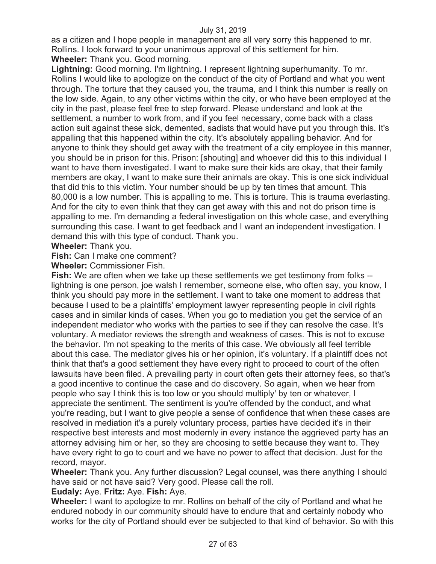as a citizen and I hope people in management are all very sorry this happened to mr. Rollins. I look forward to your unanimous approval of this settlement for him. **Wheeler:** Thank you. Good morning.

**Lightning:** Good morning. I'm lightning. I represent lightning superhumanity. To mr. Rollins I would like to apologize on the conduct of the city of Portland and what you went through. The torture that they caused you, the trauma, and I think this number is really on the low side. Again, to any other victims within the city, or who have been employed at the city in the past, please feel free to step forward. Please understand and look at the settlement, a number to work from, and if you feel necessary, come back with a class action suit against these sick, demented, sadists that would have put you through this. It's appalling that this happened within the city. It's absolutely appalling behavior. And for anyone to think they should get away with the treatment of a city employee in this manner, you should be in prison for this. Prison: [shouting] and whoever did this to this individual I want to have them investigated. I want to make sure their kids are okay, that their family members are okay, I want to make sure their animals are okay. This is one sick individual that did this to this victim. Your number should be up by ten times that amount. This 80,000 is a low number. This is appalling to me. This is torture. This is trauma everlasting. And for the city to even think that they can get away with this and not do prison time is appalling to me. I'm demanding a federal investigation on this whole case, and everything surrounding this case. I want to get feedback and I want an independent investigation. I demand this with this type of conduct. Thank you.

**Wheeler:** Thank you.

**Fish:** Can I make one comment?

**Wheeler:** Commissioner Fish.

**Fish:** We are often when we take up these settlements we get testimony from folks - lightning is one person, joe walsh I remember, someone else, who often say, you know, I think you should pay more in the settlement. I want to take one moment to address that because I used to be a plaintiffs' employment lawyer representing people in civil rights cases and in similar kinds of cases. When you go to mediation you get the service of an independent mediator who works with the parties to see if they can resolve the case. It's voluntary. A mediator reviews the strength and weakness of cases. This is not to excuse the behavior. I'm not speaking to the merits of this case. We obviously all feel terrible about this case. The mediator gives his or her opinion, it's voluntary. If a plaintiff does not think that that's a good settlement they have every right to proceed to court of the often lawsuits have been filed. A prevailing party in court often gets their attorney fees, so that's a good incentive to continue the case and do discovery. So again, when we hear from people who say I think this is too low or you should multiply' by ten or whatever, I appreciate the sentiment. The sentiment is you're offended by the conduct, and what you're reading, but I want to give people a sense of confidence that when these cases are resolved in mediation it's a purely voluntary process, parties have decided it's in their respective best interests and most modernly in every instance the aggrieved party has an attorney advising him or her, so they are choosing to settle because they want to. They have every right to go to court and we have no power to affect that decision. Just for the record, mayor.

**Wheeler:** Thank you. Any further discussion? Legal counsel, was there anything I should have said or not have said? Very good. Please call the roll.

# **Eudaly:** Aye. **Fritz:** Aye. **Fish:** Aye.

**Wheeler:** I want to apologize to mr. Rollins on behalf of the city of Portland and what he endured nobody in our community should have to endure that and certainly nobody who works for the city of Portland should ever be subjected to that kind of behavior. So with this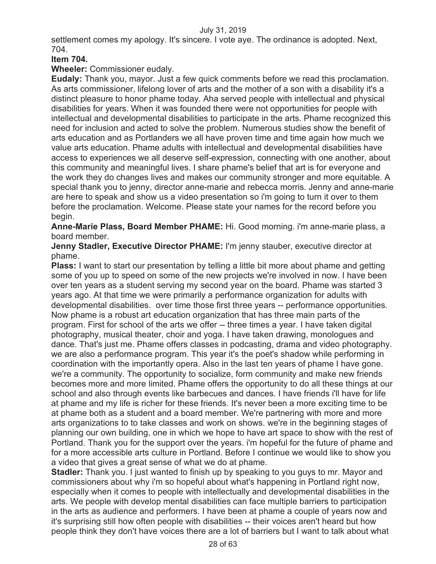settlement comes my apology. It's sincere. I vote aye. The ordinance is adopted. Next, 704.

# **Item 704.**

**Wheeler:** Commissioner eudaly.

**Eudaly:** Thank you, mayor. Just a few quick comments before we read this proclamation. As arts commissioner, lifelong lover of arts and the mother of a son with a disability it's a distinct pleasure to honor phame today. Aha served people with intellectual and physical disabilities for years. When it was founded there were not opportunities for people with intellectual and developmental disabilities to participate in the arts. Phame recognized this need for inclusion and acted to solve the problem. Numerous studies show the benefit of arts education and as Portlanders we all have proven time and time again how much we value arts education. Phame adults with intellectual and developmental disabilities have access to experiences we all deserve self-expression, connecting with one another, about this community and meaningful lives. I share phame's belief that art is for everyone and the work they do changes lives and makes our community stronger and more equitable. A special thank you to jenny, director anne-marie and rebecca morris. Jenny and anne-marie are here to speak and show us a video presentation so i'm going to turn it over to them before the proclamation. Welcome. Please state your names for the record before you begin.

**Anne-Marie Plass, Board Member PHAME:** Hi. Good morning. i'm anne-marie plass, a board member.

**Jenny Stadler, Executive Director PHAME:** I'm jenny stauber, executive director at phame.

**Plass:** I want to start our presentation by telling a little bit more about phame and getting some of you up to speed on some of the new projects we're involved in now. I have been over ten years as a student serving my second year on the board. Phame was started 3 years ago. At that time we were primarily a performance organization for adults with developmental disabilities. over time those first three years -- performance opportunities. Now phame is a robust art education organization that has three main parts of the program. First for school of the arts we offer -- three times a year. I have taken digital photography, musical theater, choir and yoga. I have taken drawing, monologues and dance. That's just me. Phame offers classes in podcasting, drama and video photography. we are also a performance program. This year it's the poet's shadow while performing in coordination with the importantly opera. Also in the last ten years of phame I have gone. we're a community. The opportunity to socialize, form community and make new friends becomes more and more limited. Phame offers the opportunity to do all these things at our school and also through events like barbecues and dances. I have friends i'll have for life at phame and my life is richer for these friends. It's never been a more exciting time to be at phame both as a student and a board member. We're partnering with more and more arts organizations to to take classes and work on shows. we're in the beginning stages of planning our own building, one in which we hope to have art space to show with the rest of Portland. Thank you for the support over the years. i'm hopeful for the future of phame and for a more accessible arts culture in Portland. Before I continue we would like to show you a video that gives a great sense of what we do at phame.

**Stadler:** Thank you. I just wanted to finish up by speaking to you guys to mr. Mayor and commissioners about why i'm so hopeful about what's happening in Portland right now, especially when it comes to people with intellectually and developmental disabilities in the arts. We people with develop mental disabilities can face multiple barriers to participation in the arts as audience and performers. I have been at phame a couple of years now and it's surprising still how often people with disabilities -- their voices aren't heard but how people think they don't have voices there are a lot of barriers but I want to talk about what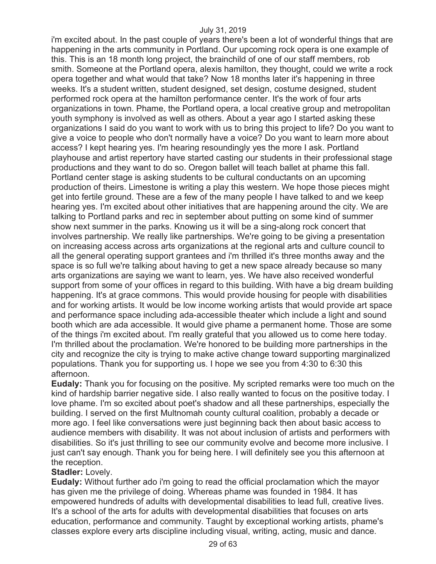i'm excited about. In the past couple of years there's been a lot of wonderful things that are happening in the arts community in Portland. Our upcoming rock opera is one example of this. This is an 18 month long project, the brainchild of one of our staff members, rob smith. Someone at the Portland opera, alexis hamilton, they thought, could we write a rock opera together and what would that take? Now 18 months later it's happening in three weeks. It's a student written, student designed, set design, costume designed, student performed rock opera at the hamilton performance center. It's the work of four arts organizations in town. Phame, the Portland opera, a local creative group and metropolitan youth symphony is involved as well as others. About a year ago I started asking these organizations I said do you want to work with us to bring this project to life? Do you want to give a voice to people who don't normally have a voice? Do you want to learn more about access? I kept hearing yes. I'm hearing resoundingly yes the more I ask. Portland playhouse and artist repertory have started casting our students in their professional stage productions and they want to do so. Oregon ballet will teach ballet at phame this fall. Portland center stage is asking students to be cultural conductants on an upcoming production of theirs. Limestone is writing a play this western. We hope those pieces might get into fertile ground. These are a few of the many people I have talked to and we keep hearing yes. I'm excited about other initiatives that are happening around the city. We are talking to Portland parks and rec in september about putting on some kind of summer show next summer in the parks. Knowing us it will be a sing-along rock concert that involves partnership. We really like partnerships. We're going to be giving a presentation on increasing access across arts organizations at the regional arts and culture council to all the general operating support grantees and i'm thrilled it's three months away and the space is so full we're talking about having to get a new space already because so many arts organizations are saying we want to learn, yes. We have also received wonderful support from some of your offices in regard to this building. With have a big dream building happening. It's at grace commons. This would provide housing for people with disabilities and for working artists. It would be low income working artists that would provide art space and performance space including ada-accessible theater which include a light and sound booth which are ada accessible. It would give phame a permanent home. Those are some of the things i'm excited about. I'm really grateful that you allowed us to come here today. I'm thrilled about the proclamation. We're honored to be building more partnerships in the city and recognize the city is trying to make active change toward supporting marginalized populations. Thank you for supporting us. I hope we see you from 4:30 to 6:30 this afternoon.

**Eudaly:** Thank you for focusing on the positive. My scripted remarks were too much on the kind of hardship barrier negative side. I also really wanted to focus on the positive today. I love phame. I'm so excited about poet's shadow and all these partnerships, especially the building. I served on the first Multnomah county cultural coalition, probably a decade or more ago. I feel like conversations were just beginning back then about basic access to audience members with disability. It was not about inclusion of artists and performers with disabilities. So it's just thrilling to see our community evolve and become more inclusive. I just can't say enough. Thank you for being here. I will definitely see you this afternoon at the reception.

# **Stadler:** Lovely.

**Eudaly:** Without further ado i'm going to read the official proclamation which the mayor has given me the privilege of doing. Whereas phame was founded in 1984. It has empowered hundreds of adults with developmental disabilities to lead full, creative lives. It's a school of the arts for adults with developmental disabilities that focuses on arts education, performance and community. Taught by exceptional working artists, phame's classes explore every arts discipline including visual, writing, acting, music and dance.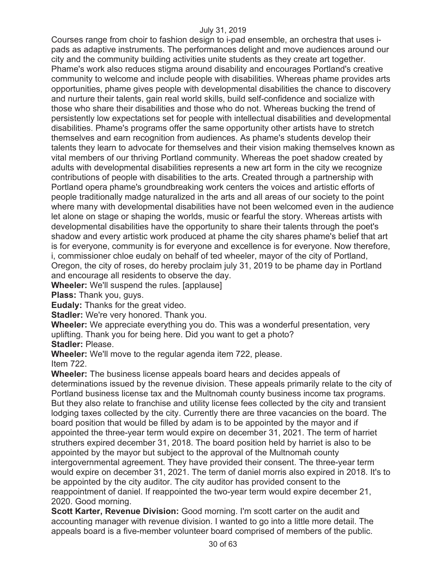Courses range from choir to fashion design to i-pad ensemble, an orchestra that uses ipads as adaptive instruments. The performances delight and move audiences around our city and the community building activities unite students as they create art together. Phame's work also reduces stigma around disability and encourages Portland's creative community to welcome and include people with disabilities. Whereas phame provides arts opportunities, phame gives people with developmental disabilities the chance to discovery and nurture their talents, gain real world skills, build self-confidence and socialize with those who share their disabilities and those who do not. Whereas bucking the trend of persistently low expectations set for people with intellectual disabilities and developmental disabilities. Phame's programs offer the same opportunity other artists have to stretch themselves and earn recognition from audiences. As phame's students develop their talents they learn to advocate for themselves and their vision making themselves known as vital members of our thriving Portland community. Whereas the poet shadow created by adults with developmental disabilities represents a new art form in the city we recognize contributions of people with disabilities to the arts. Created through a partnership with Portland opera phame's groundbreaking work centers the voices and artistic efforts of people traditionally madge naturalized in the arts and all areas of our society to the point where many with developmental disabilities have not been welcomed even in the audience let alone on stage or shaping the worlds, music or fearful the story. Whereas artists with developmental disabilities have the opportunity to share their talents through the poet's shadow and every artistic work produced at phame the city shares phame's belief that art is for everyone, community is for everyone and excellence is for everyone. Now therefore, i, commissioner chloe eudaly on behalf of ted wheeler, mayor of the city of Portland, Oregon, the city of roses, do hereby proclaim july 31, 2019 to be phame day in Portland and encourage all residents to observe the day.

**Wheeler:** We'll suspend the rules. [applause]

**Plass:** Thank you, guys.

**Eudaly:** Thanks for the great video.

**Stadler:** We're very honored. Thank you.

**Wheeler:** We appreciate everything you do. This was a wonderful presentation, very uplifting. Thank you for being here. Did you want to get a photo? **Stadler:** Please.

**Wheeler:** We'll move to the regular agenda item 722, please. Item 722.

**Wheeler:** The business license appeals board hears and decides appeals of determinations issued by the revenue division. These appeals primarily relate to the city of Portland business license tax and the Multnomah county business income tax programs. But they also relate to franchise and utility license fees collected by the city and transient lodging taxes collected by the city. Currently there are three vacancies on the board. The board position that would be filled by adam is to be appointed by the mayor and if appointed the three-year term would expire on december 31, 2021. The term of harriet struthers expired december 31, 2018. The board position held by harriet is also to be appointed by the mayor but subject to the approval of the Multnomah county intergovernmental agreement. They have provided their consent. The three-year term would expire on december 31, 2021. The term of daniel morris also expired in 2018. It's to be appointed by the city auditor. The city auditor has provided consent to the reappointment of daniel. If reappointed the two-year term would expire december 21, 2020. Good morning.

**Scott Karter, Revenue Division:** Good morning. I'm scott carter on the audit and accounting manager with revenue division. I wanted to go into a little more detail. The appeals board is a five-member volunteer board comprised of members of the public.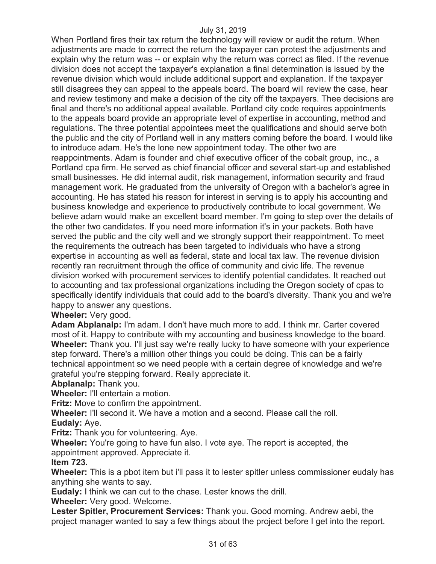When Portland fires their tax return the technology will review or audit the return. When adjustments are made to correct the return the taxpayer can protest the adjustments and explain why the return was -- or explain why the return was correct as filed. If the revenue division does not accept the taxpayer's explanation a final determination is issued by the revenue division which would include additional support and explanation. If the taxpayer still disagrees they can appeal to the appeals board. The board will review the case, hear and review testimony and make a decision of the city off the taxpayers. Thee decisions are final and there's no additional appeal available. Portland city code requires appointments to the appeals board provide an appropriate level of expertise in accounting, method and regulations. The three potential appointees meet the qualifications and should serve both the public and the city of Portland well in any matters coming before the board. I would like to introduce adam. He's the lone new appointment today. The other two are reappointments. Adam is founder and chief executive officer of the cobalt group, inc., a Portland cpa firm. He served as chief financial officer and several start-up and established small businesses. He did internal audit, risk management, information security and fraud management work. He graduated from the university of Oregon with a bachelor's agree in accounting. He has stated his reason for interest in serving is to apply his accounting and business knowledge and experience to productively contribute to local government. We believe adam would make an excellent board member. I'm going to step over the details of the other two candidates. If you need more information it's in your packets. Both have served the public and the city well and we strongly support their reappointment. To meet the requirements the outreach has been targeted to individuals who have a strong expertise in accounting as well as federal, state and local tax law. The revenue division recently ran recruitment through the office of community and civic life. The revenue division worked with procurement services to identify potential candidates. It reached out to accounting and tax professional organizations including the Oregon society of cpas to specifically identify individuals that could add to the board's diversity. Thank you and we're happy to answer any questions.

# **Wheeler:** Very good.

**Adam Abplanalp:** I'm adam. I don't have much more to add. I think mr. Carter covered most of it. Happy to contribute with my accounting and business knowledge to the board. **Wheeler:** Thank you. I'll just say we're really lucky to have someone with your experience step forward. There's a million other things you could be doing. This can be a fairly technical appointment so we need people with a certain degree of knowledge and we're grateful you're stepping forward. Really appreciate it.

**Abplanalp:** Thank you.

**Wheeler:** I'll entertain a motion.

**Fritz:** Move to confirm the appointment.

**Wheeler:** I'll second it. We have a motion and a second. Please call the roll. **Eudaly:** Aye.

**Fritz:** Thank you for volunteering. Aye.

**Wheeler:** You're going to have fun also. I vote aye. The report is accepted, the appointment approved. Appreciate it.

# **Item 723.**

**Wheeler:** This is a pbot item but i'll pass it to lester spitler unless commissioner eudaly has anything she wants to say.

**Eudaly:** I think we can cut to the chase. Lester knows the drill.

**Wheeler:** Very good. Welcome.

**Lester Spitler, Procurement Services:** Thank you. Good morning. Andrew aebi, the project manager wanted to say a few things about the project before I get into the report.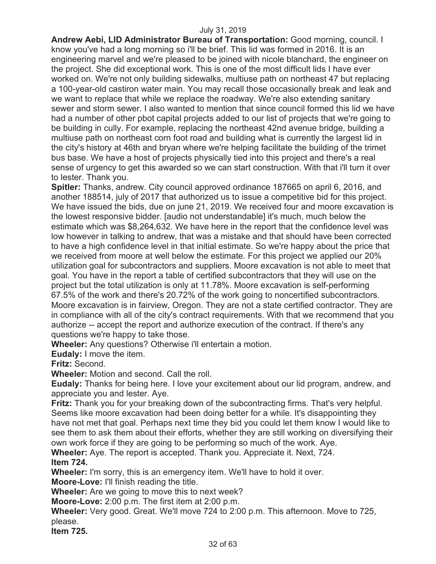**Andrew Aebi, LID Administrator Bureau of Transportation:** Good morning, council. I know you've had a long morning so i'll be brief. This lid was formed in 2016. It is an engineering marvel and we're pleased to be joined with nicole blanchard, the engineer on the project. She did exceptional work. This is one of the most difficult lids I have ever worked on. We're not only building sidewalks, multiuse path on northeast 47 but replacing a 100-year-old castiron water main. You may recall those occasionally break and leak and we want to replace that while we replace the roadway. We're also extending sanitary sewer and storm sewer. I also wanted to mention that since council formed this lid we have had a number of other pbot capital projects added to our list of projects that we're going to be building in cully. For example, replacing the northeast 42nd avenue bridge, building a multiuse path on northeast corn foot road and building what is currently the largest lid in the city's history at 46th and bryan where we're helping facilitate the building of the trimet bus base. We have a host of projects physically tied into this project and there's a real sense of urgency to get this awarded so we can start construction. With that i'll turn it over to lester. Thank you.

**Spitler:** Thanks, andrew. City council approved ordinance 187665 on april 6, 2016, and another 188514, july of 2017 that authorized us to issue a competitive bid for this project. We have issued the bids, due on june 21, 2019. We received four and moore excavation is the lowest responsive bidder. [audio not understandable] it's much, much below the estimate which was \$8,264,632. We have here in the report that the confidence level was low however in talking to andrew, that was a mistake and that should have been corrected to have a high confidence level in that initial estimate. So we're happy about the price that we received from moore at well below the estimate. For this project we applied our 20% utilization goal for subcontractors and suppliers. Moore excavation is not able to meet that goal. You have in the report a table of certified subcontractors that they will use on the project but the total utilization is only at 11.78%. Moore excavation is self-performing 67.5% of the work and there's 20.72% of the work going to noncertified subcontractors. Moore excavation is in fairview, Oregon. They are not a state certified contractor. They are in compliance with all of the city's contract requirements. With that we recommend that you authorize -- accept the report and authorize execution of the contract. If there's any questions we're happy to take those.

**Wheeler:** Any questions? Otherwise i'll entertain a motion.

**Eudaly:** I move the item.

**Fritz:** Second.

**Wheeler:** Motion and second. Call the roll.

**Eudaly:** Thanks for being here. I love your excitement about our lid program, andrew, and appreciate you and lester. Aye.

**Fritz:** Thank you for your breaking down of the subcontracting firms. That's very helpful. Seems like moore excavation had been doing better for a while. It's disappointing they have not met that goal. Perhaps next time they bid you could let them know I would like to see them to ask them about their efforts, whether they are still working on diversifying their own work force if they are going to be performing so much of the work. Aye.

**Wheeler:** Aye. The report is accepted. Thank you. Appreciate it. Next, 724. **Item 724.** 

**Wheeler:** I'm sorry, this is an emergency item. We'll have to hold it over.

**Moore-Love:** I'll finish reading the title.

**Wheeler:** Are we going to move this to next week?

**Moore-Love:** 2:00 p.m. The first item at 2:00 p.m.

**Wheeler:** Very good. Great. We'll move 724 to 2:00 p.m. This afternoon. Move to 725, please.

**Item 725.**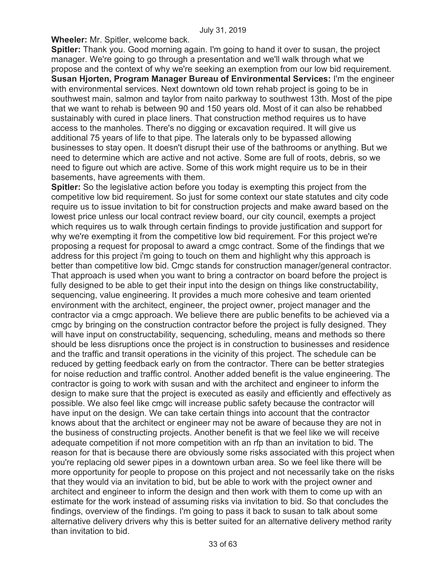**Wheeler:** Mr. Spitler, welcome back.

**Spitler:** Thank you. Good morning again. I'm going to hand it over to susan, the project manager. We're going to go through a presentation and we'll walk through what we propose and the context of why we're seeking an exemption from our low bid requirement. **Susan Hjorten, Program Manager Bureau of Environmental Services:** I'm the engineer with environmental services. Next downtown old town rehab project is going to be in southwest main, salmon and taylor from naito parkway to southwest 13th. Most of the pipe that we want to rehab is between 90 and 150 years old. Most of it can also be rehabbed sustainably with cured in place liners. That construction method requires us to have access to the manholes. There's no digging or excavation required. It will give us additional 75 years of life to that pipe. The laterals only to be bypassed allowing businesses to stay open. It doesn't disrupt their use of the bathrooms or anything. But we need to determine which are active and not active. Some are full of roots, debris, so we need to figure out which are active. Some of this work might require us to be in their basements, have agreements with them.

**Spitler:** So the legislative action before you today is exempting this project from the competitive low bid requirement. So just for some context our state statutes and city code require us to issue invitation to bit for construction projects and make award based on the lowest price unless our local contract review board, our city council, exempts a project which requires us to walk through certain findings to provide justification and support for why we're exempting it from the competitive low bid requirement. For this project we're proposing a request for proposal to award a cmgc contract. Some of the findings that we address for this project i'm going to touch on them and highlight why this approach is better than competitive low bid. Cmgc stands for construction manager/general contractor. That approach is used when you want to bring a contractor on board before the project is fully designed to be able to get their input into the design on things like constructability, sequencing, value engineering. It provides a much more cohesive and team oriented environment with the architect, engineer, the project owner, project manager and the contractor via a cmgc approach. We believe there are public benefits to be achieved via a cmgc by bringing on the construction contractor before the project is fully designed. They will have input on constructability, sequencing, scheduling, means and methods so there should be less disruptions once the project is in construction to businesses and residence and the traffic and transit operations in the vicinity of this project. The schedule can be reduced by getting feedback early on from the contractor. There can be better strategies for noise reduction and traffic control. Another added benefit is the value engineering. The contractor is going to work with susan and with the architect and engineer to inform the design to make sure that the project is executed as easily and efficiently and effectively as possible. We also feel like cmgc will increase public safety because the contractor will have input on the design. We can take certain things into account that the contractor knows about that the architect or engineer may not be aware of because they are not in the business of constructing projects. Another benefit is that we feel like we will receive adequate competition if not more competition with an rfp than an invitation to bid. The reason for that is because there are obviously some risks associated with this project when you're replacing old sewer pipes in a downtown urban area. So we feel like there will be more opportunity for people to propose on this project and not necessarily take on the risks that they would via an invitation to bid, but be able to work with the project owner and architect and engineer to inform the design and then work with them to come up with an estimate for the work instead of assuming risks via invitation to bid. So that concludes the findings, overview of the findings. I'm going to pass it back to susan to talk about some alternative delivery drivers why this is better suited for an alternative delivery method rarity than invitation to bid.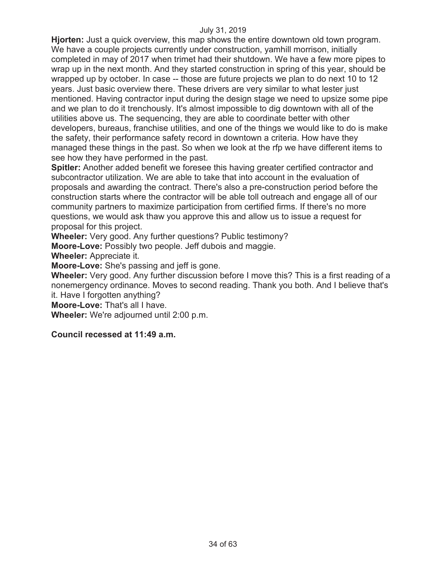**Hjorten:** Just a quick overview, this map shows the entire downtown old town program. We have a couple projects currently under construction, yamhill morrison, initially completed in may of 2017 when trimet had their shutdown. We have a few more pipes to wrap up in the next month. And they started construction in spring of this year, should be wrapped up by october. In case -- those are future projects we plan to do next 10 to 12 years. Just basic overview there. These drivers are very similar to what lester just mentioned. Having contractor input during the design stage we need to upsize some pipe and we plan to do it trenchously. It's almost impossible to dig downtown with all of the utilities above us. The sequencing, they are able to coordinate better with other developers, bureaus, franchise utilities, and one of the things we would like to do is make the safety, their performance safety record in downtown a criteria. How have they managed these things in the past. So when we look at the rfp we have different items to see how they have performed in the past.

**Spitler:** Another added benefit we foresee this having greater certified contractor and subcontractor utilization. We are able to take that into account in the evaluation of proposals and awarding the contract. There's also a pre-construction period before the construction starts where the contractor will be able toll outreach and engage all of our community partners to maximize participation from certified firms. If there's no more questions, we would ask thaw you approve this and allow us to issue a request for proposal for this project.

**Wheeler:** Very good. Any further questions? Public testimony?

**Moore-Love:** Possibly two people. Jeff dubois and maggie.

**Wheeler:** Appreciate it.

**Moore-Love:** She's passing and jeff is gone.

**Wheeler:** Very good. Any further discussion before I move this? This is a first reading of a nonemergency ordinance. Moves to second reading. Thank you both. And I believe that's it. Have I forgotten anything?

**Moore-Love:** That's all I have.

**Wheeler:** We're adjourned until 2:00 p.m.

**Council recessed at 11:49 a.m.**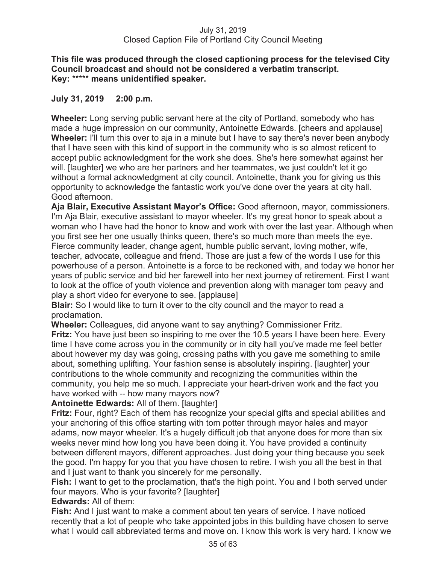# **This file was produced through the closed captioning process for the televised City Council broadcast and should not be considered a verbatim transcript. Key:** \*\*\*\*\* **means unidentified speaker.**

# **July 31, 2019 2:00 p.m.**

**Wheeler:** Long serving public servant here at the city of Portland, somebody who has made a huge impression on our community, Antoinette Edwards. [cheers and applause] **Wheeler:** I'll turn this over to aja in a minute but I have to say there's never been anybody that I have seen with this kind of support in the community who is so almost reticent to accept public acknowledgment for the work she does. She's here somewhat against her will. [laughter] we who are her partners and her teammates, we just couldn't let it go without a formal acknowledgment at city council. Antoinette, thank you for giving us this opportunity to acknowledge the fantastic work you've done over the years at city hall. Good afternoon.

**Aja Blair, Executive Assistant Mayor's Office:** Good afternoon, mayor, commissioners. I'm Aja Blair, executive assistant to mayor wheeler. It's my great honor to speak about a woman who I have had the honor to know and work with over the last year. Although when you first see her one usually thinks queen, there's so much more than meets the eye. Fierce community leader, change agent, humble public servant, loving mother, wife, teacher, advocate, colleague and friend. Those are just a few of the words I use for this powerhouse of a person. Antoinette is a force to be reckoned with, and today we honor her years of public service and bid her farewell into her next journey of retirement. First I want to look at the office of youth violence and prevention along with manager tom peavy and play a short video for everyone to see. [applause]

**Blair:** So I would like to turn it over to the city council and the mayor to read a proclamation.

**Wheeler:** Colleagues, did anyone want to say anything? Commissioner Fritz.

**Fritz:** You have just been so inspiring to me over the 10.5 years I have been here. Every time I have come across you in the community or in city hall you've made me feel better about however my day was going, crossing paths with you gave me something to smile about, something uplifting. Your fashion sense is absolutely inspiring. [laughter] your contributions to the whole community and recognizing the communities within the community, you help me so much. I appreciate your heart-driven work and the fact you have worked with -- how many mayors now?

**Antoinette Edwards:** All of them. [laughter]

**Fritz:** Four, right? Each of them has recognize your special gifts and special abilities and your anchoring of this office starting with tom potter through mayor hales and mayor adams, now mayor wheeler. It's a hugely difficult job that anyone does for more than six weeks never mind how long you have been doing it. You have provided a continuity between different mayors, different approaches. Just doing your thing because you seek the good. I'm happy for you that you have chosen to retire. I wish you all the best in that and I just want to thank you sincerely for me personally.

**Fish:** I want to get to the proclamation, that's the high point. You and I both served under four mayors. Who is your favorite? [laughter]

**Edwards:** All of them:

**Fish:** And I just want to make a comment about ten years of service. I have noticed recently that a lot of people who take appointed jobs in this building have chosen to serve what I would call abbreviated terms and move on. I know this work is very hard. I know we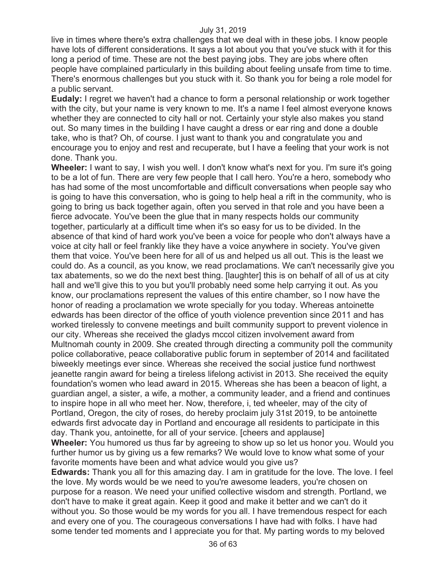live in times where there's extra challenges that we deal with in these jobs. I know people have lots of different considerations. It says a lot about you that you've stuck with it for this long a period of time. These are not the best paying jobs. They are jobs where often people have complained particularly in this building about feeling unsafe from time to time. There's enormous challenges but you stuck with it. So thank you for being a role model for a public servant.

**Eudaly:** I regret we haven't had a chance to form a personal relationship or work together with the city, but your name is very known to me. It's a name I feel almost everyone knows whether they are connected to city hall or not. Certainly your style also makes you stand out. So many times in the building I have caught a dress or ear ring and done a double take, who is that? Oh, of course. I just want to thank you and congratulate you and encourage you to enjoy and rest and recuperate, but I have a feeling that your work is not done. Thank you.

**Wheeler:** I want to say, I wish you well. I don't know what's next for you. I'm sure it's going to be a lot of fun. There are very few people that I call hero. You're a hero, somebody who has had some of the most uncomfortable and difficult conversations when people say who is going to have this conversation, who is going to help heal a rift in the community, who is going to bring us back together again, often you served in that role and you have been a fierce advocate. You've been the glue that in many respects holds our community together, particularly at a difficult time when it's so easy for us to be divided. In the absence of that kind of hard work you've been a voice for people who don't always have a voice at city hall or feel frankly like they have a voice anywhere in society. You've given them that voice. You've been here for all of us and helped us all out. This is the least we could do. As a council, as you know, we read proclamations. We can't necessarily give you tax abatements, so we do the next best thing. [laughter] this is on behalf of all of us at city hall and we'll give this to you but you'll probably need some help carrying it out. As you know, our proclamations represent the values of this entire chamber, so I now have the honor of reading a proclamation we wrote specially for you today. Whereas antoinette edwards has been director of the office of youth violence prevention since 2011 and has worked tirelessly to convene meetings and built community support to prevent violence in our city. Whereas she received the gladys mccol citizen involvement award from Multnomah county in 2009. She created through directing a community poll the community police collaborative, peace collaborative public forum in september of 2014 and facilitated biweekly meetings ever since. Whereas she received the social justice fund northwest jeanette rangin award for being a tireless lifelong activist in 2013. She received the equity foundation's women who lead award in 2015. Whereas she has been a beacon of light, a guardian angel, a sister, a wife, a mother, a community leader, and a friend and continues to inspire hope in all who meet her. Now, therefore, i, ted wheeler, may of the city of Portland, Oregon, the city of roses, do hereby proclaim july 31st 2019, to be antoinette edwards first advocate day in Portland and encourage all residents to participate in this day. Thank you, antoinette, for all of your service. [cheers and applause] **Wheeler:** You humored us thus far by agreeing to show up so let us honor you. Would you further humor us by giving us a few remarks? We would love to know what some of your

favorite moments have been and what advice would you give us? **Edwards:** Thank you all for this amazing day. I am in gratitude for the love. The love. I feel the love. My words would be we need to you're awesome leaders, you're chosen on purpose for a reason. We need your unified collective wisdom and strength. Portland, we don't have to make it great again. Keep it good and make it better and we can't do it without you. So those would be my words for you all. I have tremendous respect for each and every one of you. The courageous conversations I have had with folks. I have had some tender ted moments and I appreciate you for that. My parting words to my beloved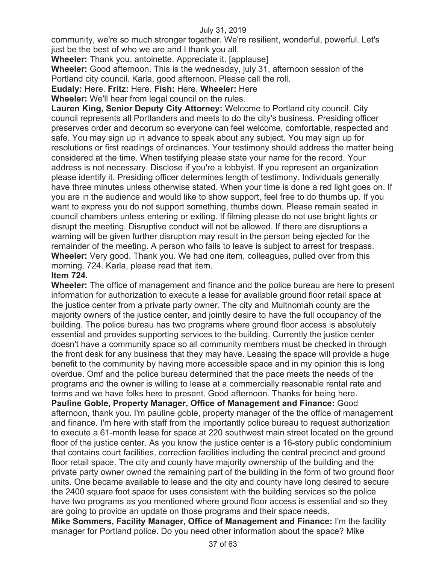community, we're so much stronger together. We're resilient, wonderful, powerful. Let's just be the best of who we are and I thank you all.

**Wheeler:** Thank you, antoinette. Appreciate it. [applause]

**Wheeler:** Good afternoon. This is the wednesday, july 31, afternoon session of the Portland city council. Karla, good afternoon. Please call the roll.

**Eudaly:** Here. **Fritz:** Here. **Fish:** Here. **Wheeler:** Here

**Wheeler:** We'll hear from legal council on the rules.

**Lauren King, Senior Deputy City Attorney:** Welcome to Portland city council. City council represents all Portlanders and meets to do the city's business. Presiding officer preserves order and decorum so everyone can feel welcome, comfortable, respected and safe. You may sign up in advance to speak about any subject. You may sign up for resolutions or first readings of ordinances. Your testimony should address the matter being considered at the time. When testifying please state your name for the record. Your address is not necessary. Disclose if you're a lobbyist. If you represent an organization please identify it. Presiding officer determines length of testimony. Individuals generally have three minutes unless otherwise stated. When your time is done a red light goes on. If you are in the audience and would like to show support, feel free to do thumbs up. If you want to express you do not support something, thumbs down. Please remain seated in council chambers unless entering or exiting. If filming please do not use bright lights or disrupt the meeting. Disruptive conduct will not be allowed. If there are disruptions a warning will be given further disruption may result in the person being ejected for the remainder of the meeting. A person who fails to leave is subject to arrest for trespass. **Wheeler:** Very good. Thank you. We had one item, colleagues, pulled over from this morning. 724. Karla, please read that item.

# **Item 724.**

**Wheeler:** The office of management and finance and the police bureau are here to present information for authorization to execute a lease for available ground floor retail space at the justice center from a private party owner. The city and Multnomah county are the majority owners of the justice center, and jointly desire to have the full occupancy of the building. The police bureau has two programs where ground floor access is absolutely essential and provides supporting services to the building. Currently the justice center doesn't have a community space so all community members must be checked in through the front desk for any business that they may have. Leasing the space will provide a huge benefit to the community by having more accessible space and in my opinion this is long overdue. Omf and the police bureau determined that the pace meets the needs of the programs and the owner is willing to lease at a commercially reasonable rental rate and terms and we have folks here to present. Good afternoon. Thanks for being here.

**Pauline Goble, Property Manager, Office of Management and Finance:** Good afternoon, thank you. I'm pauline goble, property manager of the the office of management and finance. I'm here with staff from the importantly police bureau to request authorization to execute a 61-month lease for space at 220 southwest main street located on the ground floor of the justice center. As you know the justice center is a 16-story public condominium that contains court facilities, correction facilities including the central precinct and ground floor retail space. The city and county have majority ownership of the building and the private party owner owned the remaining part of the building in the form of two ground floor units. One became available to lease and the city and county have long desired to secure the 2400 square foot space for uses consistent with the building services so the police have two programs as you mentioned where ground floor access is essential and so they are going to provide an update on those programs and their space needs.

**Mike Sommers, Facility Manager, Office of Management and Finance:** I'm the facility manager for Portland police. Do you need other information about the space? Mike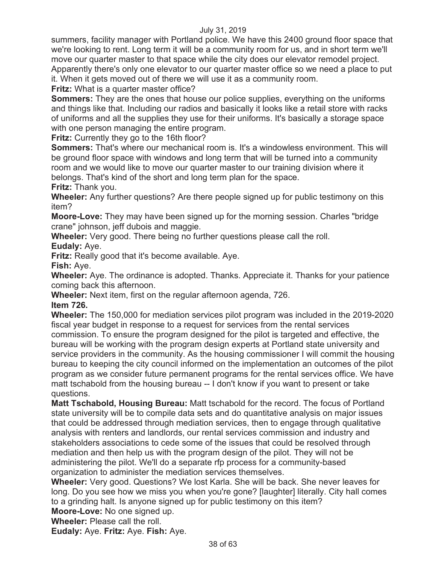summers, facility manager with Portland police. We have this 2400 ground floor space that we're looking to rent. Long term it will be a community room for us, and in short term we'll move our quarter master to that space while the city does our elevator remodel project. Apparently there's only one elevator to our quarter master office so we need a place to put it. When it gets moved out of there we will use it as a community room.

**Fritz:** What is a quarter master office?

**Sommers:** They are the ones that house our police supplies, everything on the uniforms and things like that. Including our radios and basically it looks like a retail store with racks of uniforms and all the supplies they use for their uniforms. It's basically a storage space with one person managing the entire program.

**Fritz:** Currently they go to the 16th floor?

**Sommers:** That's where our mechanical room is. It's a windowless environment. This will be ground floor space with windows and long term that will be turned into a community room and we would like to move our quarter master to our training division where it belongs. That's kind of the short and long term plan for the space.

**Fritz:** Thank you.

**Wheeler:** Any further questions? Are there people signed up for public testimony on this item?

**Moore-Love:** They may have been signed up for the morning session. Charles "bridge crane" johnson, jeff dubois and maggie.

**Wheeler:** Very good. There being no further questions please call the roll. **Eudaly:** Aye.

**Fritz:** Really good that it's become available. Aye.

**Fish:** Aye.

**Wheeler:** Aye. The ordinance is adopted. Thanks. Appreciate it. Thanks for your patience coming back this afternoon.

**Wheeler:** Next item, first on the regular afternoon agenda, 726.

# **Item 726.**

**Wheeler:** The 150,000 for mediation services pilot program was included in the 2019-2020 fiscal year budget in response to a request for services from the rental services commission. To ensure the program designed for the pilot is targeted and effective, the bureau will be working with the program design experts at Portland state university and service providers in the community. As the housing commissioner I will commit the housing bureau to keeping the city council informed on the implementation an outcomes of the pilot program as we consider future permanent programs for the rental services office. We have matt tschabold from the housing bureau -- I don't know if you want to present or take questions.

**Matt Tschabold, Housing Bureau:** Matt tschabold for the record. The focus of Portland state university will be to compile data sets and do quantitative analysis on major issues that could be addressed through mediation services, then to engage through qualitative analysis with renters and landlords, our rental services commission and industry and stakeholders associations to cede some of the issues that could be resolved through mediation and then help us with the program design of the pilot. They will not be administering the pilot. We'll do a separate rfp process for a community-based organization to administer the mediation services themselves.

**Wheeler:** Very good. Questions? We lost Karla. She will be back. She never leaves for long. Do you see how we miss you when you're gone? [laughter] literally. City hall comes to a grinding halt. Is anyone signed up for public testimony on this item?

**Moore-Love:** No one signed up.

**Wheeler:** Please call the roll.

**Eudaly:** Aye. **Fritz:** Aye. **Fish:** Aye.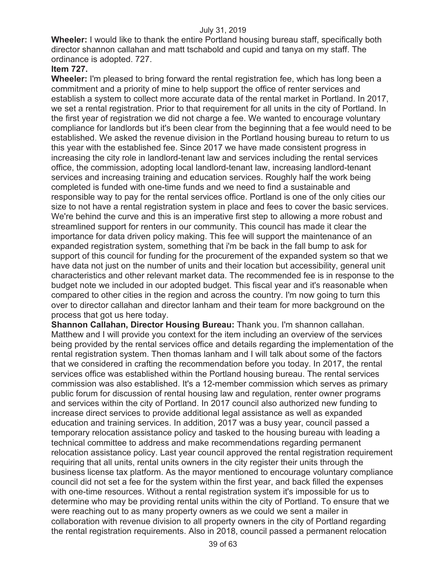**Wheeler:** I would like to thank the entire Portland housing bureau staff, specifically both director shannon callahan and matt tschabold and cupid and tanya on my staff. The ordinance is adopted. 727.

# **Item 727.**

**Wheeler:** I'm pleased to bring forward the rental registration fee, which has long been a commitment and a priority of mine to help support the office of renter services and establish a system to collect more accurate data of the rental market in Portland. In 2017, we set a rental registration. Prior to that requirement for all units in the city of Portland. In the first year of registration we did not charge a fee. We wanted to encourage voluntary compliance for landlords but it's been clear from the beginning that a fee would need to be established. We asked the revenue division in the Portland housing bureau to return to us this year with the established fee. Since 2017 we have made consistent progress in increasing the city role in landlord-tenant law and services including the rental services office, the commission, adopting local landlord-tenant law, increasing landlord-tenant services and increasing training and education services. Roughly half the work being completed is funded with one-time funds and we need to find a sustainable and responsible way to pay for the rental services office. Portland is one of the only cities our size to not have a rental registration system in place and fees to cover the basic services. We're behind the curve and this is an imperative first step to allowing a more robust and streamlined support for renters in our community. This council has made it clear the importance for data driven policy making. This fee will support the maintenance of an expanded registration system, something that i'm be back in the fall bump to ask for support of this council for funding for the procurement of the expanded system so that we have data not just on the number of units and their location but accessibility, general unit characteristics and other relevant market data. The recommended fee is in response to the budget note we included in our adopted budget. This fiscal year and it's reasonable when compared to other cities in the region and across the country. I'm now going to turn this over to director callahan and director lanham and their team for more background on the process that got us here today.

**Shannon Callahan, Director Housing Bureau:** Thank you. I'm shannon callahan. Matthew and I will provide you context for the item including an overview of the services being provided by the rental services office and details regarding the implementation of the rental registration system. Then thomas lanham and I will talk about some of the factors that we considered in crafting the recommendation before you today. In 2017, the rental services office was established within the Portland housing bureau. The rental services commission was also established. It's a 12-member commission which serves as primary public forum for discussion of rental housing law and regulation, renter owner programs and services within the city of Portland. In 2017 council also authorized new funding to increase direct services to provide additional legal assistance as well as expanded education and training services. In addition, 2017 was a busy year, council passed a temporary relocation assistance policy and tasked to the housing bureau with leading a technical committee to address and make recommendations regarding permanent relocation assistance policy. Last year council approved the rental registration requirement requiring that all units, rental units owners in the city register their units through the business license tax platform. As the mayor mentioned to encourage voluntary compliance council did not set a fee for the system within the first year, and back filled the expenses with one-time resources. Without a rental registration system it's impossible for us to determine who may be providing rental units within the city of Portland. To ensure that we were reaching out to as many property owners as we could we sent a mailer in collaboration with revenue division to all property owners in the city of Portland regarding the rental registration requirements. Also in 2018, council passed a permanent relocation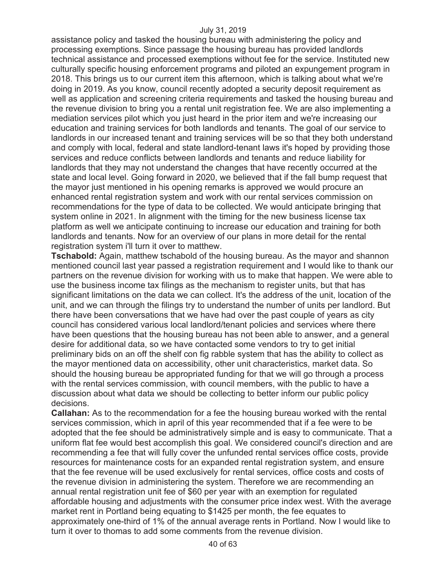assistance policy and tasked the housing bureau with administering the policy and processing exemptions. Since passage the housing bureau has provided landlords technical assistance and processed exemptions without fee for the service. Instituted new culturally specific housing enforcement programs and piloted an expungement program in 2018. This brings us to our current item this afternoon, which is talking about what we're doing in 2019. As you know, council recently adopted a security deposit requirement as well as application and screening criteria requirements and tasked the housing bureau and the revenue division to bring you a rental unit registration fee. We are also implementing a mediation services pilot which you just heard in the prior item and we're increasing our education and training services for both landlords and tenants. The goal of our service to landlords in our increased tenant and training services will be so that they both understand and comply with local, federal and state landlord-tenant laws it's hoped by providing those services and reduce conflicts between landlords and tenants and reduce liability for landlords that they may not understand the changes that have recently occurred at the state and local level. Going forward in 2020, we believed that if the fall bump request that the mayor just mentioned in his opening remarks is approved we would procure an enhanced rental registration system and work with our rental services commission on recommendations for the type of data to be collected. We would anticipate bringing that system online in 2021. In alignment with the timing for the new business license tax platform as well we anticipate continuing to increase our education and training for both landlords and tenants. Now for an overview of our plans in more detail for the rental registration system i'll turn it over to matthew.

**Tschabold:** Again, matthew tschabold of the housing bureau. As the mayor and shannon mentioned council last year passed a registration requirement and I would like to thank our partners on the revenue division for working with us to make that happen. We were able to use the business income tax filings as the mechanism to register units, but that has significant limitations on the data we can collect. It's the address of the unit, location of the unit, and we can through the filings try to understand the number of units per landlord. But there have been conversations that we have had over the past couple of years as city council has considered various local landlord/tenant policies and services where there have been questions that the housing bureau has not been able to answer, and a general desire for additional data, so we have contacted some vendors to try to get initial preliminary bids on an off the shelf con fig rabble system that has the ability to collect as the mayor mentioned data on accessibility, other unit characteristics, market data. So should the housing bureau be appropriated funding for that we will go through a process with the rental services commission, with council members, with the public to have a discussion about what data we should be collecting to better inform our public policy decisions.

**Callahan:** As to the recommendation for a fee the housing bureau worked with the rental services commission, which in april of this year recommended that if a fee were to be adopted that the fee should be administratively simple and is easy to communicate. That a uniform flat fee would best accomplish this goal. We considered council's direction and are recommending a fee that will fully cover the unfunded rental services office costs, provide resources for maintenance costs for an expanded rental registration system, and ensure that the fee revenue will be used exclusively for rental services, office costs and costs of the revenue division in administering the system. Therefore we are recommending an annual rental registration unit fee of \$60 per year with an exemption for regulated affordable housing and adjustments with the consumer price index west. With the average market rent in Portland being equating to \$1425 per month, the fee equates to approximately one-third of 1% of the annual average rents in Portland. Now I would like to turn it over to thomas to add some comments from the revenue division.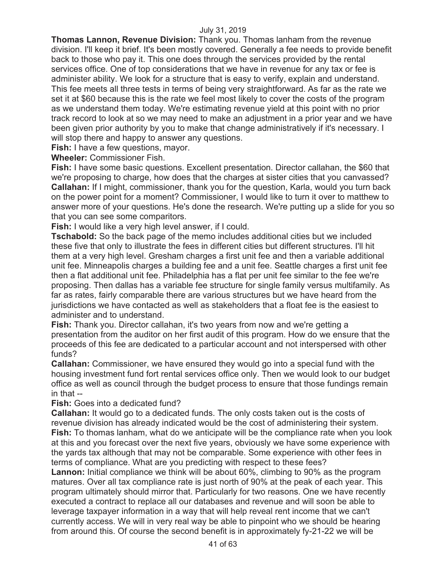**Thomas Lannon, Revenue Division:** Thank you. Thomas lanham from the revenue division. I'll keep it brief. It's been mostly covered. Generally a fee needs to provide benefit back to those who pay it. This one does through the services provided by the rental services office. One of top considerations that we have in revenue for any tax or fee is administer ability. We look for a structure that is easy to verify, explain and understand. This fee meets all three tests in terms of being very straightforward. As far as the rate we set it at \$60 because this is the rate we feel most likely to cover the costs of the program as we understand them today. We're estimating revenue yield at this point with no prior track record to look at so we may need to make an adjustment in a prior year and we have been given prior authority by you to make that change administratively if it's necessary. I will stop there and happy to answer any questions.

**Fish:** I have a few questions, mayor.

**Wheeler:** Commissioner Fish.

**Fish:** I have some basic questions. Excellent presentation. Director callahan, the \$60 that we're proposing to charge, how does that the charges at sister cities that you canvassed? **Callahan:** If I might, commissioner, thank you for the question, Karla, would you turn back on the power point for a moment? Commissioner, I would like to turn it over to matthew to answer more of your questions. He's done the research. We're putting up a slide for you so that you can see some comparitors.

**Fish:** I would like a very high level answer, if I could.

**Tschabold:** So the back page of the memo includes additional cities but we included these five that only to illustrate the fees in different cities but different structures. I'll hit them at a very high level. Gresham charges a first unit fee and then a variable additional unit fee. Minneapolis charges a building fee and a unit fee. Seattle charges a first unit fee then a flat additional unit fee. Philadelphia has a flat per unit fee similar to the fee we're proposing. Then dallas has a variable fee structure for single family versus multifamily. As far as rates, fairly comparable there are various structures but we have heard from the jurisdictions we have contacted as well as stakeholders that a float fee is the easiest to administer and to understand.

**Fish:** Thank you. Director callahan, it's two years from now and we're getting a presentation from the auditor on her first audit of this program. How do we ensure that the proceeds of this fee are dedicated to a particular account and not interspersed with other funds?

**Callahan:** Commissioner, we have ensured they would go into a special fund with the housing investment fund fort rental services office only. Then we would look to our budget office as well as council through the budget process to ensure that those fundings remain in that --

# **Fish:** Goes into a dedicated fund?

**Callahan:** It would go to a dedicated funds. The only costs taken out is the costs of revenue division has already indicated would be the cost of administering their system. **Fish:** To thomas lanham, what do we anticipate will be the compliance rate when you look at this and you forecast over the next five years, obviously we have some experience with the yards tax although that may not be comparable. Some experience with other fees in terms of compliance. What are you predicting with respect to these fees?

**Lannon:** Initial compliance we think will be about 60%, climbing to 90% as the program matures. Over all tax compliance rate is just north of 90% at the peak of each year. This program ultimately should mirror that. Particularly for two reasons. One we have recently executed a contract to replace all our databases and revenue and will soon be able to leverage taxpayer information in a way that will help reveal rent income that we can't currently access. We will in very real way be able to pinpoint who we should be hearing from around this. Of course the second benefit is in approximately fy-21-22 we will be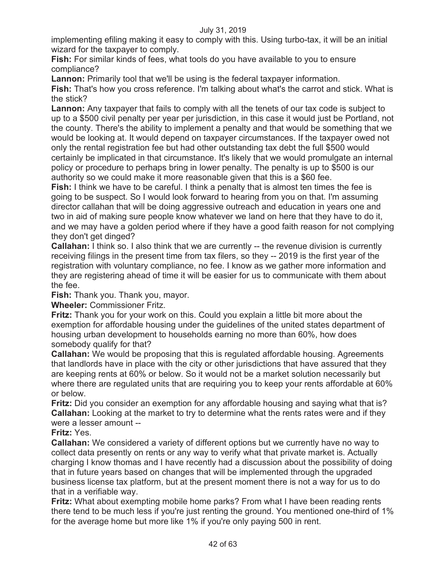implementing efiling making it easy to comply with this. Using turbo-tax, it will be an initial wizard for the taxpayer to comply.

**Fish:** For similar kinds of fees, what tools do you have available to you to ensure compliance?

**Lannon:** Primarily tool that we'll be using is the federal taxpayer information.

**Fish:** That's how you cross reference. I'm talking about what's the carrot and stick. What is the stick?

**Lannon:** Any taxpayer that fails to comply with all the tenets of our tax code is subject to up to a \$500 civil penalty per year per jurisdiction, in this case it would just be Portland, not the county. There's the ability to implement a penalty and that would be something that we would be looking at. It would depend on taxpayer circumstances. If the taxpayer owed not only the rental registration fee but had other outstanding tax debt the full \$500 would certainly be implicated in that circumstance. It's likely that we would promulgate an internal policy or procedure to perhaps bring in lower penalty. The penalty is up to \$500 is our authority so we could make it more reasonable given that this is a \$60 fee.

**Fish:** I think we have to be careful. I think a penalty that is almost ten times the fee is going to be suspect. So I would look forward to hearing from you on that. I'm assuming director callahan that will be doing aggressive outreach and education in years one and two in aid of making sure people know whatever we land on here that they have to do it, and we may have a golden period where if they have a good faith reason for not complying they don't get dinged?

**Callahan:** I think so. I also think that we are currently -- the revenue division is currently receiving filings in the present time from tax filers, so they -- 2019 is the first year of the registration with voluntary compliance, no fee. I know as we gather more information and they are registering ahead of time it will be easier for us to communicate with them about the fee.

**Fish:** Thank you. Thank you, mayor.

**Wheeler:** Commissioner Fritz.

**Fritz:** Thank you for your work on this. Could you explain a little bit more about the exemption for affordable housing under the guidelines of the united states department of housing urban development to households earning no more than 60%, how does somebody qualify for that?

**Callahan:** We would be proposing that this is regulated affordable housing. Agreements that landlords have in place with the city or other jurisdictions that have assured that they are keeping rents at 60% or below. So it would not be a market solution necessarily but where there are regulated units that are requiring you to keep your rents affordable at 60% or below.

**Fritz:** Did you consider an exemption for any affordable housing and saying what that is? **Callahan:** Looking at the market to try to determine what the rents rates were and if they were a lesser amount --

**Fritz:** Yes.

**Callahan:** We considered a variety of different options but we currently have no way to collect data presently on rents or any way to verify what that private market is. Actually charging I know thomas and I have recently had a discussion about the possibility of doing that in future years based on changes that will be implemented through the upgraded business license tax platform, but at the present moment there is not a way for us to do that in a verifiable way.

**Fritz:** What about exempting mobile home parks? From what I have been reading rents there tend to be much less if you're just renting the ground. You mentioned one-third of 1% for the average home but more like 1% if you're only paying 500 in rent.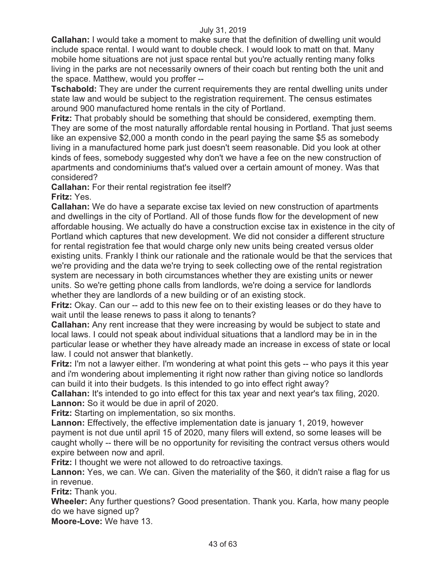**Callahan:** I would take a moment to make sure that the definition of dwelling unit would include space rental. I would want to double check. I would look to matt on that. Many mobile home situations are not just space rental but you're actually renting many folks living in the parks are not necessarily owners of their coach but renting both the unit and the space. Matthew, would you proffer --

**Tschabold:** They are under the current requirements they are rental dwelling units under state law and would be subject to the registration requirement. The census estimates around 900 manufactured home rentals in the city of Portland.

**Fritz:** That probably should be something that should be considered, exempting them. They are some of the most naturally affordable rental housing in Portland. That just seems like an expensive \$2,000 a month condo in the pearl paying the same \$5 as somebody living in a manufactured home park just doesn't seem reasonable. Did you look at other kinds of fees, somebody suggested why don't we have a fee on the new construction of apartments and condominiums that's valued over a certain amount of money. Was that considered?

**Callahan:** For their rental registration fee itself?

**Fritz:** Yes.

**Callahan:** We do have a separate excise tax levied on new construction of apartments and dwellings in the city of Portland. All of those funds flow for the development of new affordable housing. We actually do have a construction excise tax in existence in the city of Portland which captures that new development. We did not consider a different structure for rental registration fee that would charge only new units being created versus older existing units. Frankly I think our rationale and the rationale would be that the services that we're providing and the data we're trying to seek collecting owe of the rental registration system are necessary in both circumstances whether they are existing units or newer units. So we're getting phone calls from landlords, we're doing a service for landlords whether they are landlords of a new building or of an existing stock.

**Fritz:** Okay. Can our -- add to this new fee on to their existing leases or do they have to wait until the lease renews to pass it along to tenants?

**Callahan:** Any rent increase that they were increasing by would be subject to state and local laws. I could not speak about individual situations that a landlord may be in in the particular lease or whether they have already made an increase in excess of state or local law. I could not answer that blanketly.

**Fritz:** I'm not a lawyer either. I'm wondering at what point this gets -- who pays it this year and i'm wondering about implementing it right now rather than giving notice so landlords can build it into their budgets. Is this intended to go into effect right away?

**Callahan:** It's intended to go into effect for this tax year and next year's tax filing, 2020. **Lannon:** So it would be due in april of 2020.

**Fritz:** Starting on implementation, so six months.

**Lannon:** Effectively, the effective implementation date is january 1, 2019, however payment is not due until april 15 of 2020, many filers will extend, so some leases will be caught wholly -- there will be no opportunity for revisiting the contract versus others would expire between now and april.

**Fritz:** I thought we were not allowed to do retroactive taxings.

**Lannon:** Yes, we can. We can. Given the materiality of the \$60, it didn't raise a flag for us in revenue.

**Fritz:** Thank you.

**Wheeler:** Any further questions? Good presentation. Thank you. Karla, how many people do we have signed up?

**Moore-Love:** We have 13.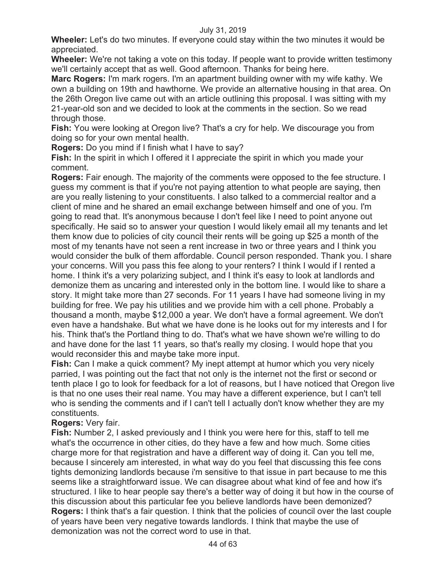**Wheeler:** Let's do two minutes. If everyone could stay within the two minutes it would be appreciated.

**Wheeler:** We're not taking a vote on this today. If people want to provide written testimony we'll certainly accept that as well. Good afternoon. Thanks for being here.

**Marc Rogers:** I'm mark rogers. I'm an apartment building owner with my wife kathy. We own a building on 19th and hawthorne. We provide an alternative housing in that area. On the 26th Oregon live came out with an article outlining this proposal. I was sitting with my 21-year-old son and we decided to look at the comments in the section. So we read through those.

**Fish:** You were looking at Oregon live? That's a cry for help. We discourage you from doing so for your own mental health.

**Rogers:** Do you mind if I finish what I have to say?

**Fish:** In the spirit in which I offered it I appreciate the spirit in which you made your comment.

**Rogers:** Fair enough. The majority of the comments were opposed to the fee structure. I guess my comment is that if you're not paying attention to what people are saying, then are you really listening to your constituents. I also talked to a commercial realtor and a client of mine and he shared an email exchange between himself and one of you. I'm going to read that. It's anonymous because I don't feel like I need to point anyone out specifically. He said so to answer your question I would likely email all my tenants and let them know due to policies of city council their rents will be going up \$25 a month of the most of my tenants have not seen a rent increase in two or three years and I think you would consider the bulk of them affordable. Council person responded. Thank you. I share your concerns. Will you pass this fee along to your renters? I think I would if I rented a home. I think it's a very polarizing subject, and I think it's easy to look at landlords and demonize them as uncaring and interested only in the bottom line. I would like to share a story. It might take more than 27 seconds. For 11 years I have had someone living in my building for free. We pay his utilities and we provide him with a cell phone. Probably a thousand a month, maybe \$12,000 a year. We don't have a formal agreement. We don't even have a handshake. But what we have done is he looks out for my interests and I for his. Think that's the Portland thing to do. That's what we have shown we're willing to do and have done for the last 11 years, so that's really my closing. I would hope that you would reconsider this and maybe take more input.

**Fish:** Can I make a quick comment? My inept attempt at humor which you very nicely parried, I was pointing out the fact that not only is the internet not the first or second or tenth place I go to look for feedback for a lot of reasons, but I have noticed that Oregon live is that no one uses their real name. You may have a different experience, but I can't tell who is sending the comments and if I can't tell I actually don't know whether they are my constituents.

# **Rogers:** Very fair.

**Fish:** Number 2, I asked previously and I think you were here for this, staff to tell me what's the occurrence in other cities, do they have a few and how much. Some cities charge more for that registration and have a different way of doing it. Can you tell me, because I sincerely am interested, in what way do you feel that discussing this fee cons tights demonizing landlords because i'm sensitive to that issue in part because to me this seems like a straightforward issue. We can disagree about what kind of fee and how it's structured. I like to hear people say there's a better way of doing it but how in the course of this discussion about this particular fee you believe landlords have been demonized? **Rogers:** I think that's a fair question. I think that the policies of council over the last couple of years have been very negative towards landlords. I think that maybe the use of demonization was not the correct word to use in that.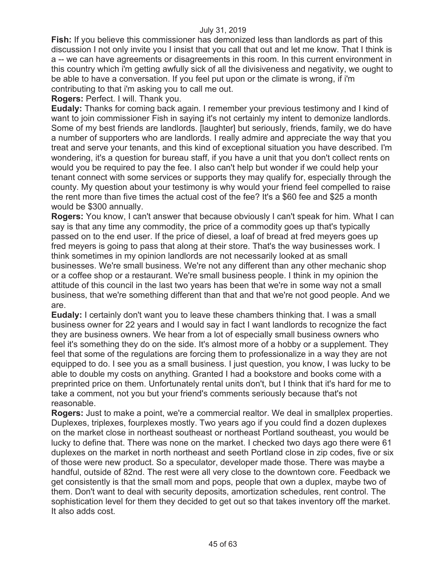**Fish:** If you believe this commissioner has demonized less than landlords as part of this discussion I not only invite you I insist that you call that out and let me know. That I think is a -- we can have agreements or disagreements in this room. In this current environment in this country which i'm getting awfully sick of all the divisiveness and negativity, we ought to be able to have a conversation. If you feel put upon or the climate is wrong, if i'm contributing to that i'm asking you to call me out.

**Rogers:** Perfect. I will. Thank you.

**Eudaly:** Thanks for coming back again. I remember your previous testimony and I kind of want to join commissioner Fish in saying it's not certainly my intent to demonize landlords. Some of my best friends are landlords. [laughter] but seriously, friends, family, we do have a number of supporters who are landlords. I really admire and appreciate the way that you treat and serve your tenants, and this kind of exceptional situation you have described. I'm wondering, it's a question for bureau staff, if you have a unit that you don't collect rents on would you be required to pay the fee. I also can't help but wonder if we could help your tenant connect with some services or supports they may qualify for, especially through the county. My question about your testimony is why would your friend feel compelled to raise the rent more than five times the actual cost of the fee? It's a \$60 fee and \$25 a month would be \$300 annually.

**Rogers:** You know, I can't answer that because obviously I can't speak for him. What I can say is that any time any commodity, the price of a commodity goes up that's typically passed on to the end user. If the price of diesel, a loaf of bread at fred meyers goes up fred meyers is going to pass that along at their store. That's the way businesses work. I think sometimes in my opinion landlords are not necessarily looked at as small businesses. We're small business. We're not any different than any other mechanic shop or a coffee shop or a restaurant. We're small business people. I think in my opinion the attitude of this council in the last two years has been that we're in some way not a small business, that we're something different than that and that we're not good people. And we are.

**Eudaly:** I certainly don't want you to leave these chambers thinking that. I was a small business owner for 22 years and I would say in fact I want landlords to recognize the fact they are business owners. We hear from a lot of especially small business owners who feel it's something they do on the side. It's almost more of a hobby or a supplement. They feel that some of the regulations are forcing them to professionalize in a way they are not equipped to do. I see you as a small business. I just question, you know, I was lucky to be able to double my costs on anything. Granted I had a bookstore and books come with a preprinted price on them. Unfortunately rental units don't, but I think that it's hard for me to take a comment, not you but your friend's comments seriously because that's not reasonable.

**Rogers:** Just to make a point, we're a commercial realtor. We deal in smallplex properties. Duplexes, triplexes, fourplexes mostly. Two years ago if you could find a dozen duplexes on the market close in northeast southeast or northeast Portland southeast, you would be lucky to define that. There was none on the market. I checked two days ago there were 61 duplexes on the market in north northeast and seeth Portland close in zip codes, five or six of those were new product. So a speculator, developer made those. There was maybe a handful, outside of 82nd. The rest were all very close to the downtown core. Feedback we get consistently is that the small mom and pops, people that own a duplex, maybe two of them. Don't want to deal with security deposits, amortization schedules, rent control. The sophistication level for them they decided to get out so that takes inventory off the market. It also adds cost.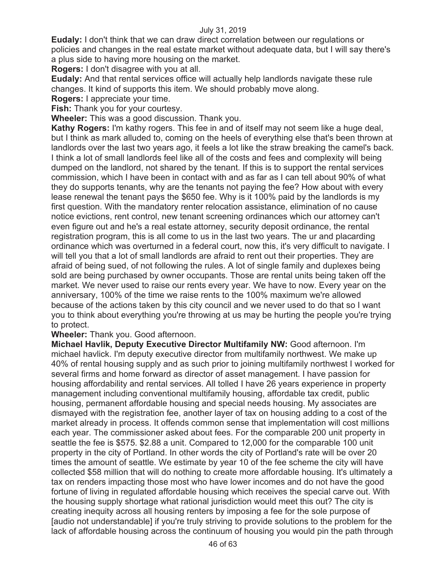**Eudaly:** I don't think that we can draw direct correlation between our regulations or policies and changes in the real estate market without adequate data, but I will say there's a plus side to having more housing on the market.

**Rogers:** I don't disagree with you at all.

**Eudaly:** And that rental services office will actually help landlords navigate these rule changes. It kind of supports this item. We should probably move along.

**Rogers:** I appreciate your time.

**Fish:** Thank you for your courtesy.

**Wheeler:** This was a good discussion. Thank you.

**Kathy Rogers:** I'm kathy rogers. This fee in and of itself may not seem like a huge deal, but I think as mark alluded to, coming on the heels of everything else that's been thrown at landlords over the last two years ago, it feels a lot like the straw breaking the camel's back. I think a lot of small landlords feel like all of the costs and fees and complexity will being dumped on the landlord, not shared by the tenant. If this is to support the rental services commission, which I have been in contact with and as far as I can tell about 90% of what they do supports tenants, why are the tenants not paying the fee? How about with every lease renewal the tenant pays the \$650 fee. Why is it 100% paid by the landlords is my first question. With the mandatory renter relocation assistance, elimination of no cause notice evictions, rent control, new tenant screening ordinances which our attorney can't even figure out and he's a real estate attorney, security deposit ordinance, the rental registration program, this is all come to us in the last two years. The ur and placarding ordinance which was overturned in a federal court, now this, it's very difficult to navigate. I will tell you that a lot of small landlords are afraid to rent out their properties. They are afraid of being sued, of not following the rules. A lot of single family and duplexes being sold are being purchased by owner occupants. Those are rental units being taken off the market. We never used to raise our rents every year. We have to now. Every year on the anniversary, 100% of the time we raise rents to the 100% maximum we're allowed because of the actions taken by this city council and we never used to do that so I want you to think about everything you're throwing at us may be hurting the people you're trying to protect.

**Wheeler:** Thank you. Good afternoon.

**Michael Havlik, Deputy Executive Director Multifamily NW:** Good afternoon. I'm michael havlick. I'm deputy executive director from multifamily northwest. We make up 40% of rental housing supply and as such prior to joining multifamily northwest I worked for several firms and home forward as director of asset management. I have passion for housing affordability and rental services. All tolled I have 26 years experience in property management including conventional multifamily housing, affordable tax credit, public housing, permanent affordable housing and special needs housing. My associates are dismayed with the registration fee, another layer of tax on housing adding to a cost of the market already in process. It offends common sense that implementation will cost millions each year. The commissioner asked about fees. For the comparable 200 unit property in seattle the fee is \$575. \$2.88 a unit. Compared to 12,000 for the comparable 100 unit property in the city of Portland. In other words the city of Portland's rate will be over 20 times the amount of seattle. We estimate by year 10 of the fee scheme the city will have collected \$58 million that will do nothing to create more affordable housing. It's ultimately a tax on renders impacting those most who have lower incomes and do not have the good fortune of living in regulated affordable housing which receives the special carve out. With the housing supply shortage what rational jurisdiction would meet this out? The city is creating inequity across all housing renters by imposing a fee for the sole purpose of [audio not understandable] if you're truly striving to provide solutions to the problem for the lack of affordable housing across the continuum of housing you would pin the path through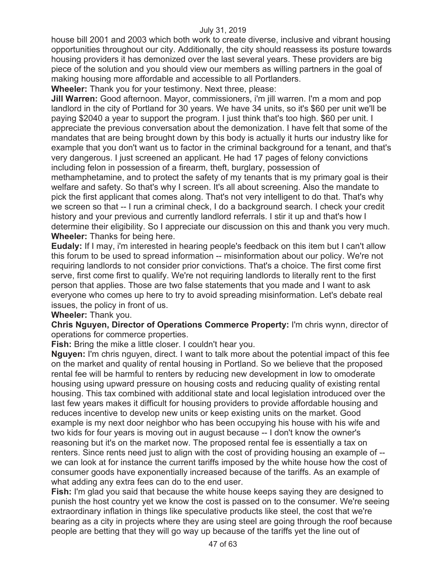house bill 2001 and 2003 which both work to create diverse, inclusive and vibrant housing opportunities throughout our city. Additionally, the city should reassess its posture towards housing providers it has demonized over the last several years. These providers are big piece of the solution and you should view our members as willing partners in the goal of making housing more affordable and accessible to all Portlanders.

**Wheeler:** Thank you for your testimony. Next three, please:

**Jill Warren:** Good afternoon. Mayor, commissioners, i'm jill warren. I'm a mom and pop landlord in the city of Portland for 30 years. We have 34 units, so it's \$60 per unit we'll be paying \$2040 a year to support the program. I just think that's too high. \$60 per unit. I appreciate the previous conversation about the demonization. I have felt that some of the mandates that are being brought down by this body is actually it hurts our industry like for example that you don't want us to factor in the criminal background for a tenant, and that's very dangerous. I just screened an applicant. He had 17 pages of felony convictions including felon in possession of a firearm, theft, burglary, possession of methamphetamine, and to protect the safety of my tenants that is my primary goal is their welfare and safety. So that's why I screen. It's all about screening. Also the mandate to pick the first applicant that comes along. That's not very intelligent to do that. That's why we screen so that -- I run a criminal check, I do a background search. I check your credit history and your previous and currently landlord referrals. I stir it up and that's how I determine their eligibility. So I appreciate our discussion on this and thank you very much. **Wheeler:** Thanks for being here.

**Eudaly:** If I may, i'm interested in hearing people's feedback on this item but I can't allow this forum to be used to spread information -- misinformation about our policy. We're not requiring landlords to not consider prior convictions. That's a choice. The first come first serve, first come first to qualify. We're not requiring landlords to literally rent to the first person that applies. Those are two false statements that you made and I want to ask everyone who comes up here to try to avoid spreading misinformation. Let's debate real issues, the policy in front of us.

# **Wheeler:** Thank you.

**Chris Nguyen, Director of Operations Commerce Property:** I'm chris wynn, director of operations for commerce properties.

**Fish:** Bring the mike a little closer. I couldn't hear you.

**Nguyen:** I'm chris nguyen, direct. I want to talk more about the potential impact of this fee on the market and quality of rental housing in Portland. So we believe that the proposed rental fee will be harmful to renters by reducing new development in low to omoderate housing using upward pressure on housing costs and reducing quality of existing rental housing. This tax combined with additional state and local legislation introduced over the last few years makes it difficult for housing providers to provide affordable housing and reduces incentive to develop new units or keep existing units on the market. Good example is my next door neighbor who has been occupying his house with his wife and two kids for four years is moving out in august because -- I don't know the owner's reasoning but it's on the market now. The proposed rental fee is essentially a tax on renters. Since rents need just to align with the cost of providing housing an example of - we can look at for instance the current tariffs imposed by the white house how the cost of consumer goods have exponentially increased because of the tariffs. As an example of what adding any extra fees can do to the end user.

**Fish:** I'm glad you said that because the white house keeps saying they are designed to punish the host country yet we know the cost is passed on to the consumer. We're seeing extraordinary inflation in things like speculative products like steel, the cost that we're bearing as a city in projects where they are using steel are going through the roof because people are betting that they will go way up because of the tariffs yet the line out of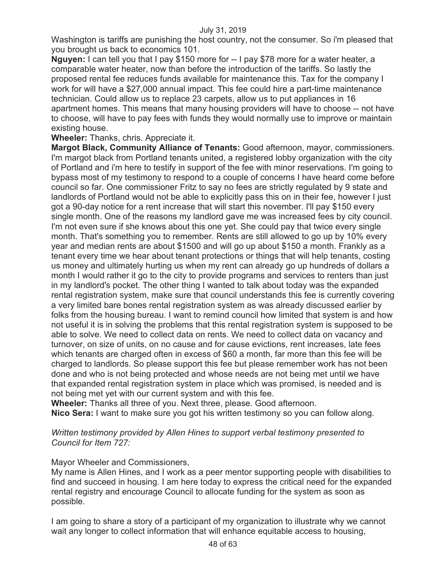Washington is tariffs are punishing the host country, not the consumer. So i'm pleased that you brought us back to economics 101.

**Nguyen:** I can tell you that I pay \$150 more for -- I pay \$78 more for a water heater, a comparable water heater, now than before the introduction of the tariffs. So lastly the proposed rental fee reduces funds available for maintenance this. Tax for the company I work for will have a \$27,000 annual impact. This fee could hire a part-time maintenance technician. Could allow us to replace 23 carpets, allow us to put appliances in 16 apartment homes. This means that many housing providers will have to choose -- not have to choose, will have to pay fees with funds they would normally use to improve or maintain existing house.

**Wheeler:** Thanks, chris. Appreciate it.

**Margot Black, Community Alliance of Tenants:** Good afternoon, mayor, commissioners. I'm margot black from Portland tenants united, a registered lobby organization with the city of Portland and i'm here to testify in support of the fee with minor reservations. I'm going to bypass most of my testimony to respond to a couple of concerns I have heard come before council so far. One commissioner Fritz to say no fees are strictly regulated by 9 state and landlords of Portland would not be able to explicitly pass this on in their fee, however I just got a 90-day notice for a rent increase that will start this november. I'll pay \$150 every single month. One of the reasons my landlord gave me was increased fees by city council. I'm not even sure if she knows about this one yet. She could pay that twice every single month. That's something you to remember. Rents are still allowed to go up by 10% every year and median rents are about \$1500 and will go up about \$150 a month. Frankly as a tenant every time we hear about tenant protections or things that will help tenants, costing us money and ultimately hurting us when my rent can already go up hundreds of dollars a month I would rather it go to the city to provide programs and services to renters than just in my landlord's pocket. The other thing I wanted to talk about today was the expanded rental registration system, make sure that council understands this fee is currently covering a very limited bare bones rental registration system as was already discussed earlier by folks from the housing bureau. I want to remind council how limited that system is and how not useful it is in solving the problems that this rental registration system is supposed to be able to solve. We need to collect data on rents. We need to collect data on vacancy and turnover, on size of units, on no cause and for cause evictions, rent increases, late fees which tenants are charged often in excess of \$60 a month, far more than this fee will be charged to landlords. So please support this fee but please remember work has not been done and who is not being protected and whose needs are not being met until we have that expanded rental registration system in place which was promised, is needed and is not being met yet with our current system and with this fee.

**Wheeler:** Thanks all three of you. Next three, please. Good afternoon. **Nico Sera:** I want to make sure you got his written testimony so you can follow along.

*Written testimony provided by Allen Hines to support verbal testimony presented to Council for Item 727:* 

# Mayor Wheeler and Commissioners,

My name is Allen Hines, and I work as a peer mentor supporting people with disabilities to find and succeed in housing. I am here today to express the critical need for the expanded rental registry and encourage Council to allocate funding for the system as soon as possible.

I am going to share a story of a participant of my organization to illustrate why we cannot wait any longer to collect information that will enhance equitable access to housing,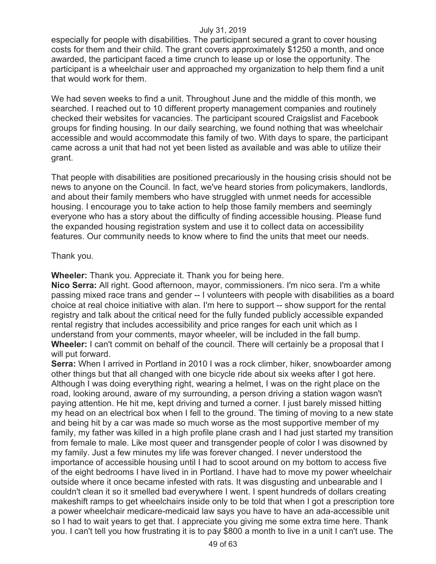especially for people with disabilities. The participant secured a grant to cover housing costs for them and their child. The grant covers approximately \$1250 a month, and once awarded, the participant faced a time crunch to lease up or lose the opportunity. The participant is a wheelchair user and approached my organization to help them find a unit that would work for them.

We had seven weeks to find a unit. Throughout June and the middle of this month, we searched. I reached out to 10 different property management companies and routinely checked their websites for vacancies. The participant scoured Craigslist and Facebook groups for finding housing. In our daily searching, we found nothing that was wheelchair accessible and would accommodate this family of two. With days to spare, the participant came across a unit that had not yet been listed as available and was able to utilize their grant.

That people with disabilities are positioned precariously in the housing crisis should not be news to anyone on the Council. In fact, we've heard stories from policymakers, landlords, and about their family members who have struggled with unmet needs for accessible housing. I encourage you to take action to help those family members and seemingly everyone who has a story about the difficulty of finding accessible housing. Please fund the expanded housing registration system and use it to collect data on accessibility features. Our community needs to know where to find the units that meet our needs.

# Thank you.

**Wheeler:** Thank you. Appreciate it. Thank you for being here.

**Nico Serra:** All right. Good afternoon, mayor, commissioners. I'm nico sera. I'm a white passing mixed race trans and gender -- I volunteers with people with disabilities as a board choice at real choice initiative with alan. I'm here to support -- show support for the rental registry and talk about the critical need for the fully funded publicly accessible expanded rental registry that includes accessibility and price ranges for each unit which as I understand from your comments, mayor wheeler, will be included in the fall bump. **Wheeler:** I can't commit on behalf of the council. There will certainly be a proposal that I will put forward.

**Serra:** When I arrived in Portland in 2010 I was a rock climber, hiker, snowboarder among other things but that all changed with one bicycle ride about six weeks after I got here. Although I was doing everything right, wearing a helmet, I was on the right place on the road, looking around, aware of my surrounding, a person driving a station wagon wasn't paying attention. He hit me, kept driving and turned a corner. I just barely missed hitting my head on an electrical box when I fell to the ground. The timing of moving to a new state and being hit by a car was made so much worse as the most supportive member of my family, my father was killed in a high profile plane crash and I had just started my transition from female to male. Like most queer and transgender people of color I was disowned by my family. Just a few minutes my life was forever changed. I never understood the importance of accessible housing until I had to scoot around on my bottom to access five of the eight bedrooms I have lived in in Portland. I have had to move my power wheelchair outside where it once became infested with rats. It was disgusting and unbearable and I couldn't clean it so it smelled bad everywhere I went. I spent hundreds of dollars creating makeshift ramps to get wheelchairs inside only to be told that when I got a prescription tore a power wheelchair medicare-medicaid law says you have to have an ada-accessible unit so I had to wait years to get that. I appreciate you giving me some extra time here. Thank you. I can't tell you how frustrating it is to pay \$800 a month to live in a unit I can't use. The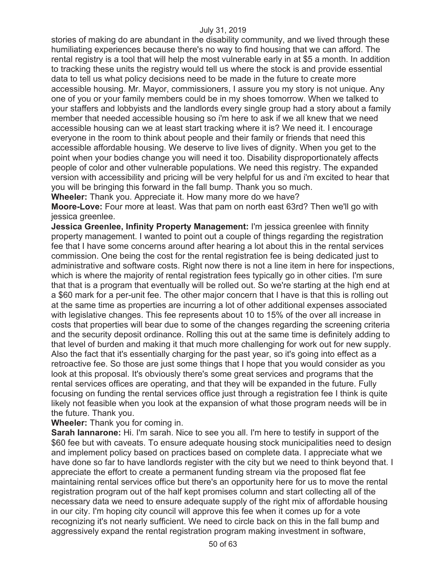stories of making do are abundant in the disability community, and we lived through these humiliating experiences because there's no way to find housing that we can afford. The rental registry is a tool that will help the most vulnerable early in at \$5 a month. In addition to tracking these units the registry would tell us where the stock is and provide essential data to tell us what policy decisions need to be made in the future to create more accessible housing. Mr. Mayor, commissioners, I assure you my story is not unique. Any one of you or your family members could be in my shoes tomorrow. When we talked to your staffers and lobbyists and the landlords every single group had a story about a family member that needed accessible housing so i'm here to ask if we all knew that we need accessible housing can we at least start tracking where it is? We need it. I encourage everyone in the room to think about people and their family or friends that need this accessible affordable housing. We deserve to live lives of dignity. When you get to the point when your bodies change you will need it too. Disability disproportionately affects people of color and other vulnerable populations. We need this registry. The expanded version with accessibility and pricing will be very helpful for us and i'm excited to hear that you will be bringing this forward in the fall bump. Thank you so much.

**Wheeler:** Thank you. Appreciate it. How many more do we have?

**Moore-Love:** Four more at least. Was that pam on north east 63rd? Then we'll go with jessica greenlee.

**Jessica Greenlee, Infinity Property Management:** I'm jessica greenlee with finnity property management. I wanted to point out a couple of things regarding the registration fee that I have some concerns around after hearing a lot about this in the rental services commission. One being the cost for the rental registration fee is being dedicated just to administrative and software costs. Right now there is not a line item in here for inspections, which is where the majority of rental registration fees typically go in other cities. I'm sure that that is a program that eventually will be rolled out. So we're starting at the high end at a \$60 mark for a per-unit fee. The other major concern that I have is that this is rolling out at the same time as properties are incurring a lot of other additional expenses associated with legislative changes. This fee represents about 10 to 15% of the over all increase in costs that properties will bear due to some of the changes regarding the screening criteria and the security deposit ordinance. Rolling this out at the same time is definitely adding to that level of burden and making it that much more challenging for work out for new supply. Also the fact that it's essentially charging for the past year, so it's going into effect as a retroactive fee. So those are just some things that I hope that you would consider as you look at this proposal. It's obviously there's some great services and programs that the rental services offices are operating, and that they will be expanded in the future. Fully focusing on funding the rental services office just through a registration fee I think is quite likely not feasible when you look at the expansion of what those program needs will be in the future. Thank you.

**Wheeler:** Thank you for coming in.

**Sarah Iannarone:** Hi. I'm sarah. Nice to see you all. I'm here to testify in support of the \$60 fee but with caveats. To ensure adequate housing stock municipalities need to design and implement policy based on practices based on complete data. I appreciate what we have done so far to have landlords register with the city but we need to think beyond that. I appreciate the effort to create a permanent funding stream via the proposed flat fee maintaining rental services office but there's an opportunity here for us to move the rental registration program out of the half kept promises column and start collecting all of the necessary data we need to ensure adequate supply of the right mix of affordable housing in our city. I'm hoping city council will approve this fee when it comes up for a vote recognizing it's not nearly sufficient. We need to circle back on this in the fall bump and aggressively expand the rental registration program making investment in software,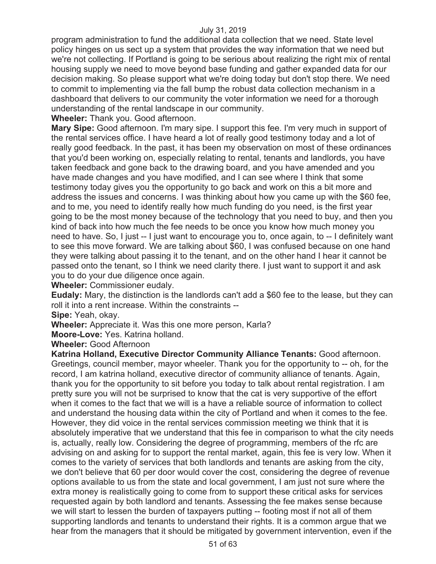program administration to fund the additional data collection that we need. State level policy hinges on us sect up a system that provides the way information that we need but we're not collecting. If Portland is going to be serious about realizing the right mix of rental housing supply we need to move beyond base funding and gather expanded data for our decision making. So please support what we're doing today but don't stop there. We need to commit to implementing via the fall bump the robust data collection mechanism in a dashboard that delivers to our community the voter information we need for a thorough understanding of the rental landscape in our community.

**Wheeler:** Thank you. Good afternoon.

**Mary Sipe:** Good afternoon. I'm mary sipe. I support this fee. I'm very much in support of the rental services office. I have heard a lot of really good testimony today and a lot of really good feedback. In the past, it has been my observation on most of these ordinances that you'd been working on, especially relating to rental, tenants and landlords, you have taken feedback and gone back to the drawing board, and you have amended and you have made changes and you have modified, and I can see where I think that some testimony today gives you the opportunity to go back and work on this a bit more and address the issues and concerns. I was thinking about how you came up with the \$60 fee, and to me, you need to identify really how much funding do you need, is the first year going to be the most money because of the technology that you need to buy, and then you kind of back into how much the fee needs to be once you know how much money you need to have. So, I just -- I just want to encourage you to, once again, to -- I definitely want to see this move forward. We are talking about \$60, I was confused because on one hand they were talking about passing it to the tenant, and on the other hand I hear it cannot be passed onto the tenant, so I think we need clarity there. I just want to support it and ask you to do your due diligence once again.

**Wheeler:** Commissioner eudaly.

**Eudaly:** Mary, the distinction is the landlords can't add a \$60 fee to the lease, but they can roll it into a rent increase. Within the constraints --

**Sipe:** Yeah, okay.

**Wheeler:** Appreciate it. Was this one more person, Karla?

**Moore-Love:** Yes. Katrina holland.

**Wheeler:** Good Afternoon

**Katrina Holland, Executive Director Community Alliance Tenants:** Good afternoon. Greetings, council member, mayor wheeler. Thank you for the opportunity to -- oh, for the record, I am katrina holland, executive director of community alliance of tenants. Again, thank you for the opportunity to sit before you today to talk about rental registration. I am pretty sure you will not be surprised to know that the cat is very supportive of the effort when it comes to the fact that we will is a have a reliable source of information to collect and understand the housing data within the city of Portland and when it comes to the fee. However, they did voice in the rental services commission meeting we think that it is absolutely imperative that we understand that this fee in comparison to what the city needs is, actually, really low. Considering the degree of programming, members of the rfc are advising on and asking for to support the rental market, again, this fee is very low. When it comes to the variety of services that both landlords and tenants are asking from the city, we don't believe that 60 per door would cover the cost, considering the degree of revenue options available to us from the state and local government, I am just not sure where the extra money is realistically going to come from to support these critical asks for services requested again by both landlord and tenants. Assessing the fee makes sense because we will start to lessen the burden of taxpayers putting -- footing most if not all of them supporting landlords and tenants to understand their rights. It is a common argue that we hear from the managers that it should be mitigated by government intervention, even if the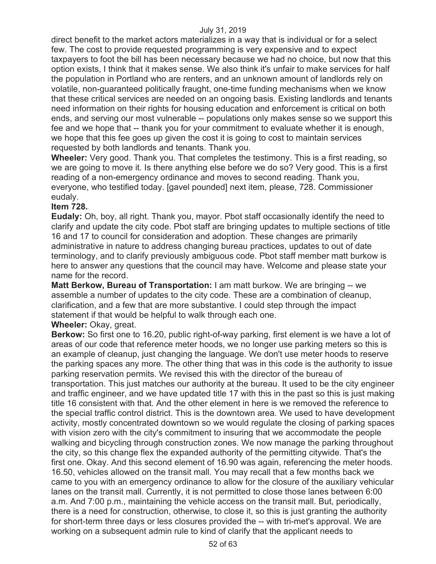direct benefit to the market actors materializes in a way that is individual or for a select few. The cost to provide requested programming is very expensive and to expect taxpayers to foot the bill has been necessary because we had no choice, but now that this option exists, I think that it makes sense. We also think it's unfair to make services for half the population in Portland who are renters, and an unknown amount of landlords rely on volatile, non-guaranteed politically fraught, one-time funding mechanisms when we know that these critical services are needed on an ongoing basis. Existing landlords and tenants need information on their rights for housing education and enforcement is critical on both ends, and serving our most vulnerable -- populations only makes sense so we support this fee and we hope that -- thank you for your commitment to evaluate whether it is enough, we hope that this fee goes up given the cost it is going to cost to maintain services requested by both landlords and tenants. Thank you.

**Wheeler:** Very good. Thank you. That completes the testimony. This is a first reading, so we are going to move it. Is there anything else before we do so? Very good. This is a first reading of a non-emergency ordinance and moves to second reading. Thank you, everyone, who testified today. [gavel pounded] next item, please, 728. Commissioner eudaly.

# **Item 728.**

**Eudaly:** Oh, boy, all right. Thank you, mayor. Pbot staff occasionally identify the need to clarify and update the city code. Pbot staff are bringing updates to multiple sections of title 16 and 17 to council for consideration and adoption. These changes are primarily administrative in nature to address changing bureau practices, updates to out of date terminology, and to clarify previously ambiguous code. Pbot staff member matt burkow is here to answer any questions that the council may have. Welcome and please state your name for the record.

**Matt Berkow, Bureau of Transportation:** I am matt burkow. We are bringing -- we assemble a number of updates to the city code. These are a combination of cleanup, clarification, and a few that are more substantive. I could step through the impact statement if that would be helpful to walk through each one.

# **Wheeler:** Okay, great.

**Berkow:** So first one to 16.20, public right-of-way parking, first element is we have a lot of areas of our code that reference meter hoods, we no longer use parking meters so this is an example of cleanup, just changing the language. We don't use meter hoods to reserve the parking spaces any more. The other thing that was in this code is the authority to issue parking reservation permits. We revised this with the director of the bureau of transportation. This just matches our authority at the bureau. It used to be the city engineer and traffic engineer, and we have updated title 17 with this in the past so this is just making title 16 consistent with that. And the other element in here is we removed the reference to the special traffic control district. This is the downtown area. We used to have development activity, mostly concentrated downtown so we would regulate the closing of parking spaces with vision zero with the city's commitment to insuring that we accommodate the people walking and bicycling through construction zones. We now manage the parking throughout the city, so this change flex the expanded authority of the permitting citywide. That's the first one. Okay. And this second element of 16.90 was again, referencing the meter hoods. 16.50, vehicles allowed on the transit mall. You may recall that a few months back we came to you with an emergency ordinance to allow for the closure of the auxiliary vehicular lanes on the transit mall. Currently, it is not permitted to close those lanes between 6:00 a.m. And 7:00 p.m., maintaining the vehicle access on the transit mall. But, periodically, there is a need for construction, otherwise, to close it, so this is just granting the authority for short-term three days or less closures provided the -- with tri-met's approval. We are working on a subsequent admin rule to kind of clarify that the applicant needs to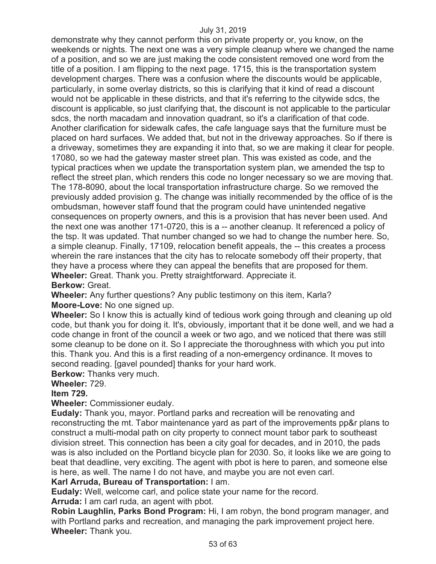demonstrate why they cannot perform this on private property or, you know, on the weekends or nights. The next one was a very simple cleanup where we changed the name of a position, and so we are just making the code consistent removed one word from the title of a position. I am flipping to the next page. 1715, this is the transportation system development charges. There was a confusion where the discounts would be applicable, particularly, in some overlay districts, so this is clarifying that it kind of read a discount would not be applicable in these districts, and that it's referring to the citywide sdcs, the discount is applicable, so just clarifying that, the discount is not applicable to the particular sdcs, the north macadam and innovation quadrant, so it's a clarification of that code. Another clarification for sidewalk cafes, the cafe language says that the furniture must be placed on hard surfaces. We added that, but not in the driveway approaches. So if there is a driveway, sometimes they are expanding it into that, so we are making it clear for people. 17080, so we had the gateway master street plan. This was existed as code, and the typical practices when we update the transportation system plan, we amended the tsp to reflect the street plan, which renders this code no longer necessary so we are moving that. The 178-8090, about the local transportation infrastructure charge. So we removed the previously added provision g. The change was initially recommended by the office of is the ombudsman, however staff found that the program could have unintended negative consequences on property owners, and this is a provision that has never been used. And the next one was another 171-0720, this is a -- another cleanup. It referenced a policy of the tsp. It was updated. That number changed so we had to change the number here. So, a simple cleanup. Finally, 17109, relocation benefit appeals, the -- this creates a process wherein the rare instances that the city has to relocate somebody off their property, that they have a process where they can appeal the benefits that are proposed for them. **Wheeler:** Great. Thank you. Pretty straightforward. Appreciate it.

### **Berkow:** Great.

**Wheeler:** Any further questions? Any public testimony on this item, Karla? **Moore-Love:** No one signed up.

**Wheeler:** So I know this is actually kind of tedious work going through and cleaning up old code, but thank you for doing it. It's, obviously, important that it be done well, and we had a code change in front of the council a week or two ago, and we noticed that there was still some cleanup to be done on it. So I appreciate the thoroughness with which you put into this. Thank you. And this is a first reading of a non-emergency ordinance. It moves to second reading. [gavel pounded] thanks for your hard work.

**Berkow:** Thanks very much.

**Wheeler:** 729.

**Item 729.** 

**Wheeler:** Commissioner eudaly.

**Eudaly:** Thank you, mayor. Portland parks and recreation will be renovating and reconstructing the mt. Tabor maintenance yard as part of the improvements pp&r plans to construct a multi-modal path on city property to connect mount tabor park to southeast division street. This connection has been a city goal for decades, and in 2010, the pads was is also included on the Portland bicycle plan for 2030. So, it looks like we are going to beat that deadline, very exciting. The agent with pbot is here to paren, and someone else is here, as well. The name I do not have, and maybe you are not even carl.

# **Karl Arruda, Bureau of Transportation:** I am.

**Eudaly:** Well, welcome carl, and police state your name for the record.

**Arruda:** I am carl ruda, an agent with pbot.

**Robin Laughlin, Parks Bond Program:** Hi, I am robyn, the bond program manager, and with Portland parks and recreation, and managing the park improvement project here. **Wheeler:** Thank you.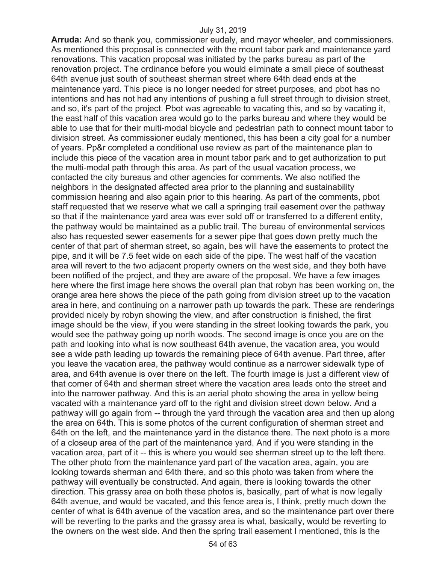**Arruda:** And so thank you, commissioner eudaly, and mayor wheeler, and commissioners. As mentioned this proposal is connected with the mount tabor park and maintenance yard renovations. This vacation proposal was initiated by the parks bureau as part of the renovation project. The ordinance before you would eliminate a small piece of southeast 64th avenue just south of southeast sherman street where 64th dead ends at the maintenance yard. This piece is no longer needed for street purposes, and pbot has no intentions and has not had any intentions of pushing a full street through to division street, and so, it's part of the project. Pbot was agreeable to vacating this, and so by vacating it, the east half of this vacation area would go to the parks bureau and where they would be able to use that for their multi-modal bicycle and pedestrian path to connect mount tabor to division street. As commissioner eudaly mentioned, this has been a city goal for a number of years. Pp&r completed a conditional use review as part of the maintenance plan to include this piece of the vacation area in mount tabor park and to get authorization to put the multi-modal path through this area. As part of the usual vacation process, we contacted the city bureaus and other agencies for comments. We also notified the neighbors in the designated affected area prior to the planning and sustainability commission hearing and also again prior to this hearing. As part of the comments, pbot staff requested that we reserve what we call a springing trail easement over the pathway so that if the maintenance yard area was ever sold off or transferred to a different entity, the pathway would be maintained as a public trail. The bureau of environmental services also has requested sewer easements for a sewer pipe that goes down pretty much the center of that part of sherman street, so again, bes will have the easements to protect the pipe, and it will be 7.5 feet wide on each side of the pipe. The west half of the vacation area will revert to the two adjacent property owners on the west side, and they both have been notified of the project, and they are aware of the proposal. We have a few images here where the first image here shows the overall plan that robyn has been working on, the orange area here shows the piece of the path going from division street up to the vacation area in here, and continuing on a narrower path up towards the park. These are renderings provided nicely by robyn showing the view, and after construction is finished, the first image should be the view, if you were standing in the street looking towards the park, you would see the pathway going up north woods. The second image is once you are on the path and looking into what is now southeast 64th avenue, the vacation area, you would see a wide path leading up towards the remaining piece of 64th avenue. Part three, after you leave the vacation area, the pathway would continue as a narrower sidewalk type of area, and 64th avenue is over there on the left. The fourth image is just a different view of that corner of 64th and sherman street where the vacation area leads onto the street and into the narrower pathway. And this is an aerial photo showing the area in yellow being vacated with a maintenance yard off to the right and division street down below. And a pathway will go again from -- through the yard through the vacation area and then up along the area on 64th. This is some photos of the current configuration of sherman street and 64th on the left, and the maintenance yard in the distance there. The next photo is a more of a closeup area of the part of the maintenance yard. And if you were standing in the vacation area, part of it -- this is where you would see sherman street up to the left there. The other photo from the maintenance yard part of the vacation area, again, you are looking towards sherman and 64th there, and so this photo was taken from where the pathway will eventually be constructed. And again, there is looking towards the other direction. This grassy area on both these photos is, basically, part of what is now legally 64th avenue, and would be vacated, and this fence area is, I think, pretty much down the center of what is 64th avenue of the vacation area, and so the maintenance part over there will be reverting to the parks and the grassy area is what, basically, would be reverting to the owners on the west side. And then the spring trail easement I mentioned, this is the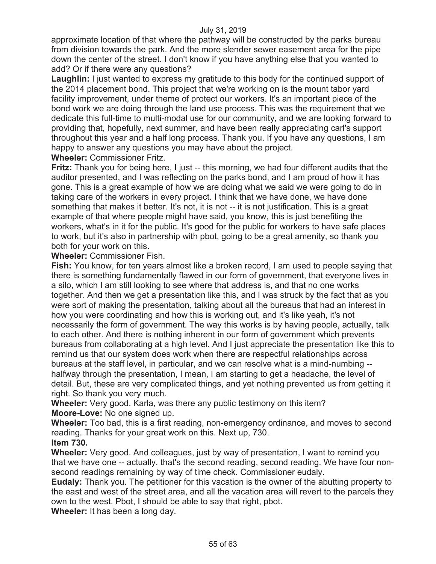approximate location of that where the pathway will be constructed by the parks bureau from division towards the park. And the more slender sewer easement area for the pipe down the center of the street. I don't know if you have anything else that you wanted to add? Or if there were any questions?

**Laughlin:** I just wanted to express my gratitude to this body for the continued support of the 2014 placement bond. This project that we're working on is the mount tabor yard facility improvement, under theme of protect our workers. It's an important piece of the bond work we are doing through the land use process. This was the requirement that we dedicate this full-time to multi-modal use for our community, and we are looking forward to providing that, hopefully, next summer, and have been really appreciating carl's support throughout this year and a half long process. Thank you. If you have any questions, I am happy to answer any questions you may have about the project.

**Wheeler:** Commissioner Fritz.

**Fritz:** Thank you for being here, I just -- this morning, we had four different audits that the auditor presented, and I was reflecting on the parks bond, and I am proud of how it has gone. This is a great example of how we are doing what we said we were going to do in taking care of the workers in every project. I think that we have done, we have done something that makes it better. It's not, it is not -- it is not justification. This is a great example of that where people might have said, you know, this is just benefiting the workers, what's in it for the public. It's good for the public for workers to have safe places to work, but it's also in partnership with pbot, going to be a great amenity, so thank you both for your work on this.

**Wheeler:** Commissioner Fish.

**Fish:** You know, for ten years almost like a broken record, I am used to people saying that there is something fundamentally flawed in our form of government, that everyone lives in a silo, which I am still looking to see where that address is, and that no one works together. And then we get a presentation like this, and I was struck by the fact that as you were sort of making the presentation, talking about all the bureaus that had an interest in how you were coordinating and how this is working out, and it's like yeah, it's not necessarily the form of government. The way this works is by having people, actually, talk to each other. And there is nothing inherent in our form of government which prevents bureaus from collaborating at a high level. And I just appreciate the presentation like this to remind us that our system does work when there are respectful relationships across bureaus at the staff level, in particular, and we can resolve what is a mind-numbing - halfway through the presentation, I mean, I am starting to get a headache, the level of detail. But, these are very complicated things, and yet nothing prevented us from getting it right. So thank you very much.

**Wheeler:** Very good. Karla, was there any public testimony on this item? **Moore-Love:** No one signed up.

**Wheeler:** Too bad, this is a first reading, non-emergency ordinance, and moves to second reading. Thanks for your great work on this. Next up, 730.

**Item 730.** 

**Wheeler:** Very good. And colleagues, just by way of presentation, I want to remind you that we have one -- actually, that's the second reading, second reading. We have four nonsecond readings remaining by way of time check. Commissioner eudaly.

**Eudaly:** Thank you. The petitioner for this vacation is the owner of the abutting property to the east and west of the street area, and all the vacation area will revert to the parcels they own to the west. Pbot, I should be able to say that right, pbot.

**Wheeler:** It has been a long day.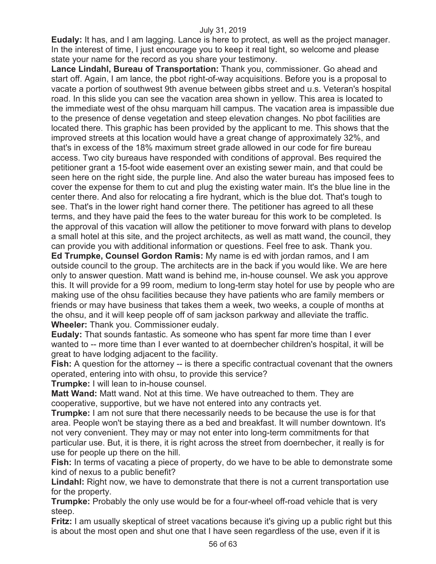**Eudaly:** It has, and I am lagging. Lance is here to protect, as well as the project manager. In the interest of time, I just encourage you to keep it real tight, so welcome and please state your name for the record as you share your testimony.

**Lance Lindahl, Bureau of Transportation:** Thank you, commissioner. Go ahead and start off. Again, I am lance, the pbot right-of-way acquisitions. Before you is a proposal to vacate a portion of southwest 9th avenue between gibbs street and u.s. Veteran's hospital road. In this slide you can see the vacation area shown in yellow. This area is located to the immediate west of the ohsu marquam hill campus. The vacation area is impassible due to the presence of dense vegetation and steep elevation changes. No pbot facilities are located there. This graphic has been provided by the applicant to me. This shows that the improved streets at this location would have a great change of approximately 32%, and that's in excess of the 18% maximum street grade allowed in our code for fire bureau access. Two city bureaus have responded with conditions of approval. Bes required the petitioner grant a 15-foot wide easement over an existing sewer main, and that could be seen here on the right side, the purple line. And also the water bureau has imposed fees to cover the expense for them to cut and plug the existing water main. It's the blue line in the center there. And also for relocating a fire hydrant, which is the blue dot. That's tough to see. That's in the lower right hand corner there. The petitioner has agreed to all these terms, and they have paid the fees to the water bureau for this work to be completed. Is the approval of this vacation will allow the petitioner to move forward with plans to develop a small hotel at this site, and the project architects, as well as matt wand, the council, they can provide you with additional information or questions. Feel free to ask. Thank you.

**Ed Trumpke, Counsel Gordon Ramis:** My name is ed with jordan ramos, and I am outside council to the group. The architects are in the back if you would like. We are here only to answer question. Matt wand is behind me, in-house counsel. We ask you approve this. It will provide for a 99 room, medium to long-term stay hotel for use by people who are making use of the ohsu facilities because they have patients who are family members or friends or may have business that takes them a week, two weeks, a couple of months at the ohsu, and it will keep people off of sam jackson parkway and alleviate the traffic. **Wheeler:** Thank you. Commissioner eudaly.

**Eudaly:** That sounds fantastic. As someone who has spent far more time than I ever wanted to -- more time than I ever wanted to at doernbecher children's hospital, it will be great to have lodging adjacent to the facility.

**Fish:** A question for the attorney -- is there a specific contractual covenant that the owners operated, entering into with ohsu, to provide this service?

**Trumpke:** I will lean to in-house counsel.

**Matt Wand:** Matt wand. Not at this time. We have outreached to them. They are cooperative, supportive, but we have not entered into any contracts yet.

**Trumpke:** I am not sure that there necessarily needs to be because the use is for that area. People won't be staying there as a bed and breakfast. It will number downtown. It's not very convenient. They may or may not enter into long-term commitments for that particular use. But, it is there, it is right across the street from doernbecher, it really is for use for people up there on the hill.

**Fish:** In terms of vacating a piece of property, do we have to be able to demonstrate some kind of nexus to a public benefit?

**Lindahl:** Right now, we have to demonstrate that there is not a current transportation use for the property.

**Trumpke:** Probably the only use would be for a four-wheel off-road vehicle that is very steep.

**Fritz:** I am usually skeptical of street vacations because it's giving up a public right but this is about the most open and shut one that I have seen regardless of the use, even if it is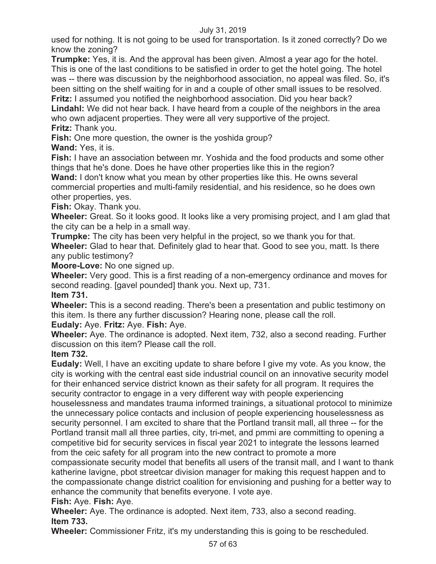used for nothing. It is not going to be used for transportation. Is it zoned correctly? Do we know the zoning?

**Trumpke:** Yes, it is. And the approval has been given. Almost a year ago for the hotel. This is one of the last conditions to be satisfied in order to get the hotel going. The hotel was -- there was discussion by the neighborhood association, no appeal was filed. So, it's been sitting on the shelf waiting for in and a couple of other small issues to be resolved. **Fritz:** I assumed you notified the neighborhood association. Did you hear back?

**Lindahl:** We did not hear back. I have heard from a couple of the neighbors in the area who own adjacent properties. They were all very supportive of the project. **Fritz:** Thank you.

**Fish:** One more question, the owner is the yoshida group?

**Wand:** Yes, it is.

**Fish:** I have an association between mr. Yoshida and the food products and some other things that he's done. Does he have other properties like this in the region?

**Wand:** I don't know what you mean by other properties like this. He owns several commercial properties and multi-family residential, and his residence, so he does own other properties, yes.

**Fish:** Okay. Thank you.

**Wheeler:** Great. So it looks good. It looks like a very promising project, and I am glad that the city can be a help in a small way.

**Trumpke:** The city has been very helpful in the project, so we thank you for that. **Wheeler:** Glad to hear that. Definitely glad to hear that. Good to see you, matt. Is there any public testimony?

**Moore-Love:** No one signed up.

**Wheeler:** Very good. This is a first reading of a non-emergency ordinance and moves for second reading. [gavel pounded] thank you. Next up, 731.

**Item 731.** 

**Wheeler:** This is a second reading. There's been a presentation and public testimony on this item. Is there any further discussion? Hearing none, please call the roll.

**Eudaly:** Aye. **Fritz:** Aye. **Fish:** Aye.

**Wheeler:** Aye. The ordinance is adopted. Next item, 732, also a second reading. Further discussion on this item? Please call the roll.

**Item 732.** 

**Eudaly:** Well, I have an exciting update to share before I give my vote. As you know, the city is working with the central east side industrial council on an innovative security model for their enhanced service district known as their safety for all program. It requires the security contractor to engage in a very different way with people experiencing houselessness and mandates trauma informed trainings, a situational protocol to minimize the unnecessary police contacts and inclusion of people experiencing houselessness as security personnel. I am excited to share that the Portland transit mall, all three -- for the Portland transit mall all three parties, city, tri-met, and pmmi are committing to opening a competitive bid for security services in fiscal year 2021 to integrate the lessons learned from the ceic safety for all program into the new contract to promote a more compassionate security model that benefits all users of the transit mall, and I want to thank katherine lavigne, pbot streetcar division manager for making this request happen and to the compassionate change district coalition for envisioning and pushing for a better way to enhance the community that benefits everyone. I vote aye.

**Fish:** Aye. **Fish:** Aye.

**Wheeler:** Aye. The ordinance is adopted. Next item, 733, also a second reading. **Item 733.** 

**Wheeler:** Commissioner Fritz, it's my understanding this is going to be rescheduled.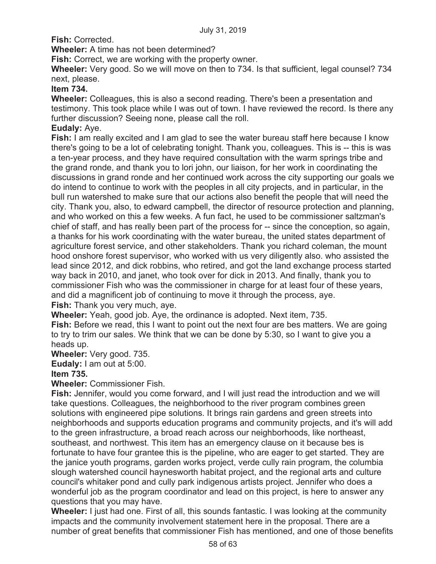**Fish:** Corrected.

**Wheeler:** A time has not been determined?

**Fish:** Correct, we are working with the property owner.

**Wheeler:** Very good. So we will move on then to 734. Is that sufficient, legal counsel? 734 next, please.

# **Item 734.**

**Wheeler:** Colleagues, this is also a second reading. There's been a presentation and testimony. This took place while I was out of town. I have reviewed the record. Is there any further discussion? Seeing none, please call the roll.

# **Eudaly:** Aye.

**Fish:** I am really excited and I am glad to see the water bureau staff here because I know there's going to be a lot of celebrating tonight. Thank you, colleagues. This is -- this is was a ten-year process, and they have required consultation with the warm springs tribe and the grand ronde, and thank you to lori john, our liaison, for her work in coordinating the discussions in grand ronde and her continued work across the city supporting our goals we do intend to continue to work with the peoples in all city projects, and in particular, in the bull run watershed to make sure that our actions also benefit the people that will need the city. Thank you, also, to edward campbell, the director of resource protection and planning, and who worked on this a few weeks. A fun fact, he used to be commissioner saltzman's chief of staff, and has really been part of the process for -- since the conception, so again, a thanks for his work coordinating with the water bureau, the united states department of agriculture forest service, and other stakeholders. Thank you richard coleman, the mount hood onshore forest supervisor, who worked with us very diligently also. who assisted the lead since 2012, and dick robbins, who retired, and got the land exchange process started way back in 2010, and janet, who took over for dick in 2013. And finally, thank you to commissioner Fish who was the commissioner in charge for at least four of these years, and did a magnificent job of continuing to move it through the process, aye. **Fish:** Thank you very much, aye.

**Wheeler:** Yeah, good job. Aye, the ordinance is adopted. Next item, 735.

**Fish:** Before we read, this I want to point out the next four are bes matters. We are going to try to trim our sales. We think that we can be done by 5:30, so I want to give you a heads up.

**Wheeler:** Very good. 735.

**Eudaly:** I am out at 5:00.

# **Item 735.**

**Wheeler:** Commissioner Fish.

**Fish:** Jennifer, would you come forward, and I will just read the introduction and we will take questions. Colleagues, the neighborhood to the river program combines green solutions with engineered pipe solutions. It brings rain gardens and green streets into neighborhoods and supports education programs and community projects, and it's will add to the green infrastructure, a broad reach across our neighborhoods, like northeast, southeast, and northwest. This item has an emergency clause on it because bes is fortunate to have four grantee this is the pipeline, who are eager to get started. They are the janice youth programs, garden works project, verde cully rain program, the columbia slough watershed council haynesworth habitat project, and the regional arts and culture council's whitaker pond and cully park indigenous artists project. Jennifer who does a wonderful job as the program coordinator and lead on this project, is here to answer any questions that you may have.

**Wheeler:** I just had one. First of all, this sounds fantastic. I was looking at the community impacts and the community involvement statement here in the proposal. There are a number of great benefits that commissioner Fish has mentioned, and one of those benefits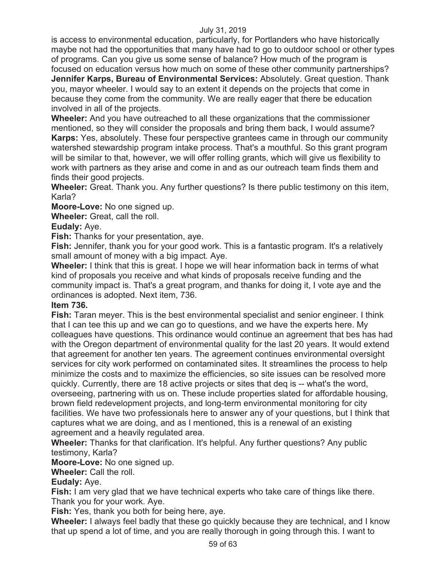is access to environmental education, particularly, for Portlanders who have historically maybe not had the opportunities that many have had to go to outdoor school or other types of programs. Can you give us some sense of balance? How much of the program is focused on education versus how much on some of these other community partnerships? **Jennifer Karps, Bureau of Environmental Services:** Absolutely. Great question. Thank you, mayor wheeler. I would say to an extent it depends on the projects that come in because they come from the community. We are really eager that there be education involved in all of the projects.

**Wheeler:** And you have outreached to all these organizations that the commissioner mentioned, so they will consider the proposals and bring them back, I would assume? **Karps:** Yes, absolutely. These four perspective grantees came in through our community watershed stewardship program intake process. That's a mouthful. So this grant program will be similar to that, however, we will offer rolling grants, which will give us flexibility to work with partners as they arise and come in and as our outreach team finds them and finds their good projects.

**Wheeler:** Great. Thank you. Any further questions? Is there public testimony on this item, Karla?

**Moore-Love:** No one signed up.

**Wheeler:** Great, call the roll.

**Eudaly:** Aye.

**Fish:** Thanks for your presentation, aye.

**Fish:** Jennifer, thank you for your good work. This is a fantastic program. It's a relatively small amount of money with a big impact. Aye.

**Wheeler:** I think that this is great. I hope we will hear information back in terms of what kind of proposals you receive and what kinds of proposals receive funding and the community impact is. That's a great program, and thanks for doing it, I vote aye and the ordinances is adopted. Next item, 736.

# **Item 736.**

**Fish:** Taran meyer. This is the best environmental specialist and senior engineer. I think that I can tee this up and we can go to questions, and we have the experts here. My colleagues have questions. This ordinance would continue an agreement that bes has had with the Oregon department of environmental quality for the last 20 years. It would extend that agreement for another ten years. The agreement continues environmental oversight services for city work performed on contaminated sites. It streamlines the process to help minimize the costs and to maximize the efficiencies, so site issues can be resolved more quickly. Currently, there are 18 active projects or sites that deq is -- what's the word, overseeing, partnering with us on. These include properties slated for affordable housing, brown field redevelopment projects, and long-term environmental monitoring for city facilities. We have two professionals here to answer any of your questions, but I think that captures what we are doing, and as I mentioned, this is a renewal of an existing agreement and a heavily regulated area.

**Wheeler:** Thanks for that clarification. It's helpful. Any further questions? Any public testimony, Karla?

**Moore-Love:** No one signed up.

**Wheeler:** Call the roll.

**Eudaly:** Aye.

**Fish:** I am very glad that we have technical experts who take care of things like there. Thank you for your work. Aye.

**Fish:** Yes, thank you both for being here, aye.

**Wheeler:** I always feel badly that these go quickly because they are technical, and I know that up spend a lot of time, and you are really thorough in going through this. I want to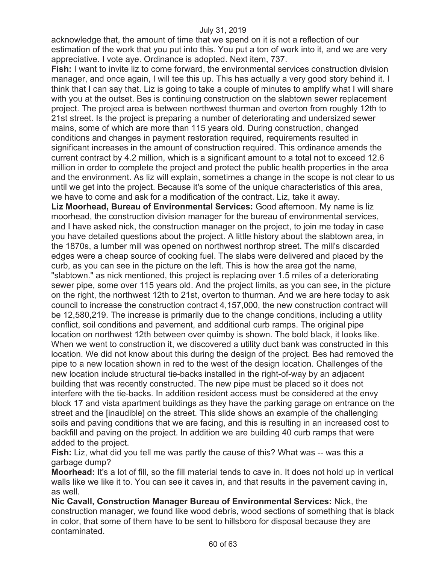acknowledge that, the amount of time that we spend on it is not a reflection of our estimation of the work that you put into this. You put a ton of work into it, and we are very appreciative. I vote aye. Ordinance is adopted. Next item, 737.

**Fish:** I want to invite liz to come forward, the environmental services construction division manager, and once again, I will tee this up. This has actually a very good story behind it. I think that I can say that. Liz is going to take a couple of minutes to amplify what I will share with you at the outset. Bes is continuing construction on the slabtown sewer replacement project. The project area is between northwest thurman and overton from roughly 12th to 21st street. Is the project is preparing a number of deteriorating and undersized sewer mains, some of which are more than 115 years old. During construction, changed conditions and changes in payment restoration required, requirements resulted in significant increases in the amount of construction required. This ordinance amends the current contract by 4.2 million, which is a significant amount to a total not to exceed 12.6 million in order to complete the project and protect the public health properties in the area and the environment. As liz will explain, sometimes a change in the scope is not clear to us until we get into the project. Because it's some of the unique characteristics of this area, we have to come and ask for a modification of the contract. Liz, take it away.

**Liz Moorhead, Bureau of Environmental Services:** Good afternoon. My name is liz moorhead, the construction division manager for the bureau of environmental services, and I have asked nick, the construction manager on the project, to join me today in case you have detailed questions about the project. A little history about the slabtown area, in the 1870s, a lumber mill was opened on northwest northrop street. The mill's discarded edges were a cheap source of cooking fuel. The slabs were delivered and placed by the curb, as you can see in the picture on the left. This is how the area got the name, "slabtown." as nick mentioned, this project is replacing over 1.5 miles of a deteriorating sewer pipe, some over 115 years old. And the project limits, as you can see, in the picture on the right, the northwest 12th to 21st, overton to thurman. And we are here today to ask council to increase the construction contract 4,157,000, the new construction contract will be 12,580,219. The increase is primarily due to the change conditions, including a utility conflict, soil conditions and pavement, and additional curb ramps. The original pipe location on northwest 12th between over quimby is shown. The bold black, it looks like. When we went to construction it, we discovered a utility duct bank was constructed in this location. We did not know about this during the design of the project. Bes had removed the pipe to a new location shown in red to the west of the design location. Challenges of the new location include structural tie-backs installed in the right-of-way by an adjacent building that was recently constructed. The new pipe must be placed so it does not interfere with the tie-backs. In addition resident access must be considered at the envy block 17 and vista apartment buildings as they have the parking garage on entrance on the street and the [inaudible] on the street. This slide shows an example of the challenging soils and paving conditions that we are facing, and this is resulting in an increased cost to backfill and paving on the project. In addition we are building 40 curb ramps that were added to the project.

**Fish:** Liz, what did you tell me was partly the cause of this? What was -- was this a garbage dump?

**Moorhead:** It's a lot of fill, so the fill material tends to cave in. It does not hold up in vertical walls like we like it to. You can see it caves in, and that results in the pavement caving in, as well.

**Nic Cavall, Construction Manager Bureau of Environmental Services:** Nick, the construction manager, we found like wood debris, wood sections of something that is black in color, that some of them have to be sent to hillsboro for disposal because they are contaminated.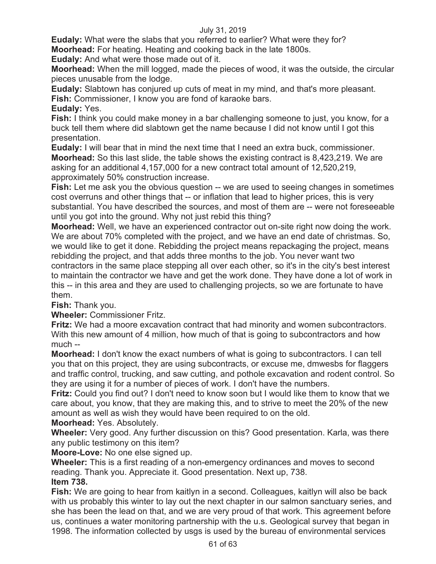**Eudaly:** What were the slabs that you referred to earlier? What were they for?

**Moorhead:** For heating. Heating and cooking back in the late 1800s.

**Eudaly:** And what were those made out of it.

**Moorhead:** When the mill logged, made the pieces of wood, it was the outside, the circular pieces unusable from the lodge.

**Eudaly:** Slabtown has conjured up cuts of meat in my mind, and that's more pleasant.

**Fish:** Commissioner, I know you are fond of karaoke bars.

**Eudaly:** Yes.

**Fish:** I think you could make money in a bar challenging someone to just, you know, for a buck tell them where did slabtown get the name because I did not know until I got this presentation.

**Eudaly:** I will bear that in mind the next time that I need an extra buck, commissioner. **Moorhead:** So this last slide, the table shows the existing contract is 8,423,219. We are asking for an additional 4,157,000 for a new contract total amount of 12,520,219, approximately 50% construction increase.

**Fish:** Let me ask you the obvious question -- we are used to seeing changes in sometimes cost overruns and other things that -- or inflation that lead to higher prices, this is very substantial. You have described the sources, and most of them are -- were not foreseeable until you got into the ground. Why not just rebid this thing?

**Moorhead:** Well, we have an experienced contractor out on-site right now doing the work. We are about 70% completed with the project, and we have an end date of christmas. So, we would like to get it done. Rebidding the project means repackaging the project, means rebidding the project, and that adds three months to the job. You never want two

contractors in the same place stepping all over each other, so it's in the city's best interest to maintain the contractor we have and get the work done. They have done a lot of work in this -- in this area and they are used to challenging projects, so we are fortunate to have them.

**Fish:** Thank you.

**Wheeler:** Commissioner Fritz.

**Fritz:** We had a moore excavation contract that had minority and women subcontractors. With this new amount of 4 million, how much of that is going to subcontractors and how much --

**Moorhead:** I don't know the exact numbers of what is going to subcontractors. I can tell you that on this project, they are using subcontracts, or excuse me, dmwesbs for flaggers and traffic control, trucking, and saw cutting, and pothole excavation and rodent control. So they are using it for a number of pieces of work. I don't have the numbers.

**Fritz:** Could you find out? I don't need to know soon but I would like them to know that we care about, you know, that they are making this, and to strive to meet the 20% of the new amount as well as wish they would have been required to on the old.

**Moorhead:** Yes. Absolutely.

**Wheeler:** Very good. Any further discussion on this? Good presentation. Karla, was there any public testimony on this item?

**Moore-Love:** No one else signed up.

**Wheeler:** This is a first reading of a non-emergency ordinances and moves to second reading. Thank you. Appreciate it. Good presentation. Next up, 738.

# **Item 738.**

**Fish:** We are going to hear from kaitlyn in a second. Colleagues, kaitlyn will also be back with us probably this winter to lay out the next chapter in our salmon sanctuary series, and she has been the lead on that, and we are very proud of that work. This agreement before us, continues a water monitoring partnership with the u.s. Geological survey that began in 1998. The information collected by usgs is used by the bureau of environmental services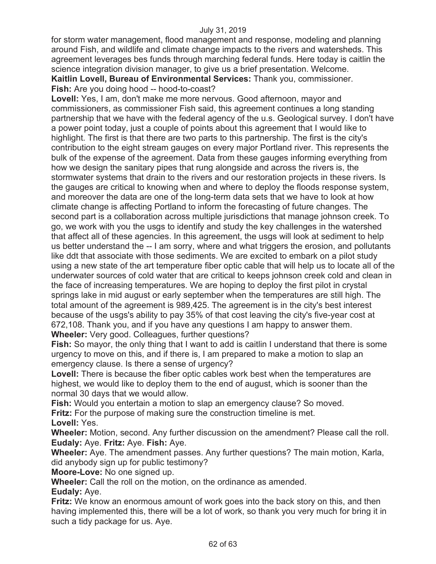for storm water management, flood management and response, modeling and planning around Fish, and wildlife and climate change impacts to the rivers and watersheds. This agreement leverages bes funds through marching federal funds. Here today is caitlin the science integration division manager, to give us a brief presentation. Welcome. **Kaitlin Lovell, Bureau of Environmental Services:** Thank you, commissioner.

**Fish:** Are you doing hood -- hood-to-coast?

**Lovell:** Yes, I am, don't make me more nervous. Good afternoon, mayor and commissioners, as commissioner Fish said, this agreement continues a long standing partnership that we have with the federal agency of the u.s. Geological survey. I don't have a power point today, just a couple of points about this agreement that I would like to highlight. The first is that there are two parts to this partnership. The first is the city's contribution to the eight stream gauges on every major Portland river. This represents the bulk of the expense of the agreement. Data from these gauges informing everything from how we design the sanitary pipes that rung alongside and across the rivers is, the stormwater systems that drain to the rivers and our restoration projects in these rivers. Is the gauges are critical to knowing when and where to deploy the floods response system, and moreover the data are one of the long-term data sets that we have to look at how climate change is affecting Portland to inform the forecasting of future changes. The second part is a collaboration across multiple jurisdictions that manage johnson creek. To go, we work with you the usgs to identify and study the key challenges in the watershed that affect all of these agencies. In this agreement, the usgs will look at sediment to help us better understand the -- I am sorry, where and what triggers the erosion, and pollutants like ddt that associate with those sediments. We are excited to embark on a pilot study using a new state of the art temperature fiber optic cable that will help us to locate all of the underwater sources of cold water that are critical to keeps johnson creek cold and clean in the face of increasing temperatures. We are hoping to deploy the first pilot in crystal springs lake in mid august or early september when the temperatures are still high. The total amount of the agreement is 989,425. The agreement is in the city's best interest because of the usgs's ability to pay 35% of that cost leaving the city's five-year cost at 672,108. Thank you, and if you have any questions I am happy to answer them. **Wheeler:** Very good. Colleagues, further questions?

**Fish:** So mayor, the only thing that I want to add is caitlin I understand that there is some urgency to move on this, and if there is, I am prepared to make a motion to slap an emergency clause. Is there a sense of urgency?

**Lovell:** There is because the fiber optic cables work best when the temperatures are highest, we would like to deploy them to the end of august, which is sooner than the normal 30 days that we would allow.

**Fish:** Would you entertain a motion to slap an emergency clause? So moved.

**Fritz:** For the purpose of making sure the construction timeline is met. **Lovell:** Yes.

**Wheeler:** Motion, second. Any further discussion on the amendment? Please call the roll. **Eudaly:** Aye. **Fritz:** Aye. **Fish:** Aye.

**Wheeler:** Aye. The amendment passes. Any further questions? The main motion, Karla, did anybody sign up for public testimony?

**Moore-Love:** No one signed up.

**Wheeler:** Call the roll on the motion, on the ordinance as amended.

**Eudaly:** Aye.

**Fritz:** We know an enormous amount of work goes into the back story on this, and then having implemented this, there will be a lot of work, so thank you very much for bring it in such a tidy package for us. Aye.